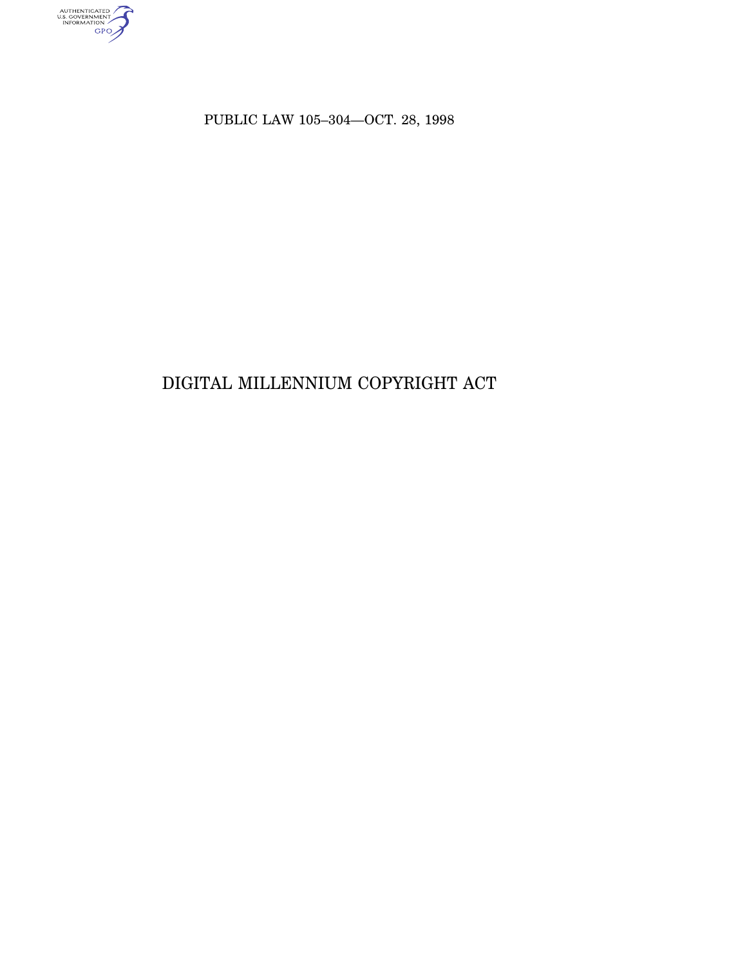AUTHENTICATED

PUBLIC LAW 105–304—OCT. 28, 1998

# DIGITAL MILLENNIUM COPYRIGHT ACT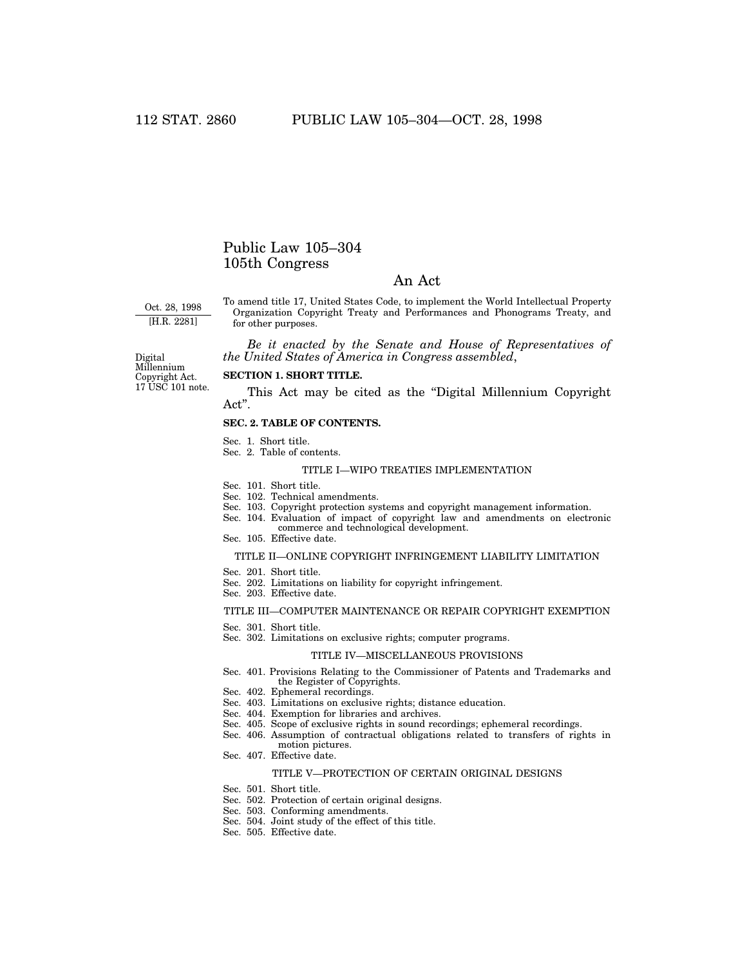# Public Law 105–304 105th Congress

# An Act

Oct. 28, 1998 [H.R. 2281]

To amend title 17, United States Code, to implement the World Intellectual Property Organization Copyright Treaty and Performances and Phonograms Treaty, and for other purposes.

*Be it enacted by the Senate and House of Representatives of the United States of America in Congress assembled*,

17 USC 101 note. Digital Millennium Copyright Act.

#### **SECTION 1. SHORT TITLE.**

This Act may be cited as the ''Digital Millennium Copyright Act''.

## **SEC. 2. TABLE OF CONTENTS.**

- Sec. 1. Short title.
- Sec. 2. Table of contents.

# TITLE I—WIPO TREATIES IMPLEMENTATION

Sec. 101. Short title.

- Sec. 102. Technical amendments.
- Sec. 103. Copyright protection systems and copyright management information.
- Sec. 104. Evaluation of impact of copyright law and amendments on electronic
- commerce and technological development. Sec. 105. Effective date.

#### TITLE II—ONLINE COPYRIGHT INFRINGEMENT LIABILITY LIMITATION

- Sec. 201. Short title.
- Sec. 202. Limitations on liability for copyright infringement.
- Sec. 203. Effective date.

#### TITLE III—COMPUTER MAINTENANCE OR REPAIR COPYRIGHT EXEMPTION

- Sec. 301. Short title.
- Sec. 302. Limitations on exclusive rights; computer programs.

#### TITLE IV—MISCELLANEOUS PROVISIONS

- Sec. 401. Provisions Relating to the Commissioner of Patents and Trademarks and the Register of Copyrights.
- Sec. 402. Ephemeral recordings.
- Sec. 403. Limitations on exclusive rights; distance education.
- Sec. 404. Exemption for libraries and archives.
- Sec. 405. Scope of exclusive rights in sound recordings; ephemeral recordings.
- Sec. 406. Assumption of contractual obligations related to transfers of rights in motion pictures.
- Sec. 407. Effective date.

#### TITLE V—PROTECTION OF CERTAIN ORIGINAL DESIGNS

- Sec. 501. Short title.
- Sec. 502. Protection of certain original designs.
- Sec. 503. Conforming amendments.
- Sec. 504. Joint study of the effect of this title.
- Sec. 505. Effective date.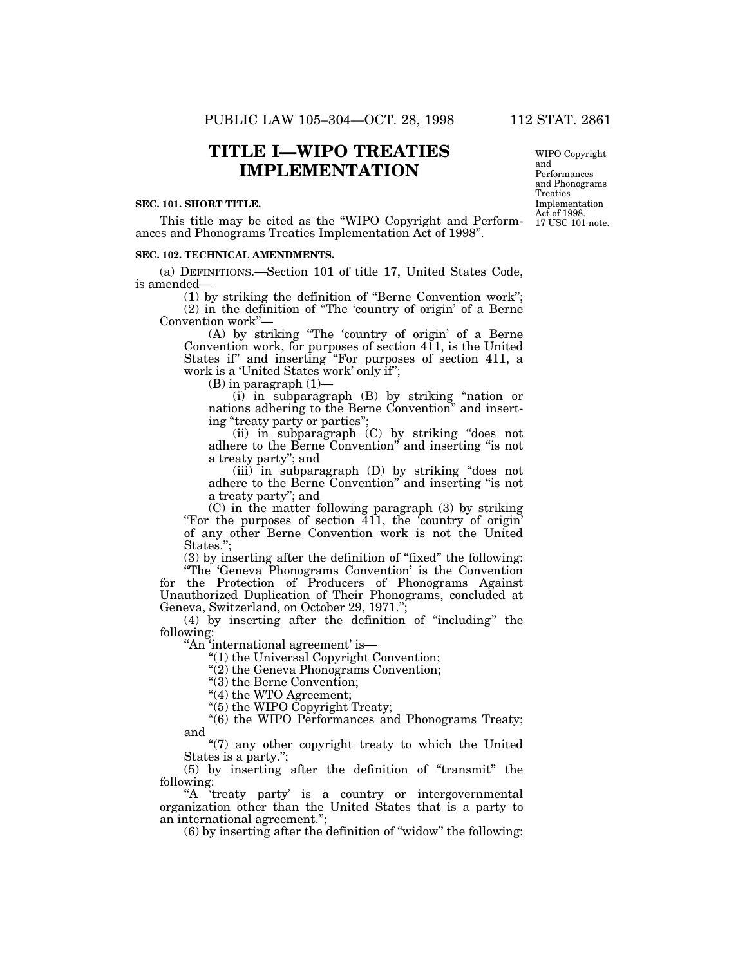# **TITLE I—WIPO TREATIES IMPLEMENTATION**

#### **SEC. 101. SHORT TITLE.**

This title may be cited as the ''WIPO Copyright and Performances and Phonograms Treaties Implementation Act of 1998''.

#### **SEC. 102. TECHNICAL AMENDMENTS.**

(a) DEFINITIONS.—Section 101 of title 17, United States Code, is amended—

(1) by striking the definition of ''Berne Convention work''; (2) in the definition of ''The 'country of origin' of a Berne Convention work''—

(A) by striking ''The 'country of origin' of a Berne Convention work, for purposes of section 411, is the United States if" and inserting "For purposes of section 411, a work is a 'United States work' only if'';

 $(B)$  in paragraph  $(1)$ —

(i) in subparagraph (B) by striking ''nation or nations adhering to the Berne Convention'' and inserting "treaty party or parties";

(ii) in subparagraph (C) by striking ''does not adhere to the Berne Convention'' and inserting ''is not a treaty party''; and

(iii) in subparagraph (D) by striking ''does not adhere to the Berne Convention'' and inserting ''is not a treaty party''; and

(C) in the matter following paragraph (3) by striking ''For the purposes of section 411, the 'country of origin' of any other Berne Convention work is not the United States.":

(3) by inserting after the definition of ''fixed'' the following: ''The 'Geneva Phonograms Convention' is the Convention

for the Protection of Producers of Phonograms Against Unauthorized Duplication of Their Phonograms, concluded at Geneva, Switzerland, on October 29, 1971.'';

(4) by inserting after the definition of ''including'' the following:

''An 'international agreement' is—

''(1) the Universal Copyright Convention;

''(2) the Geneva Phonograms Convention;

''(3) the Berne Convention;

"(4) the WTO Agreement;

''(5) the WIPO Copyright Treaty;

"(6) the WIPO Performances and Phonograms Treaty; and

''(7) any other copyright treaty to which the United States is a party.'';

(5) by inserting after the definition of ''transmit'' the following:

"A 'treaty party' is a country or intergovernmental organization other than the United States that is a party to an international agreement.'';

 $(6)$  by inserting after the definition of "widow" the following:

WIPO Copyright and Performances and Phonograms Treaties Implementation Act of 1998. 17 USC 101 note.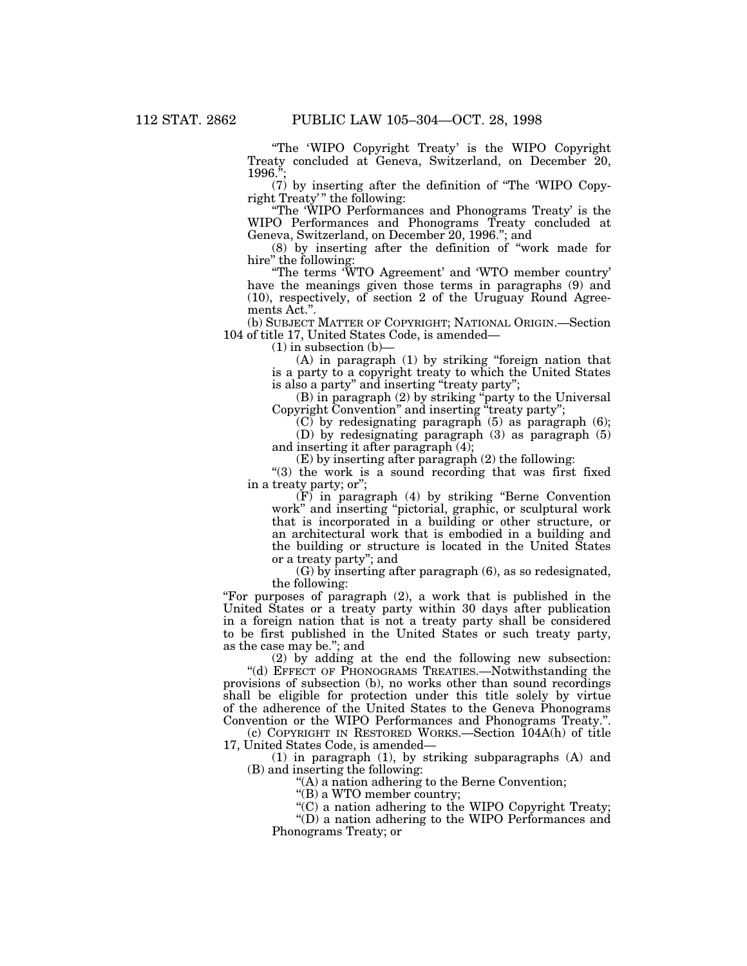''The 'WIPO Copyright Treaty' is the WIPO Copyright Treaty concluded at Geneva, Switzerland, on December 20, 1996.

(7) by inserting after the definition of ''The 'WIPO Copyright Treaty" the following:

''The 'WIPO Performances and Phonograms Treaty' is the WIPO Performances and Phonograms Treaty concluded at Geneva, Switzerland, on December 20, 1996.''; and

(8) by inserting after the definition of ''work made for hire" the following:

''The terms 'WTO Agreement' and 'WTO member country' have the meanings given those terms in paragraphs (9) and (10), respectively, of section 2 of the Uruguay Round Agreements Act.''.

(b) SUBJECT MATTER OF COPYRIGHT; NATIONAL ORIGIN.—Section 104 of title 17, United States Code, is amended—

 $(1)$  in subsection  $(b)$ –

(A) in paragraph (1) by striking ''foreign nation that is a party to a copyright treaty to which the United States is also a party'' and inserting ''treaty party'';

(B) in paragraph (2) by striking ''party to the Universal Copyright Convention" and inserting "treaty party";

 $(C)$  by redesignating paragraph (5) as paragraph (6);

(D) by redesignating paragraph (3) as paragraph (5) and inserting it after paragraph (4);

(E) by inserting after paragraph (2) the following:

"(3) the work is a sound recording that was first fixed in a treaty party; or'';

(F) in paragraph (4) by striking ''Berne Convention work'' and inserting ''pictorial, graphic, or sculptural work that is incorporated in a building or other structure, or an architectural work that is embodied in a building and the building or structure is located in the United States or a treaty party''; and

(G) by inserting after paragraph (6), as so redesignated, the following:

''For purposes of paragraph (2), a work that is published in the United States or a treaty party within 30 days after publication in a foreign nation that is not a treaty party shall be considered to be first published in the United States or such treaty party, as the case may be.''; and

(2) by adding at the end the following new subsection:

"(d) EFFECT OF PHONOGRAMS TREATIES.—Notwithstanding the provisions of subsection (b), no works other than sound recordings shall be eligible for protection under this title solely by virtue of the adherence of the United States to the Geneva Phonograms Convention or the WIPO Performances and Phonograms Treaty.''.

(c) COPYRIGHT IN RESTORED WORKS.—Section 104A(h) of title 17, United States Code, is amended—

(1) in paragraph (1), by striking subparagraphs (A) and (B) and inserting the following:

''(A) a nation adhering to the Berne Convention;

"(B) a WTO member country;

 $C$ ) a nation adhering to the WIPO Copyright Treaty;

''(D) a nation adhering to the WIPO Performances and Phonograms Treaty; or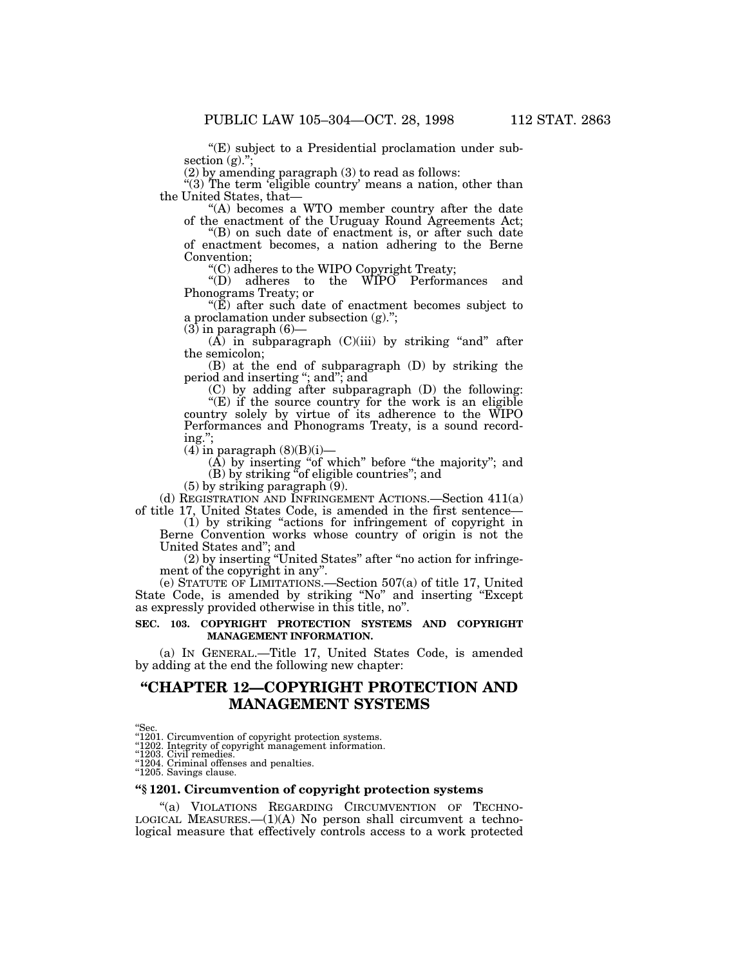''(E) subject to a Presidential proclamation under subsection (g).";

(2) by amending paragraph (3) to read as follows:

"(3) The term 'eligible country' means a nation, other than the United States, that—

"(A) becomes a WTO member country after the date of the enactment of the Uruguay Round Agreements Act;

''(B) on such date of enactment is, or after such date of enactment becomes, a nation adhering to the Berne Convention;

''(C) adheres to the WIPO Copyright Treaty;

''(D) adheres to the WIPO Performances and Phonograms Treaty; or

" $(E)$  after such date of enactment becomes subject to a proclamation under subsection (g).'';

 $(3)$  in paragraph  $(6)$ —

 $(\hat{A})$  in subparagraph  $(C)(iii)$  by striking "and" after the semicolon;

(B) at the end of subparagraph (D) by striking the period and inserting ''; and''; and

(C) by adding after subparagraph (D) the following:

"(E) if the source country for the work is an eligible country solely by virtue of its adherence to the WIPO Performances and Phonograms Treaty, is a sound recording.'';

 $(4)$  in paragraph  $(8)(B)(i)$ 

 $(A)$  by inserting "of which" before "the majority"; and (B) by striking ''of eligible countries''; and

(5) by striking paragraph (9).

(d) REGISTRATION AND INFRINGEMENT ACTIONS.—Section 411(a) of title 17, United States Code, is amended in the first sentence—

(1) by striking ''actions for infringement of copyright in Berne Convention works whose country of origin is not the United States and''; and

(2) by inserting ''United States'' after ''no action for infringement of the copyright in any''.

(e) STATUTE OF LIMITATIONS.—Section 507(a) of title 17, United State Code, is amended by striking ''No'' and inserting ''Except as expressly provided otherwise in this title, no''.

# **SEC. 103. COPYRIGHT PROTECTION SYSTEMS AND COPYRIGHT MANAGEMENT INFORMATION.**

(a) IN GENERAL.—Title 17, United States Code, is amended by adding at the end the following new chapter:

# **''CHAPTER 12—COPYRIGHT PROTECTION AND MANAGEMENT SYSTEMS**

# **''§ 1201. Circumvention of copyright protection systems**

"(a) VIOLATIONS REGARDING CIRCUMVENTION OF TECHNO-LOGICAL MEASURES.—(1)(A) No person shall circumvent a technological measure that effectively controls access to a work protected

<sup>&#</sup>x27;'Sec. ''1201. Circumvention of copyright protection systems. ''1202. Integrity of copyright management information. ''1203. Civil remedies. ''1204. Criminal offenses and penalties. ''1205. Savings clause.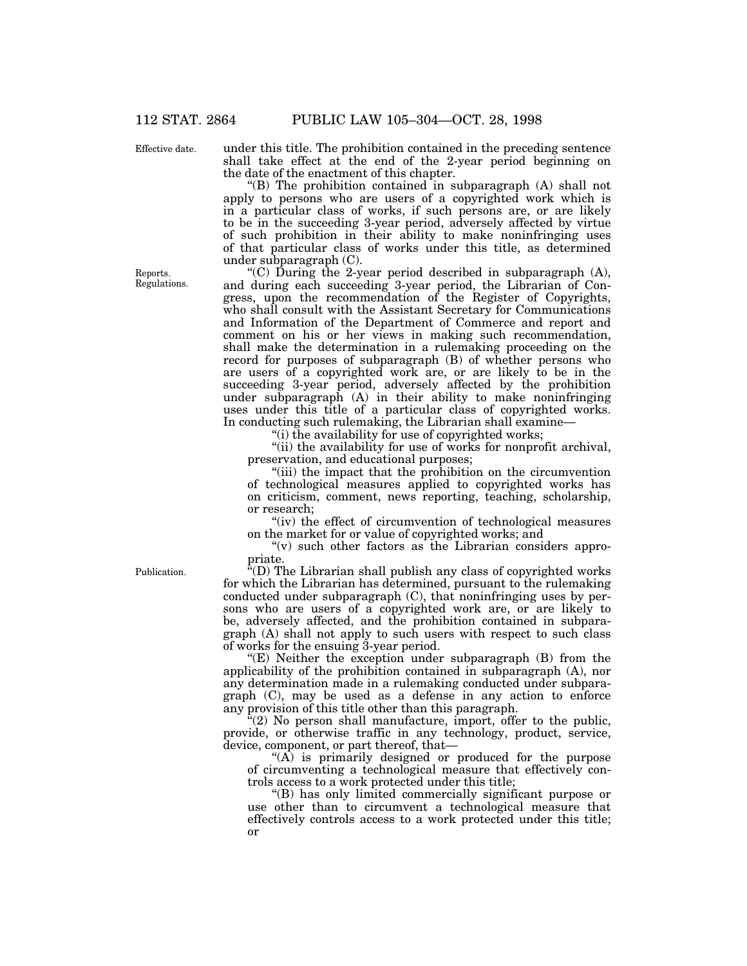Effective date.

under this title. The prohibition contained in the preceding sentence shall take effect at the end of the 2-year period beginning on the date of the enactment of this chapter.

"(B) The prohibition contained in subparagraph  $(A)$  shall not apply to persons who are users of a copyrighted work which is in a particular class of works, if such persons are, or are likely to be in the succeeding 3-year period, adversely affected by virtue of such prohibition in their ability to make noninfringing uses of that particular class of works under this title, as determined under subparagraph (C).

"(C) During the 2-year period described in subparagraph  $(A)$ , and during each succeeding 3-year period, the Librarian of Congress, upon the recommendation of the Register of Copyrights, who shall consult with the Assistant Secretary for Communications and Information of the Department of Commerce and report and comment on his or her views in making such recommendation, shall make the determination in a rulemaking proceeding on the record for purposes of subparagraph (B) of whether persons who are users of a copyrighted work are, or are likely to be in the succeeding 3-year period, adversely affected by the prohibition under subparagraph (A) in their ability to make noninfringing uses under this title of a particular class of copyrighted works. In conducting such rulemaking, the Librarian shall examine-

"(i) the availability for use of copyrighted works;

''(ii) the availability for use of works for nonprofit archival, preservation, and educational purposes;

"(iii) the impact that the prohibition on the circumvention of technological measures applied to copyrighted works has on criticism, comment, news reporting, teaching, scholarship, or research;

"(iv) the effect of circumvention of technological measures on the market for or value of copyrighted works; and

" $(v)$  such other factors as the Librarian considers appropriate.

 $E(D)$  The Librarian shall publish any class of copyrighted works for which the Librarian has determined, pursuant to the rulemaking conducted under subparagraph (C), that noninfringing uses by persons who are users of a copyrighted work are, or are likely to be, adversely affected, and the prohibition contained in subparagraph (A) shall not apply to such users with respect to such class of works for the ensuing 3-year period.

"(E) Neither the exception under subparagraph (B) from the applicability of the prohibition contained in subparagraph (A), nor any determination made in a rulemaking conducted under subparagraph (C), may be used as a defense in any action to enforce any provision of this title other than this paragraph.

 $(2)$  No person shall manufacture, import, offer to the public, provide, or otherwise traffic in any technology, product, service, device, component, or part thereof, that—

 $(A)$  is primarily designed or produced for the purpose of circumventing a technological measure that effectively controls access to a work protected under this title;

''(B) has only limited commercially significant purpose or use other than to circumvent a technological measure that effectively controls access to a work protected under this title; or

Publication.

Reports. Regulations.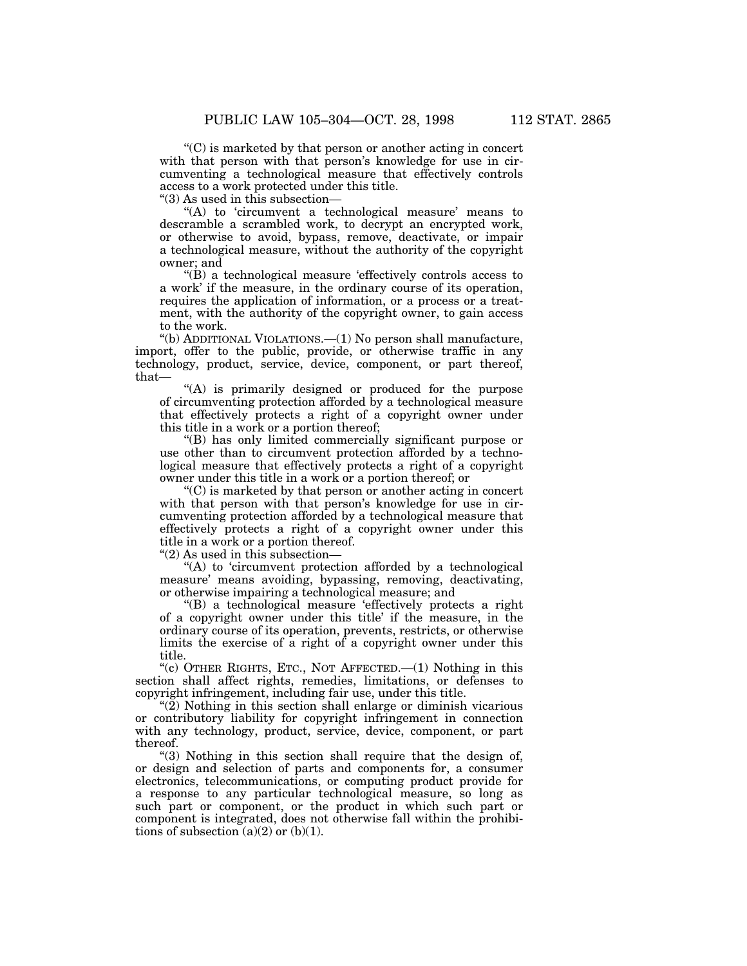$C$ ) is marketed by that person or another acting in concert with that person with that person's knowledge for use in circumventing a technological measure that effectively controls access to a work protected under this title.

''(3) As used in this subsection—

"(A) to 'circumvent a technological measure' means to descramble a scrambled work, to decrypt an encrypted work, or otherwise to avoid, bypass, remove, deactivate, or impair a technological measure, without the authority of the copyright owner; and

 $\mathrm{``(B)}$  a technological measure 'effectively controls access to a work' if the measure, in the ordinary course of its operation, requires the application of information, or a process or a treatment, with the authority of the copyright owner, to gain access to the work.

''(b) ADDITIONAL VIOLATIONS.—(1) No person shall manufacture, import, offer to the public, provide, or otherwise traffic in any technology, product, service, device, component, or part thereof, that—

''(A) is primarily designed or produced for the purpose of circumventing protection afforded by a technological measure that effectively protects a right of a copyright owner under this title in a work or a portion thereof;

''(B) has only limited commercially significant purpose or use other than to circumvent protection afforded by a technological measure that effectively protects a right of a copyright owner under this title in a work or a portion thereof; or

 $C$ ) is marketed by that person or another acting in concert with that person with that person's knowledge for use in circumventing protection afforded by a technological measure that effectively protects a right of a copyright owner under this title in a work or a portion thereof.

''(2) As used in this subsection—

''(A) to 'circumvent protection afforded by a technological measure' means avoiding, bypassing, removing, deactivating, or otherwise impairing a technological measure; and

''(B) a technological measure 'effectively protects a right of a copyright owner under this title' if the measure, in the ordinary course of its operation, prevents, restricts, or otherwise limits the exercise of a right of a copyright owner under this title.

"(c) OTHER RIGHTS, ETC., NOT AFFECTED.  $-(1)$  Nothing in this section shall affect rights, remedies, limitations, or defenses to copyright infringement, including fair use, under this title.

 $\mathcal{L}(2)$  Nothing in this section shall enlarge or diminish vicarious or contributory liability for copyright infringement in connection with any technology, product, service, device, component, or part thereof.

"(3) Nothing in this section shall require that the design of, or design and selection of parts and components for, a consumer electronics, telecommunications, or computing product provide for a response to any particular technological measure, so long as such part or component, or the product in which such part or component is integrated, does not otherwise fall within the prohibitions of subsection  $(a)(2)$  or  $(b)(1)$ .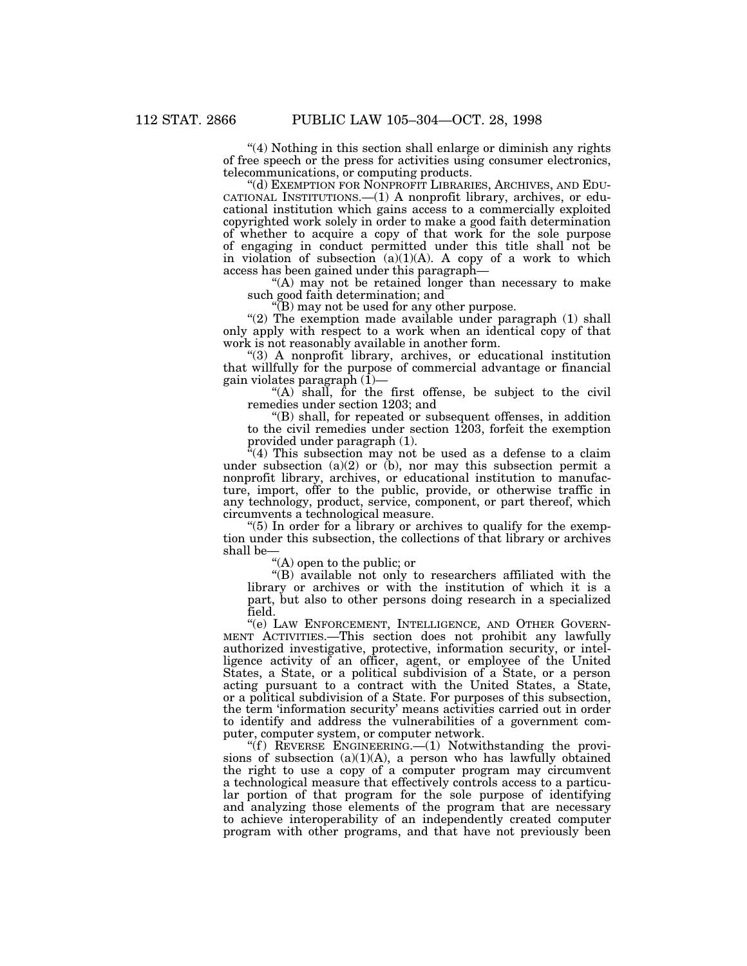''(4) Nothing in this section shall enlarge or diminish any rights of free speech or the press for activities using consumer electronics, telecommunications, or computing products.

''(d) EXEMPTION FOR NONPROFIT LIBRARIES, ARCHIVES, AND EDU-CATIONAL INSTITUTIONS.—(1) A nonprofit library, archives, or educational institution which gains access to a commercially exploited copyrighted work solely in order to make a good faith determination of whether to acquire a copy of that work for the sole purpose of engaging in conduct permitted under this title shall not be in violation of subsection  $(a)(1)(A)$ . A copy of a work to which access has been gained under this paragraph—

"(A) may not be retained longer than necessary to make such good faith determination; and

''(B) may not be used for any other purpose.

" $(2)$  The exemption made available under paragraph  $(1)$  shall only apply with respect to a work when an identical copy of that work is not reasonably available in another form.

''(3) A nonprofit library, archives, or educational institution that willfully for the purpose of commercial advantage or financial gain violates paragraph (1)—

"(A) shall, for the first offense, be subject to the civil remedies under section 1203; and

''(B) shall, for repeated or subsequent offenses, in addition to the civil remedies under section 1203, forfeit the exemption provided under paragraph (1).

"(4) This subsection may not be used as a defense to a claim under subsection  $(a)(2)$  or  $(b)$ , nor may this subsection permit a nonprofit library, archives, or educational institution to manufacture, import, offer to the public, provide, or otherwise traffic in any technology, product, service, component, or part thereof, which circumvents a technological measure.

"(5) In order for a library or archives to qualify for the exemption under this subsection, the collections of that library or archives shall be—

''(A) open to the public; or

''(B) available not only to researchers affiliated with the library or archives or with the institution of which it is a part, but also to other persons doing research in a specialized field.

''(e) LAW ENFORCEMENT, INTELLIGENCE, AND OTHER GOVERN-MENT ACTIVITIES.—This section does not prohibit any lawfully authorized investigative, protective, information security, or intelligence activity of an officer, agent, or employee of the United States, a State, or a political subdivision of a State, or a person acting pursuant to a contract with the United States, a State, or a political subdivision of a State. For purposes of this subsection, the term 'information security' means activities carried out in order to identify and address the vulnerabilities of a government computer, computer system, or computer network.

"(f) REVERSE ENGINEERING.— $(1)$  Notwithstanding the provisions of subsection  $(a)(1)(A)$ , a person who has lawfully obtained the right to use a copy of a computer program may circumvent a technological measure that effectively controls access to a particular portion of that program for the sole purpose of identifying and analyzing those elements of the program that are necessary to achieve interoperability of an independently created computer program with other programs, and that have not previously been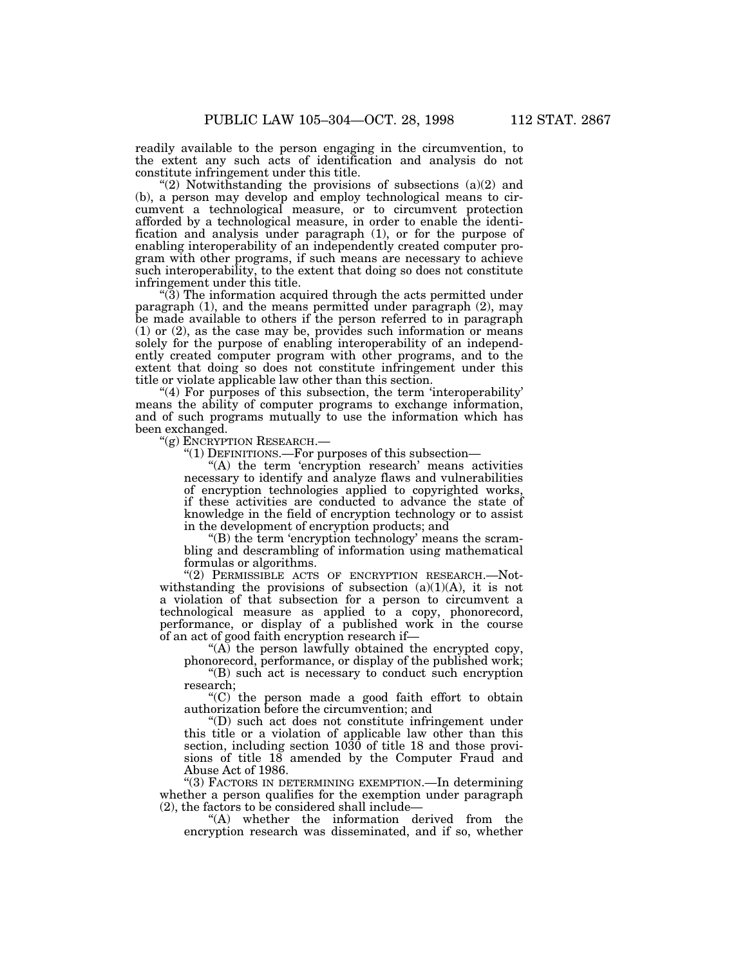readily available to the person engaging in the circumvention, to the extent any such acts of identification and analysis do not constitute infringement under this title.

"(2) Notwithstanding the provisions of subsections  $(a)(2)$  and (b), a person may develop and employ technological means to circumvent a technological measure, or to circumvent protection afforded by a technological measure, in order to enable the identification and analysis under paragraph (1), or for the purpose of enabling interoperability of an independently created computer program with other programs, if such means are necessary to achieve such interoperability, to the extent that doing so does not constitute infringement under this title.

''(3) The information acquired through the acts permitted under paragraph (1), and the means permitted under paragraph (2), may be made available to others if the person referred to in paragraph (1) or (2), as the case may be, provides such information or means solely for the purpose of enabling interoperability of an independently created computer program with other programs, and to the extent that doing so does not constitute infringement under this title or violate applicable law other than this section.

 $(4)$  For purposes of this subsection, the term 'interoperability' means the ability of computer programs to exchange information, and of such programs mutually to use the information which has been exchanged.

''(g) ENCRYPTION RESEARCH.—

''(1) DEFINITIONS.—For purposes of this subsection—

"(A) the term 'encryption research' means activities necessary to identify and analyze flaws and vulnerabilities of encryption technologies applied to copyrighted works, if these activities are conducted to advance the state of knowledge in the field of encryption technology or to assist in the development of encryption products; and

''(B) the term 'encryption technology' means the scrambling and descrambling of information using mathematical formulas or algorithms.

"(2) PERMISSIBLE ACTS OF ENCRYPTION RESEARCH.- Notwithstanding the provisions of subsection  $(a)(1)(A)$ , it is not a violation of that subsection for a person to circumvent a technological measure as applied to a copy, phonorecord, performance, or display of a published work in the course of an act of good faith encryption research if—

" $(A)$  the person lawfully obtained the encrypted copy, phonorecord, performance, or display of the published work;

''(B) such act is necessary to conduct such encryption research;

''(C) the person made a good faith effort to obtain authorization before the circumvention; and

''(D) such act does not constitute infringement under this title or a violation of applicable law other than this section, including section 1030 of title 18 and those provisions of title 18 amended by the Computer Fraud and Abuse Act of 1986.

''(3) FACTORS IN DETERMINING EXEMPTION.—In determining whether a person qualifies for the exemption under paragraph (2), the factors to be considered shall include—

''(A) whether the information derived from the encryption research was disseminated, and if so, whether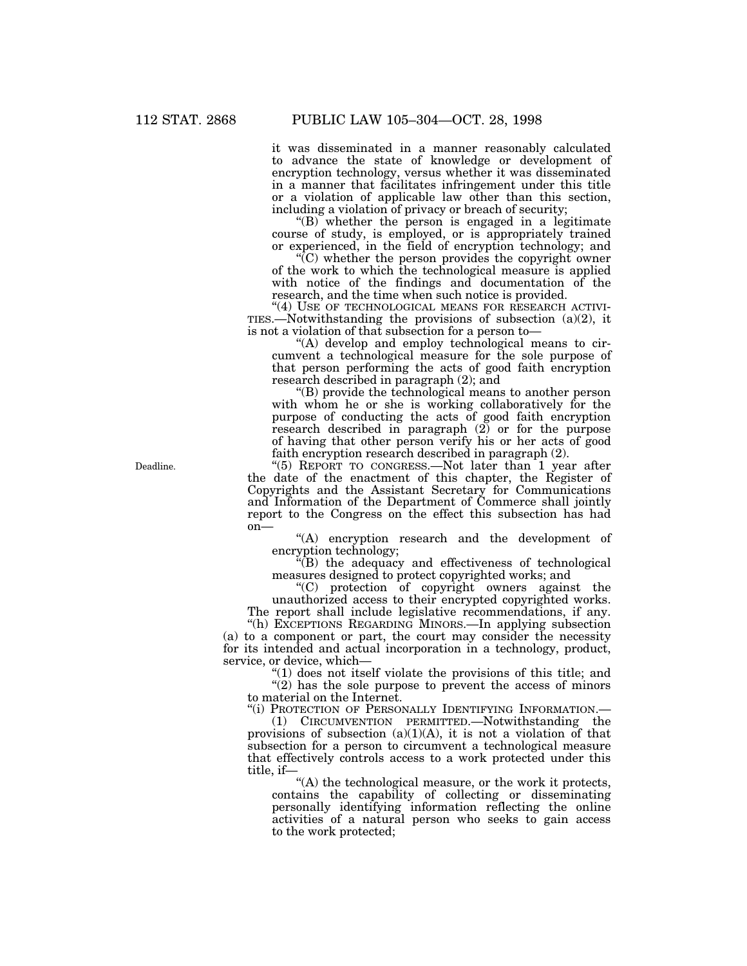it was disseminated in a manner reasonably calculated to advance the state of knowledge or development of encryption technology, versus whether it was disseminated in a manner that facilitates infringement under this title or a violation of applicable law other than this section, including a violation of privacy or breach of security;

 $'(B)$  whether the person is engaged in a legitimate course of study, is employed, or is appropriately trained or experienced, in the field of encryption technology; and

''(C) whether the person provides the copyright owner of the work to which the technological measure is applied with notice of the findings and documentation of the research, and the time when such notice is provided.

"(4) USE OF TECHNOLOGICAL MEANS FOR RESEARCH ACTIVI-TIES.—Notwithstanding the provisions of subsection  $(a)(2)$ , it is not a violation of that subsection for a person to—

''(A) develop and employ technological means to circumvent a technological measure for the sole purpose of that person performing the acts of good faith encryption research described in paragraph (2); and

''(B) provide the technological means to another person with whom he or she is working collaboratively for the purpose of conducting the acts of good faith encryption research described in paragraph (2) or for the purpose of having that other person verify his or her acts of good faith encryption research described in paragraph (2).

"(5) REPORT TO CONGRESS.—Not later than 1 year after the date of the enactment of this chapter, the Register of Copyrights and the Assistant Secretary for Communications and Information of the Department of Commerce shall jointly report to the Congress on the effect this subsection has had  $on$ —

''(A) encryption research and the development of encryption technology;

''(B) the adequacy and effectiveness of technological measures designed to protect copyrighted works; and

''(C) protection of copyright owners against the unauthorized access to their encrypted copyrighted works. The report shall include legislative recommendations, if any.

''(h) EXCEPTIONS REGARDING MINORS.—In applying subsection (a) to a component or part, the court may consider the necessity for its intended and actual incorporation in a technology, product, service, or device, which—

''(1) does not itself violate the provisions of this title; and  $\hat{C}(2)$  has the sole purpose to prevent the access of minors to material on the Internet.

"(i) PROTECTION OF PERSONALLY IDENTIFYING INFORMATION.-

(1) CIRCUMVENTION PERMITTED.—Notwithstanding the provisions of subsection  $(a)(1)(A)$ , it is not a violation of that subsection for a person to circumvent a technological measure that effectively controls access to a work protected under this title, if—

"(A) the technological measure, or the work it protects, contains the capability of collecting or disseminating personally identifying information reflecting the online activities of a natural person who seeks to gain access to the work protected;

Deadline.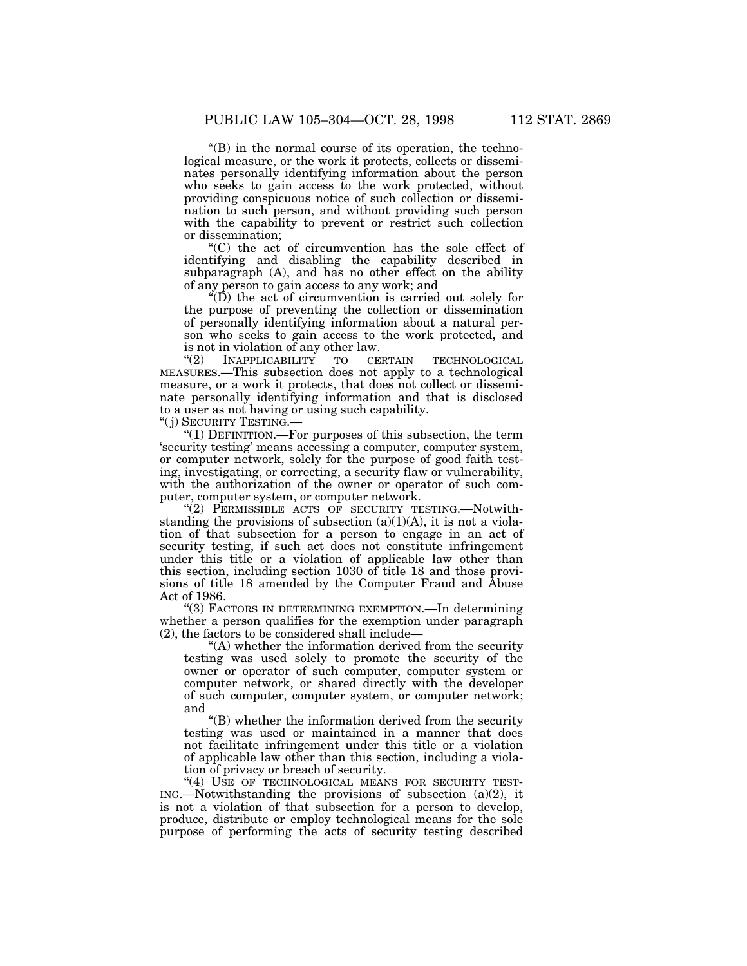$\mathrm{``(B)}$  in the normal course of its operation, the technological measure, or the work it protects, collects or disseminates personally identifying information about the person who seeks to gain access to the work protected, without providing conspicuous notice of such collection or dissemination to such person, and without providing such person with the capability to prevent or restrict such collection or dissemination;

''(C) the act of circumvention has the sole effect of identifying and disabling the capability described in subparagraph (A), and has no other effect on the ability of any person to gain access to any work; and

 $\sqrt{\text{D}}$  the act of circumvention is carried out solely for the purpose of preventing the collection or dissemination of personally identifying information about a natural person who seeks to gain access to the work protected, and is not in violation of any other law.<br>
"(2) INAPPLICABILITY TO CERTAIN

INAPPLICABILITY TO CERTAIN TECHNOLOGICAL MEASURES.—This subsection does not apply to a technological measure, or a work it protects, that does not collect or disseminate personally identifying information and that is disclosed to a user as not having or using such capability.

''( j) SECURITY TESTING.—

" $(1)$  DEFINITION.—For purposes of this subsection, the term 'security testing' means accessing a computer, computer system, or computer network, solely for the purpose of good faith testing, investigating, or correcting, a security flaw or vulnerability, with the authorization of the owner or operator of such computer, computer system, or computer network.

"(2) PERMISSIBLE ACTS OF SECURITY TESTING.—Notwithstanding the provisions of subsection  $(a)(1)(A)$ , it is not a violation of that subsection for a person to engage in an act of security testing, if such act does not constitute infringement under this title or a violation of applicable law other than this section, including section 1030 of title 18 and those provisions of title 18 amended by the Computer Fraud and Abuse Act of 1986.

''(3) FACTORS IN DETERMINING EXEMPTION.—In determining whether a person qualifies for the exemption under paragraph (2), the factors to be considered shall include—

''(A) whether the information derived from the security testing was used solely to promote the security of the owner or operator of such computer, computer system or computer network, or shared directly with the developer of such computer, computer system, or computer network; and

''(B) whether the information derived from the security testing was used or maintained in a manner that does not facilitate infringement under this title or a violation of applicable law other than this section, including a violation of privacy or breach of security.

"(4) USE OF TECHNOLOGICAL MEANS FOR SECURITY TEST- $ING.$ —Notwithstanding the provisions of subsection (a)(2), it is not a violation of that subsection for a person to develop, produce, distribute or employ technological means for the sole purpose of performing the acts of security testing described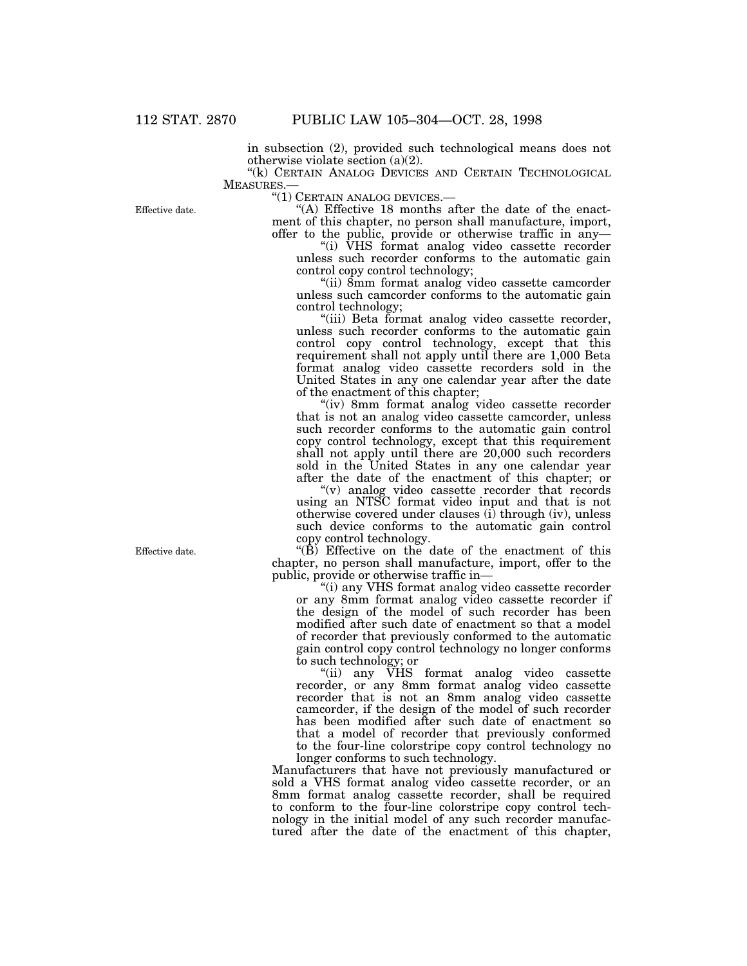in subsection (2), provided such technological means does not otherwise violate section (a)(2).

"(k) CERTAIN ANALOG DEVICES AND CERTAIN TECHNOLOGICAL MEASURES.—

''(1) CERTAIN ANALOG DEVICES.—

"(A) Effective 18 months after the date of the enactment of this chapter, no person shall manufacture, import, offer to the public, provide or otherwise traffic in any—

''(i) VHS format analog video cassette recorder unless such recorder conforms to the automatic gain control copy control technology;

"(ii) 8mm format analog video cassette camcorder unless such camcorder conforms to the automatic gain control technology;

"(iii) Beta format analog video cassette recorder, unless such recorder conforms to the automatic gain control copy control technology, except that this requirement shall not apply until there are 1,000 Beta format analog video cassette recorders sold in the United States in any one calendar year after the date of the enactment of this chapter;

''(iv) 8mm format analog video cassette recorder that is not an analog video cassette camcorder, unless such recorder conforms to the automatic gain control copy control technology, except that this requirement shall not apply until there are 20,000 such recorders sold in the United States in any one calendar year after the date of the enactment of this chapter; or

''(v) analog video cassette recorder that records using an NTSC format video input and that is not otherwise covered under clauses (i) through (iv), unless such device conforms to the automatic gain control copy control technology.

" $(\dot{B})$  Effective on the date of the enactment of this chapter, no person shall manufacture, import, offer to the public, provide or otherwise traffic in—

''(i) any VHS format analog video cassette recorder or any 8mm format analog video cassette recorder if the design of the model of such recorder has been modified after such date of enactment so that a model of recorder that previously conformed to the automatic gain control copy control technology no longer conforms to such technology; or

''(ii) any VHS format analog video cassette recorder, or any 8mm format analog video cassette recorder that is not an 8mm analog video cassette camcorder, if the design of the model of such recorder has been modified after such date of enactment so that a model of recorder that previously conformed to the four-line colorstripe copy control technology no longer conforms to such technology.

Manufacturers that have not previously manufactured or sold a VHS format analog video cassette recorder, or an 8mm format analog cassette recorder, shall be required to conform to the four-line colorstripe copy control technology in the initial model of any such recorder manufactured after the date of the enactment of this chapter,

Effective date.

Effective date.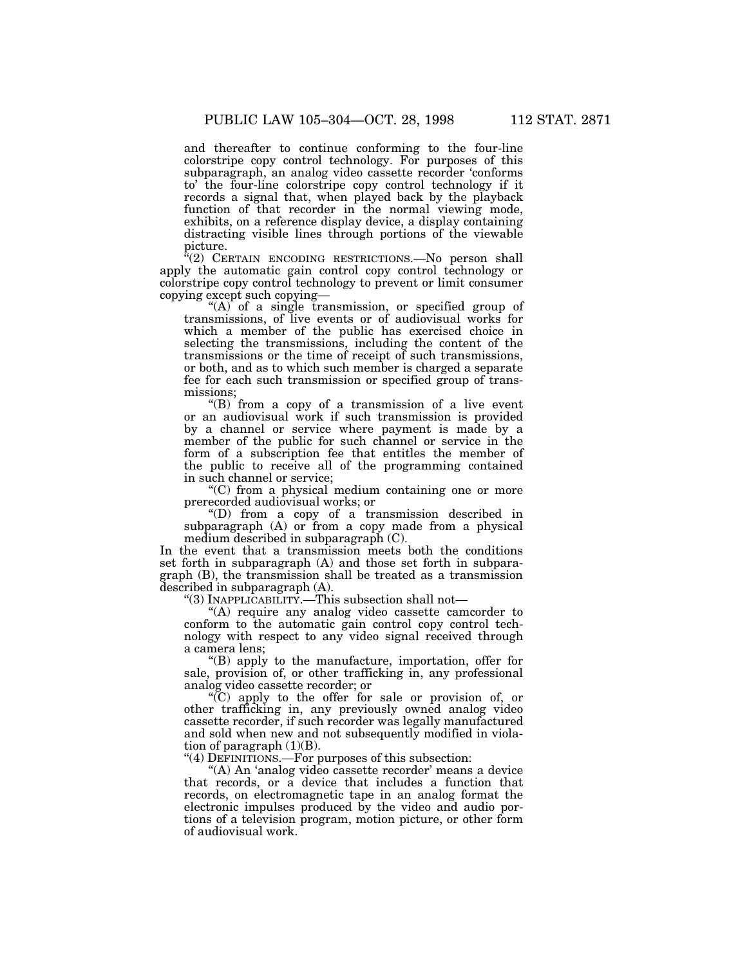and thereafter to continue conforming to the four-line colorstripe copy control technology. For purposes of this subparagraph, an analog video cassette recorder 'conforms to' the four-line colorstripe copy control technology if it records a signal that, when played back by the playback function of that recorder in the normal viewing mode, exhibits, on a reference display device, a display containing distracting visible lines through portions of the viewable picture.

''(2) CERTAIN ENCODING RESTRICTIONS.—No person shall apply the automatic gain control copy control technology or colorstripe copy control technology to prevent or limit consumer copying except such copying—

"(A) of a single transmission, or specified group of transmissions, of live events or of audiovisual works for which a member of the public has exercised choice in selecting the transmissions, including the content of the transmissions or the time of receipt of such transmissions, or both, and as to which such member is charged a separate fee for each such transmission or specified group of transmissions;

"(B) from a copy of a transmission of a live event or an audiovisual work if such transmission is provided by a channel or service where payment is made by a member of the public for such channel or service in the form of a subscription fee that entitles the member of the public to receive all of the programming contained in such channel or service;

''(C) from a physical medium containing one or more prerecorded audiovisual works; or

''(D) from a copy of a transmission described in subparagraph (A) or from a copy made from a physical medium described in subparagraph (C).

In the event that a transmission meets both the conditions set forth in subparagraph (A) and those set forth in subparagraph (B), the transmission shall be treated as a transmission described in subparagraph (A).

''(3) INAPPLICABILITY.—This subsection shall not—

 $(A)$  require any analog video cassette camcorder to conform to the automatic gain control copy control technology with respect to any video signal received through a camera lens;

''(B) apply to the manufacture, importation, offer for sale, provision of, or other trafficking in, any professional analog video cassette recorder; or

''(C) apply to the offer for sale or provision of, or other trafficking in, any previously owned analog video cassette recorder, if such recorder was legally manufactured and sold when new and not subsequently modified in violation of paragraph  $(1)(B)$ .

" $(4)$  DEFINITIONS.—For purposes of this subsection:

"(A) An 'analog video cassette recorder' means a device that records, or a device that includes a function that records, on electromagnetic tape in an analog format the electronic impulses produced by the video and audio portions of a television program, motion picture, or other form of audiovisual work.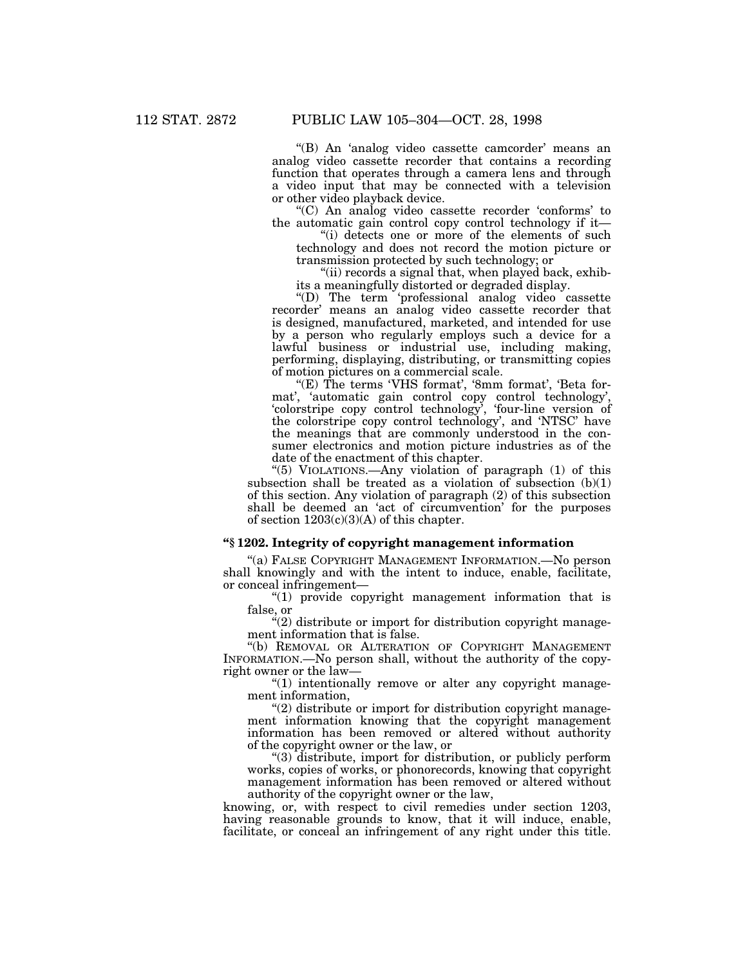"(B) An 'analog video cassette camcorder' means an analog video cassette recorder that contains a recording function that operates through a camera lens and through a video input that may be connected with a television or other video playback device.

''(C) An analog video cassette recorder 'conforms' to the automatic gain control copy control technology if it—

"(i) detects one or more of the elements of such technology and does not record the motion picture or transmission protected by such technology; or

"(ii) records a signal that, when played back, exhibits a meaningfully distorted or degraded display.

''(D) The term 'professional analog video cassette recorder' means an analog video cassette recorder that is designed, manufactured, marketed, and intended for use by a person who regularly employs such a device for a lawful business or industrial use, including making, performing, displaying, distributing, or transmitting copies of motion pictures on a commercial scale.

"(E) The terms 'VHS format', '8mm format', 'Beta format', 'automatic gain control copy control technology', 'colorstripe copy control technology', 'four-line version of the colorstripe copy control technology', and 'NTSC' have the meanings that are commonly understood in the consumer electronics and motion picture industries as of the date of the enactment of this chapter.

''(5) VIOLATIONS.—Any violation of paragraph (1) of this subsection shall be treated as a violation of subsection (b)(1) of this section. Any violation of paragraph (2) of this subsection shall be deemed an 'act of circumvention' for the purposes of section  $1203(c)(3)(A)$  of this chapter.

## **''§ 1202. Integrity of copyright management information**

''(a) FALSE COPYRIGHT MANAGEMENT INFORMATION.—No person shall knowingly and with the intent to induce, enable, facilitate, or conceal infringement—

''(1) provide copyright management information that is false, or

 $\degree$ (2) distribute or import for distribution copyright management information that is false.

''(b) REMOVAL OR ALTERATION OF COPYRIGHT MANAGEMENT INFORMATION.—No person shall, without the authority of the copyright owner or the law—

"(1) intentionally remove or alter any copyright management information,

"(2) distribute or import for distribution copyright management information knowing that the copyright management information has been removed or altered without authority of the copyright owner or the law, or

''(3) distribute, import for distribution, or publicly perform works, copies of works, or phonorecords, knowing that copyright management information has been removed or altered without authority of the copyright owner or the law,

knowing, or, with respect to civil remedies under section 1203, having reasonable grounds to know, that it will induce, enable, facilitate, or conceal an infringement of any right under this title.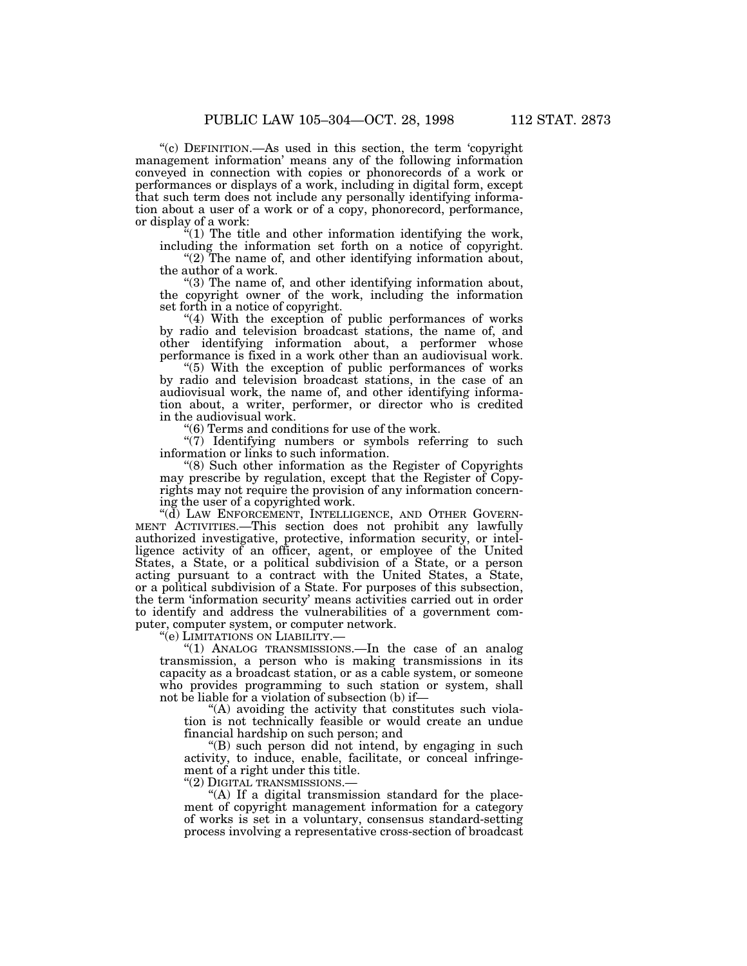''(c) DEFINITION.—As used in this section, the term 'copyright management information' means any of the following information conveyed in connection with copies or phonorecords of a work or performances or displays of a work, including in digital form, except that such term does not include any personally identifying information about a user of a work or of a copy, phonorecord, performance, or display of a work:

 $f(1)$  The title and other information identifying the work, including the information set forth on a notice of copyright.

"(2) The name of, and other identifying information about, the author of a work.

''(3) The name of, and other identifying information about, the copyright owner of the work, including the information set forth in a notice of copyright.

"(4) With the exception of public performances of works by radio and television broadcast stations, the name of, and other identifying information about, a performer whose performance is fixed in a work other than an audiovisual work.

"(5) With the exception of public performances of works by radio and television broadcast stations, in the case of an audiovisual work, the name of, and other identifying information about, a writer, performer, or director who is credited in the audiovisual work.

''(6) Terms and conditions for use of the work.

"(7) Identifying numbers or symbols referring to such information or links to such information.

''(8) Such other information as the Register of Copyrights may prescribe by regulation, except that the Register of Copyrights may not require the provision of any information concerning the user of a copyrighted work.

"(d) LAW ENFORCEMENT, INTELLIGENCE, AND OTHER GOVERN-MENT ACTIVITIES.—This section does not prohibit any lawfully authorized investigative, protective, information security, or intelligence activity of an officer, agent, or employee of the United States, a State, or a political subdivision of a State, or a person acting pursuant to a contract with the United States, a State, or a political subdivision of a State. For purposes of this subsection, the term 'information security' means activities carried out in order to identify and address the vulnerabilities of a government computer, computer system, or computer network.

''(e) LIMITATIONS ON LIABILITY.—

''(1) ANALOG TRANSMISSIONS.—In the case of an analog transmission, a person who is making transmissions in its capacity as a broadcast station, or as a cable system, or someone who provides programming to such station or system, shall not be liable for a violation of subsection (b) if—

"(A) avoiding the activity that constitutes such violation is not technically feasible or would create an undue financial hardship on such person; and

''(B) such person did not intend, by engaging in such activity, to induce, enable, facilitate, or conceal infringement of a right under this title.

''(2) DIGITAL TRANSMISSIONS.—

"(A) If a digital transmission standard for the placement of copyright management information for a category of works is set in a voluntary, consensus standard-setting process involving a representative cross-section of broadcast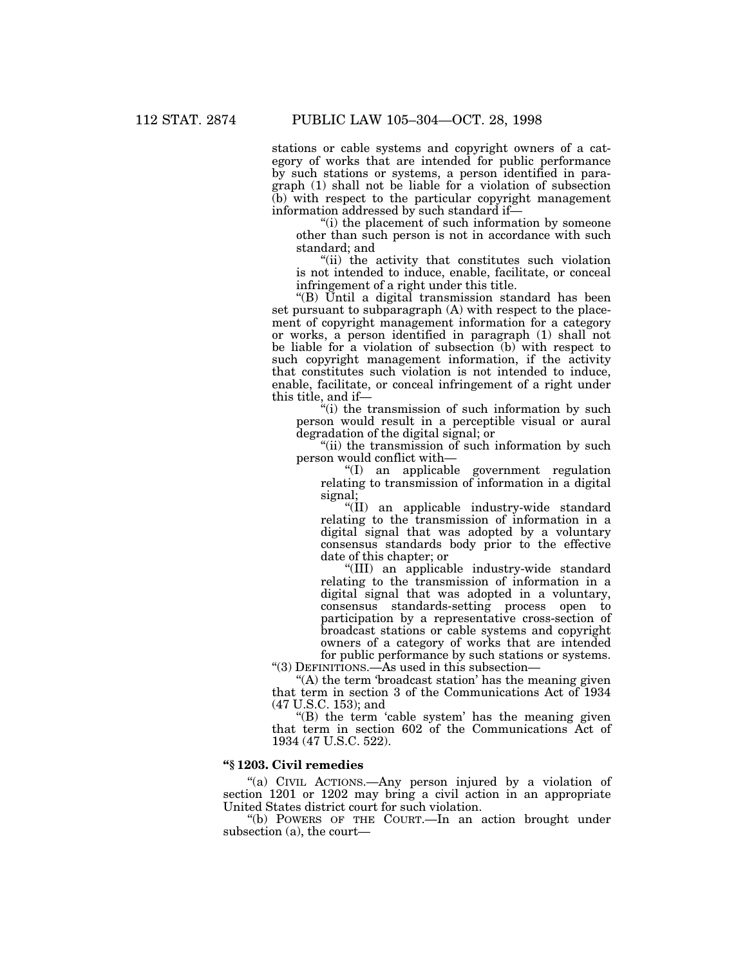stations or cable systems and copyright owners of a category of works that are intended for public performance by such stations or systems, a person identified in paragraph (1) shall not be liable for a violation of subsection (b) with respect to the particular copyright management information addressed by such standard if—

''(i) the placement of such information by someone other than such person is not in accordance with such standard; and

''(ii) the activity that constitutes such violation is not intended to induce, enable, facilitate, or conceal infringement of a right under this title.

''(B) Until a digital transmission standard has been set pursuant to subparagraph (A) with respect to the placement of copyright management information for a category or works, a person identified in paragraph (1) shall not be liable for a violation of subsection (b) with respect to such copyright management information, if the activity that constitutes such violation is not intended to induce, enable, facilitate, or conceal infringement of a right under this title, and if—

"(i) the transmission of such information by such person would result in a perceptible visual or aural degradation of the digital signal; or

"(ii) the transmission of such information by such person would conflict with—

''(I) an applicable government regulation relating to transmission of information in a digital signal;

''(II) an applicable industry-wide standard relating to the transmission of information in a digital signal that was adopted by a voluntary consensus standards body prior to the effective date of this chapter; or

''(III) an applicable industry-wide standard relating to the transmission of information in a digital signal that was adopted in a voluntary, consensus standards-setting process open to participation by a representative cross-section of broadcast stations or cable systems and copyright owners of a category of works that are intended for public performance by such stations or systems.

''(3) DEFINITIONS.—As used in this subsection—

 $<sup>"</sup>(A)$  the term 'broadcast station' has the meaning given</sup> that term in section 3 of the Communications Act of 1934 (47 U.S.C. 153); and

" $(B)$  the term 'cable system' has the meaning given that term in section 602 of the Communications Act of 1934 (47 U.S.C. 522).

# **''§ 1203. Civil remedies**

''(a) CIVIL ACTIONS.—Any person injured by a violation of section 1201 or 1202 may bring a civil action in an appropriate United States district court for such violation.

''(b) POWERS OF THE COURT.—In an action brought under subsection (a), the court—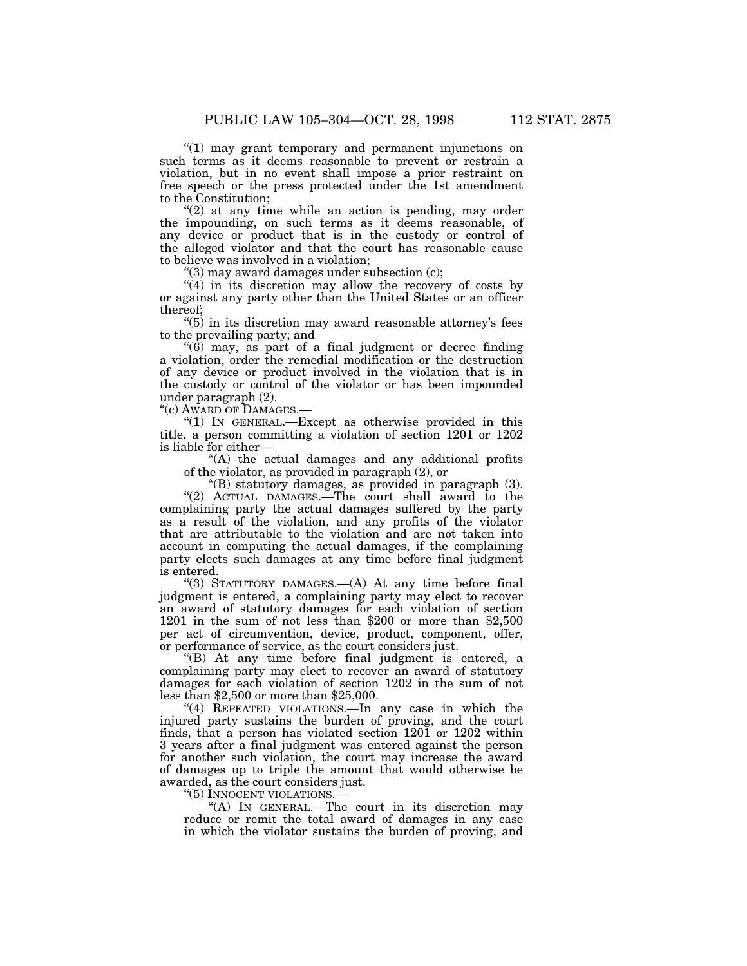''(1) may grant temporary and permanent injunctions on such terms as it deems reasonable to prevent or restrain a violation, but in no event shall impose a prior restraint on free speech or the press protected under the 1st amendment to the Constitution;

"(2) at any time while an action is pending, may order the impounding, on such terms as it deems reasonable, of any device or product that is in the custody or control of the alleged violator and that the court has reasonable cause to believe was involved in a violation;

" $(3)$  may award damages under subsection  $(c)$ ;

"(4) in its discretion may allow the recovery of costs by or against any party other than the United States or an officer thereof;

"(5) in its discretion may award reasonable attorney's fees to the prevailing party; and

 $(6)$  may, as part of a final judgment or decree finding a violation, order the remedial modification or the destruction of any device or product involved in the violation that is in the custody or control of the violator or has been impounded under paragraph (2).

''(c) AWARD OF DAMAGES.—

"(1) IN GENERAL.—Except as otherwise provided in this title, a person committing a violation of section 1201 or 1202 is liable for either—

''(A) the actual damages and any additional profits of the violator, as provided in paragraph (2), or

"(B) statutory damages, as provided in paragraph (3). "(2) ACTUAL DAMAGES.—The court shall award to the complaining party the actual damages suffered by the party as a result of the violation, and any profits of the violator that are attributable to the violation and are not taken into account in computing the actual damages, if the complaining party elects such damages at any time before final judgment is entered.

"(3) STATUTORY DAMAGES.—(A) At any time before final judgment is entered, a complaining party may elect to recover an award of statutory damages for each violation of section 1201 in the sum of not less than \$200 or more than \$2,500 per act of circumvention, device, product, component, offer, or performance of service, as the court considers just.

''(B) At any time before final judgment is entered, a complaining party may elect to recover an award of statutory damages for each violation of section 1202 in the sum of not less than \$2,500 or more than \$25,000.

"(4) REPEATED VIOLATIONS.—In any case in which the injured party sustains the burden of proving, and the court finds, that a person has violated section 1201 or 1202 within 3 years after a final judgment was entered against the person for another such violation, the court may increase the award of damages up to triple the amount that would otherwise be awarded, as the court considers just.

''(5) INNOCENT VIOLATIONS.—

''(A) IN GENERAL.—The court in its discretion may reduce or remit the total award of damages in any case in which the violator sustains the burden of proving, and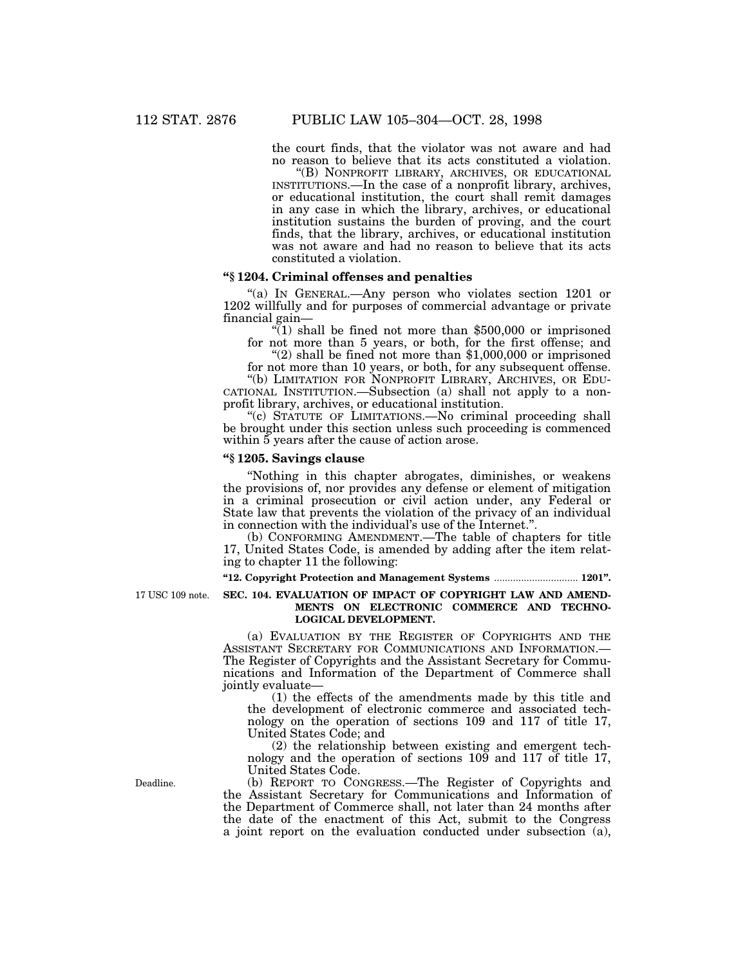the court finds, that the violator was not aware and had no reason to believe that its acts constituted a violation.

''(B) NONPROFIT LIBRARY, ARCHIVES, OR EDUCATIONAL INSTITUTIONS.—In the case of a nonprofit library, archives, or educational institution, the court shall remit damages in any case in which the library, archives, or educational institution sustains the burden of proving, and the court finds, that the library, archives, or educational institution was not aware and had no reason to believe that its acts constituted a violation.

# **''§ 1204. Criminal offenses and penalties**

''(a) IN GENERAL.—Any person who violates section 1201 or 1202 willfully and for purposes of commercial advantage or private financial gain—

 $\degree$ (1) shall be fined not more than \$500,000 or imprisoned for not more than 5 years, or both, for the first offense; and

" $(2)$  shall be fined not more than \$1,000,000 or imprisoned for not more than 10 years, or both, for any subsequent offense.

''(b) LIMITATION FOR NONPROFIT LIBRARY, ARCHIVES, OR EDU-CATIONAL INSTITUTION.—Subsection (a) shall not apply to a nonprofit library, archives, or educational institution.

''(c) STATUTE OF LIMITATIONS.—No criminal proceeding shall be brought under this section unless such proceeding is commenced within 5 years after the cause of action arose.

# **''§ 1205. Savings clause**

''Nothing in this chapter abrogates, diminishes, or weakens the provisions of, nor provides any defense or element of mitigation in a criminal prosecution or civil action under, any Federal or State law that prevents the violation of the privacy of an individual in connection with the individual's use of the Internet.''.

(b) CONFORMING AMENDMENT.—The table of chapters for title 17, United States Code, is amended by adding after the item relating to chapter 11 the following:

**''12. Copyright Protection and Management Systems** ............................... **1201''.**

17 USC 109 note.

#### **SEC. 104. EVALUATION OF IMPACT OF COPYRIGHT LAW AND AMEND-MENTS ON ELECTRONIC COMMERCE AND TECHNO-LOGICAL DEVELOPMENT.**

(a) EVALUATION BY THE REGISTER OF COPYRIGHTS AND THE ASSISTANT SECRETARY FOR COMMUNICATIONS AND INFORMATION.— The Register of Copyrights and the Assistant Secretary for Communications and Information of the Department of Commerce shall jointly evaluate—

(1) the effects of the amendments made by this title and the development of electronic commerce and associated technology on the operation of sections 109 and 117 of title 17, United States Code; and

(2) the relationship between existing and emergent technology and the operation of sections 109 and 117 of title 17, United States Code.

(b) REPORT TO CONGRESS.—The Register of Copyrights and the Assistant Secretary for Communications and Information of the Department of Commerce shall, not later than 24 months after the date of the enactment of this Act, submit to the Congress a joint report on the evaluation conducted under subsection (a),

Deadline.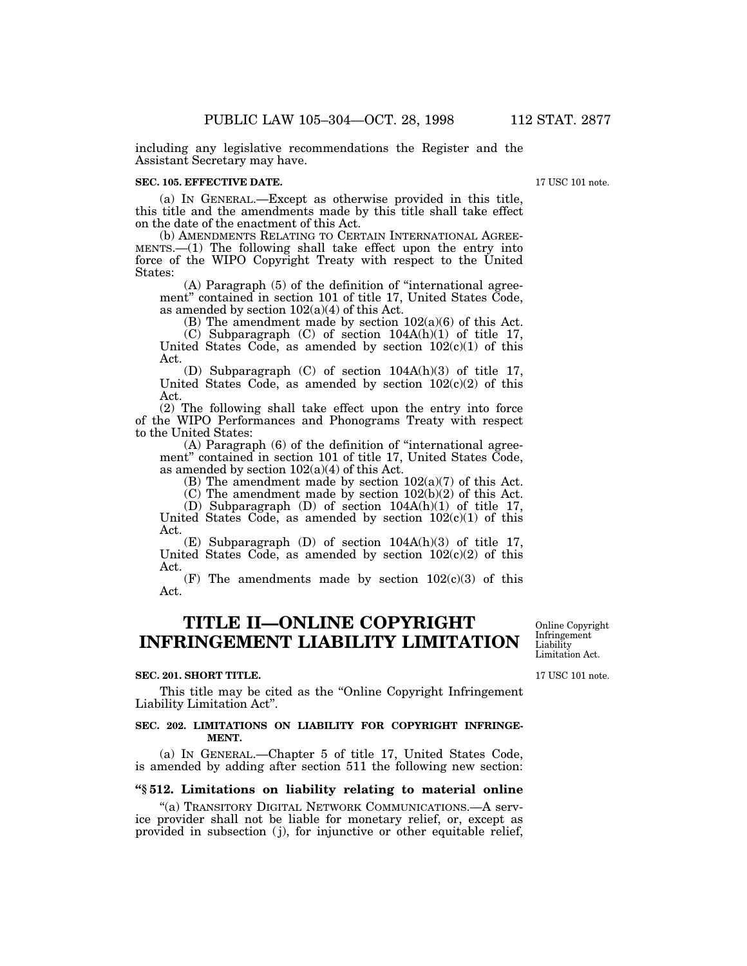including any legislative recommendations the Register and the Assistant Secretary may have.

#### **SEC. 105. EFFECTIVE DATE.**

(a) IN GENERAL.—Except as otherwise provided in this title, this title and the amendments made by this title shall take effect on the date of the enactment of this Act.

(b) AMENDMENTS RELATING TO CERTAIN INTERNATIONAL AGREE-MENTS.—(1) The following shall take effect upon the entry into force of the WIPO Copyright Treaty with respect to the United States:

(A) Paragraph (5) of the definition of ''international agreement'' contained in section 101 of title 17, United States Code, as amended by section 102(a)(4) of this Act.

(B) The amendment made by section  $102(a)(6)$  of this Act.

(C) Subparagraph (C) of section 104A(h)(1) of title 17, United States Code, as amended by section  $102(c)(1)$  of this Act.

(D) Subparagraph (C) of section 104A(h)(3) of title 17, United States Code, as amended by section  $102(c)(2)$  of this Act.

(2) The following shall take effect upon the entry into force of the WIPO Performances and Phonograms Treaty with respect to the United States:

(A) Paragraph (6) of the definition of ''international agreement'' contained in section 101 of title 17, United States Code, as amended by section  $102(a)(4)$  of this Act.

(B) The amendment made by section  $102(a)(7)$  of this Act.

 $(C)$  The amendment made by section  $102(b)(2)$  of this Act.

(D) Subparagraph (D) of section 104A(h)(1) of title 17, United States Code, as amended by section  $102(c)(1)$  of this Act.

(E) Subparagraph (D) of section 104A(h)(3) of title 17, United States Code, as amended by section  $102(c)(2)$  of this Act.

(F) The amendments made by section  $102(c)(3)$  of this Act.

# **TITLE II—ONLINE COPYRIGHT INFRINGEMENT LIABILITY LIMITATION**

#### **SEC. 201. SHORT TITLE.**

This title may be cited as the "Online Copyright Infringement" Liability Limitation Act''.

#### **SEC. 202. LIMITATIONS ON LIABILITY FOR COPYRIGHT INFRINGE-MENT.**

(a) IN GENERAL.—Chapter 5 of title 17, United States Code, is amended by adding after section 511 the following new section:

# **''§ 512. Limitations on liability relating to material online**

''(a) TRANSITORY DIGITAL NETWORK COMMUNICATIONS.—A service provider shall not be liable for monetary relief, or, except as provided in subsection (j), for injunctive or other equitable relief,

17 USC 101 note. Limitation Act.

Online Copyright Infringement Liability

17 USC 101 note.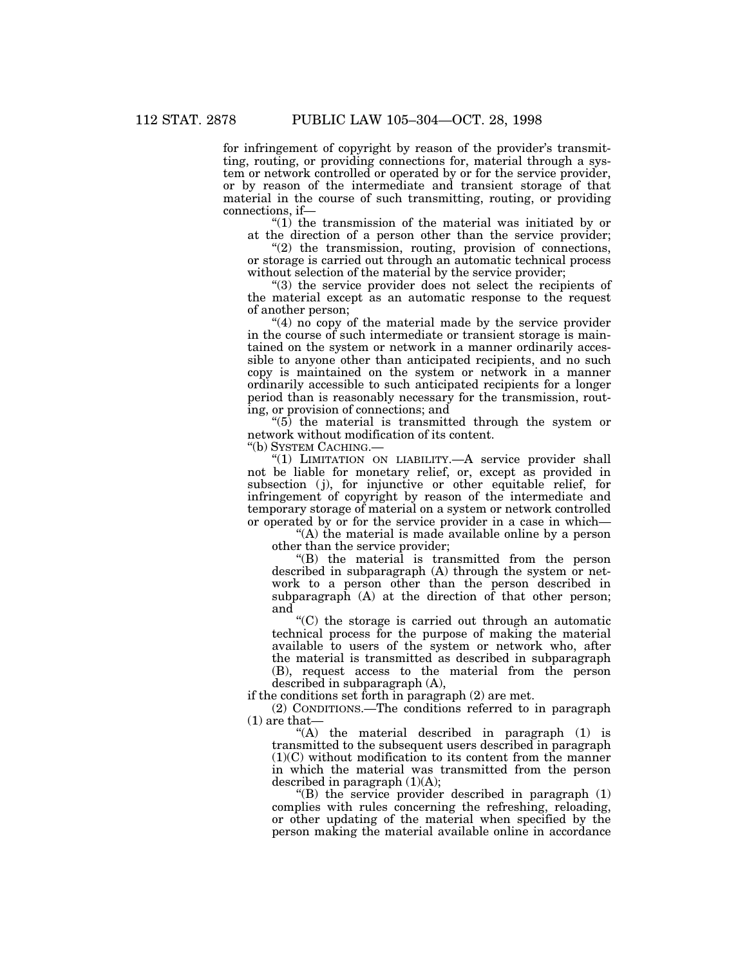for infringement of copyright by reason of the provider's transmitting, routing, or providing connections for, material through a system or network controlled or operated by or for the service provider, or by reason of the intermediate and transient storage of that material in the course of such transmitting, routing, or providing connections, if—

''(1) the transmission of the material was initiated by or at the direction of a person other than the service provider;

 $''(2)$  the transmission, routing, provision of connections, or storage is carried out through an automatic technical process without selection of the material by the service provider;

''(3) the service provider does not select the recipients of the material except as an automatic response to the request of another person;

" $(4)$  no copy of the material made by the service provider in the course of such intermediate or transient storage is maintained on the system or network in a manner ordinarily accessible to anyone other than anticipated recipients, and no such copy is maintained on the system or network in a manner ordinarily accessible to such anticipated recipients for a longer period than is reasonably necessary for the transmission, routing, or provision of connections; and

 $(5)$  the material is transmitted through the system or network without modification of its content.

''(b) SYSTEM CACHING.—

"(1) LIMITATION ON LIABILITY.—A service provider shall not be liable for monetary relief, or, except as provided in subsection (j), for injunctive or other equitable relief, for infringement of copyright by reason of the intermediate and temporary storage of material on a system or network controlled or operated by or for the service provider in a case in which—

''(A) the material is made available online by a person other than the service provider;

''(B) the material is transmitted from the person described in subparagraph (A) through the system or network to a person other than the person described in subparagraph (A) at the direction of that other person; and

 $C$ ) the storage is carried out through an automatic technical process for the purpose of making the material available to users of the system or network who, after the material is transmitted as described in subparagraph (B), request access to the material from the person described in subparagraph (A),

if the conditions set forth in paragraph (2) are met.

(2) CONDITIONS.—The conditions referred to in paragraph (1) are that—

 $(A)$  the material described in paragraph  $(1)$  is transmitted to the subsequent users described in paragraph (1)(C) without modification to its content from the manner in which the material was transmitted from the person described in paragraph  $(1)(A)$ ;

 $\mathrm{``(B)}$  the service provider described in paragraph  $(1)$ complies with rules concerning the refreshing, reloading, or other updating of the material when specified by the person making the material available online in accordance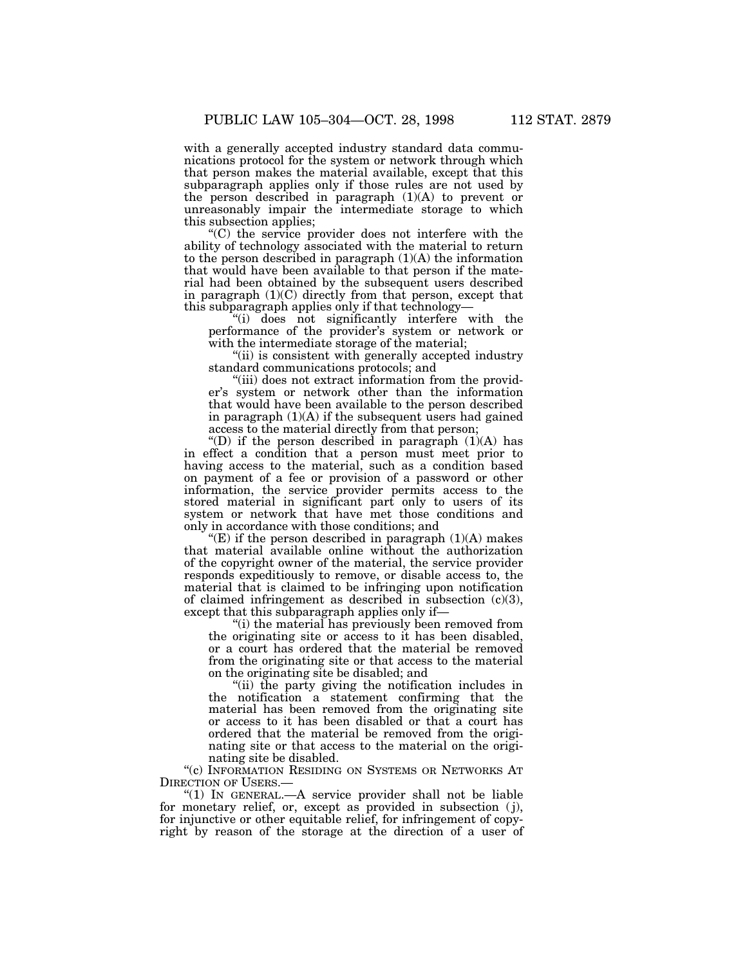with a generally accepted industry standard data communications protocol for the system or network through which that person makes the material available, except that this subparagraph applies only if those rules are not used by the person described in paragraph  $(1)(A)$  to prevent or unreasonably impair the intermediate storage to which this subsection applies;

''(C) the service provider does not interfere with the ability of technology associated with the material to return to the person described in paragraph (1)(A) the information that would have been available to that person if the material had been obtained by the subsequent users described in paragraph (1)(C) directly from that person, except that this subparagraph applies only if that technology—

''(i) does not significantly interfere with the performance of the provider's system or network or with the intermediate storage of the material;

"(ii) is consistent with generally accepted industry standard communications protocols; and

"(iii) does not extract information from the provider's system or network other than the information that would have been available to the person described in paragraph  $(1)(A)$  if the subsequent users had gained access to the material directly from that person;

"(D) if the person described in paragraph  $(1)(A)$  has in effect a condition that a person must meet prior to having access to the material, such as a condition based on payment of a fee or provision of a password or other information, the service provider permits access to the stored material in significant part only to users of its system or network that have met those conditions and only in accordance with those conditions; and

"(E) if the person described in paragraph  $(1)(A)$  makes that material available online without the authorization of the copyright owner of the material, the service provider responds expeditiously to remove, or disable access to, the material that is claimed to be infringing upon notification of claimed infringement as described in subsection  $(c)(3)$ , except that this subparagraph applies only if—

(i) the material has previously been removed from the originating site or access to it has been disabled, or a court has ordered that the material be removed from the originating site or that access to the material on the originating site be disabled; and

''(ii) the party giving the notification includes in the notification a statement confirming that the material has been removed from the originating site or access to it has been disabled or that a court has ordered that the material be removed from the originating site or that access to the material on the originating site be disabled.

''(c) INFORMATION RESIDING ON SYSTEMS OR NETWORKS AT DIRECTION OF USERS.—

''(1) IN GENERAL.—A service provider shall not be liable for monetary relief, or, except as provided in subsection (j), for injunctive or other equitable relief, for infringement of copyright by reason of the storage at the direction of a user of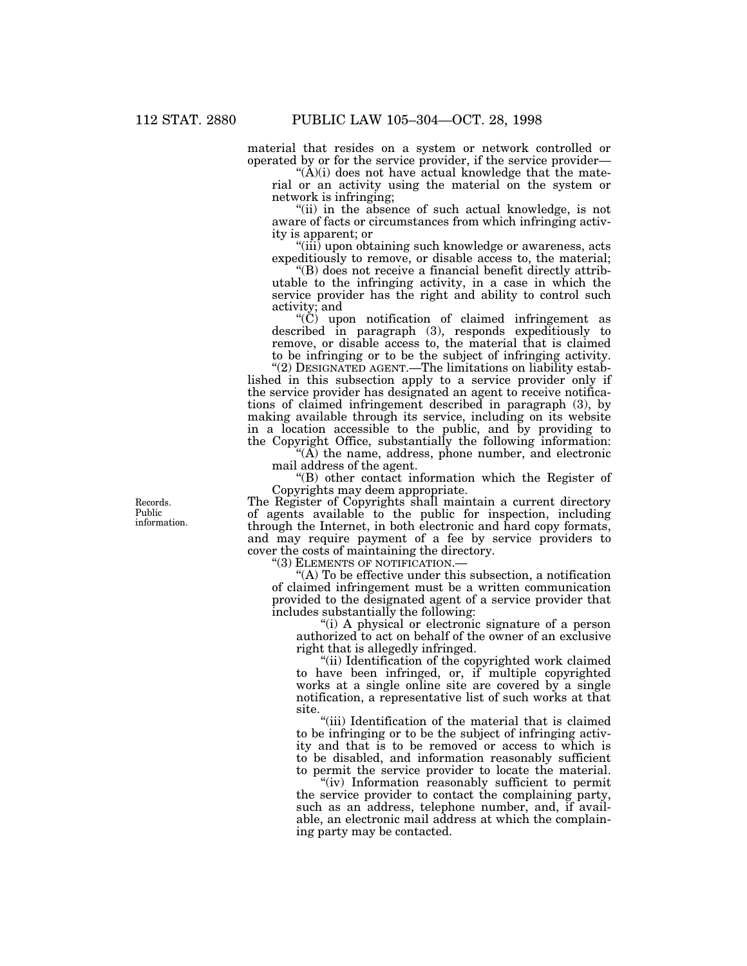material that resides on a system or network controlled or operated by or for the service provider, if the service provider—

" $(\dot{A})(i)$  does not have actual knowledge that the material or an activity using the material on the system or network is infringing;

"(ii) in the absence of such actual knowledge, is not aware of facts or circumstances from which infringing activity is apparent; or

''(iii) upon obtaining such knowledge or awareness, acts expeditiously to remove, or disable access to, the material;

''(B) does not receive a financial benefit directly attributable to the infringing activity, in a case in which the service provider has the right and ability to control such activity; and

''(C) upon notification of claimed infringement as described in paragraph (3), responds expeditiously to remove, or disable access to, the material that is claimed to be infringing or to be the subject of infringing activity.

"(2) DESIGNATED AGENT.—The limitations on liability established in this subsection apply to a service provider only if the service provider has designated an agent to receive notifications of claimed infringement described in paragraph (3), by making available through its service, including on its website in a location accessible to the public, and by providing to the Copyright Office, substantially the following information:

''(A) the name, address, phone number, and electronic mail address of the agent.

''(B) other contact information which the Register of Copyrights may deem appropriate.

The Register of Copyrights shall maintain a current directory of agents available to the public for inspection, including through the Internet, in both electronic and hard copy formats, and may require payment of a fee by service providers to cover the costs of maintaining the directory.

''(3) ELEMENTS OF NOTIFICATION.—

''(A) To be effective under this subsection, a notification of claimed infringement must be a written communication provided to the designated agent of a service provider that includes substantially the following:

"(i) A physical or electronic signature of a person authorized to act on behalf of the owner of an exclusive right that is allegedly infringed.

''(ii) Identification of the copyrighted work claimed to have been infringed, or, if multiple copyrighted works at a single online site are covered by a single notification, a representative list of such works at that site.

''(iii) Identification of the material that is claimed to be infringing or to be the subject of infringing activity and that is to be removed or access to which is to be disabled, and information reasonably sufficient to permit the service provider to locate the material.

"(iv) Information reasonably sufficient to permit the service provider to contact the complaining party, such as an address, telephone number, and, if available, an electronic mail address at which the complaining party may be contacted.

Records. Public information.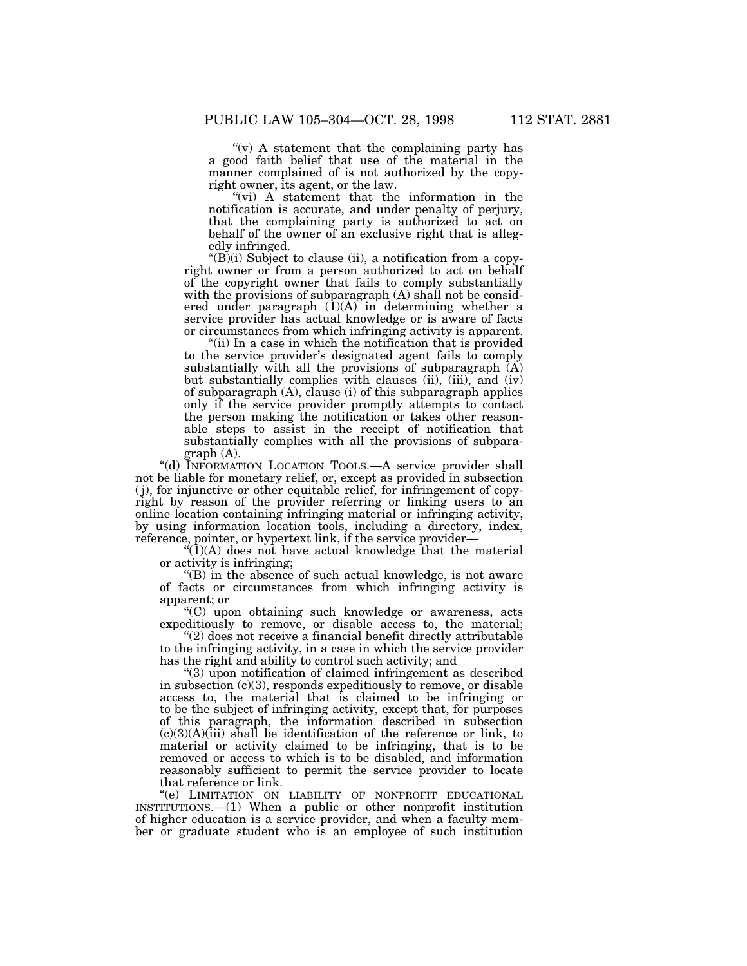''(v) A statement that the complaining party has a good faith belief that use of the material in the manner complained of is not authorized by the copyright owner, its agent, or the law.

"(vi) A statement that the information in the notification is accurate, and under penalty of perjury, that the complaining party is authorized to act on behalf of the owner of an exclusive right that is allegedly infringed.

" $(B)(i)$  Subject to clause  $(ii)$ , a notification from a copyright owner or from a person authorized to act on behalf of the copyright owner that fails to comply substantially with the provisions of subparagraph (A) shall not be considered under paragraph  $(1)(A)$  in determining whether a service provider has actual knowledge or is aware of facts or circumstances from which infringing activity is apparent.

''(ii) In a case in which the notification that is provided to the service provider's designated agent fails to comply substantially with all the provisions of subparagraph  $(A)$ but substantially complies with clauses (ii), (iii), and (iv) of subparagraph (A), clause (i) of this subparagraph applies only if the service provider promptly attempts to contact the person making the notification or takes other reasonable steps to assist in the receipt of notification that substantially complies with all the provisions of subparagraph (A).

"(d) INFORMATION LOCATION TOOLS.—A service provider shall not be liable for monetary relief, or, except as provided in subsection ( j), for injunctive or other equitable relief, for infringement of copyright by reason of the provider referring or linking users to an online location containing infringing material or infringing activity, by using information location tools, including a directory, index, reference, pointer, or hypertext link, if the service provider—

 $\mathcal{L}(1)(A)$  does not have actual knowledge that the material or activity is infringing;

''(B) in the absence of such actual knowledge, is not aware of facts or circumstances from which infringing activity is apparent; or

''(C) upon obtaining such knowledge or awareness, acts expeditiously to remove, or disable access to, the material;

"(2) does not receive a financial benefit directly attributable to the infringing activity, in a case in which the service provider has the right and ability to control such activity; and

''(3) upon notification of claimed infringement as described in subsection  $(c)(3)$ , responds expeditiously to remove, or disable access to, the material that is claimed to be infringing or to be the subject of infringing activity, except that, for purposes of this paragraph, the information described in subsection  $(c)(3)(A)(iii)$  shall be identification of the reference or link, to material or activity claimed to be infringing, that is to be removed or access to which is to be disabled, and information reasonably sufficient to permit the service provider to locate that reference or link.

''(e) LIMITATION ON LIABILITY OF NONPROFIT EDUCATIONAL INSTITUTIONS.—(1) When a public or other nonprofit institution of higher education is a service provider, and when a faculty member or graduate student who is an employee of such institution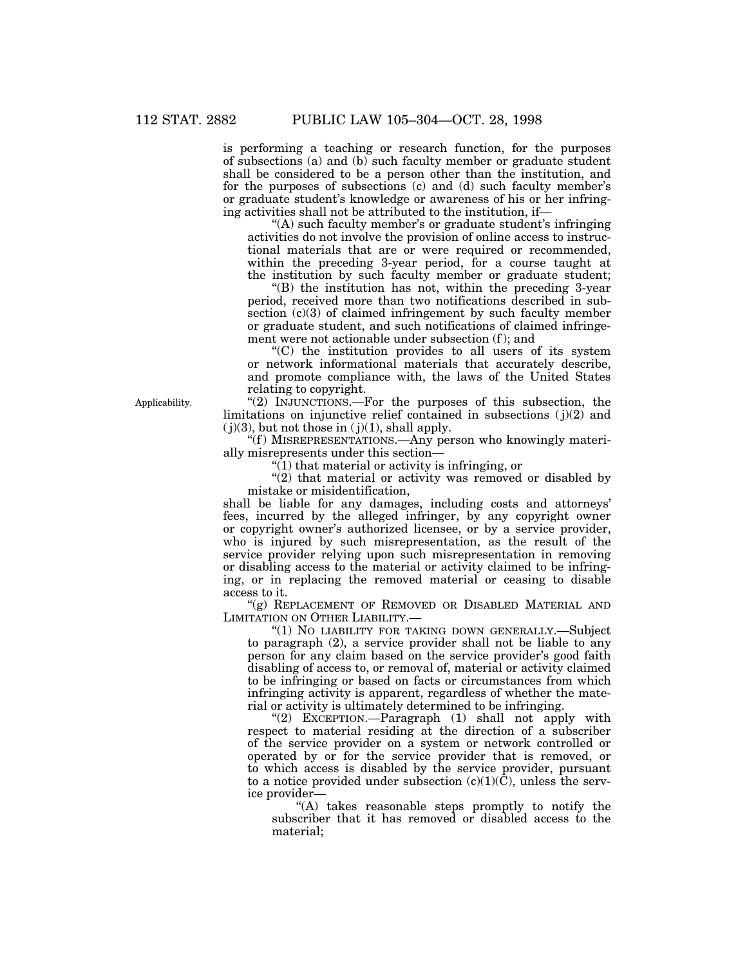is performing a teaching or research function, for the purposes of subsections (a) and (b) such faculty member or graduate student shall be considered to be a person other than the institution, and for the purposes of subsections (c) and (d) such faculty member's or graduate student's knowledge or awareness of his or her infringing activities shall not be attributed to the institution, if—

''(A) such faculty member's or graduate student's infringing activities do not involve the provision of online access to instructional materials that are or were required or recommended, within the preceding 3-year period, for a course taught at the institution by such faculty member or graduate student;

''(B) the institution has not, within the preceding 3-year period, received more than two notifications described in subsection  $(c)(3)$  of claimed infringement by such faculty member or graduate student, and such notifications of claimed infringement were not actionable under subsection (f ); and

''(C) the institution provides to all users of its system or network informational materials that accurately describe, and promote compliance with, the laws of the United States relating to copyright.

"(2) INJUNCTIONS.—For the purposes of this subsection, the limitations on injunctive relief contained in subsections  $(j)(2)$  and  $(j)(3)$ , but not those in  $(j)(1)$ , shall apply.

''(f ) MISREPRESENTATIONS.—Any person who knowingly materially misrepresents under this section—

" $(1)$  that material or activity is infringing, or

" $(2)$  that material or activity was removed or disabled by mistake or misidentification,

shall be liable for any damages, including costs and attorneys' fees, incurred by the alleged infringer, by any copyright owner or copyright owner's authorized licensee, or by a service provider, who is injured by such misrepresentation, as the result of the service provider relying upon such misrepresentation in removing or disabling access to the material or activity claimed to be infringing, or in replacing the removed material or ceasing to disable access to it.

"(g) REPLACEMENT OF REMOVED OR DISABLED MATERIAL AND LIMITATION ON OTHER LIABILITY.—

"(1) NO LIABILITY FOR TAKING DOWN GENERALLY.-Subject to paragraph (2), a service provider shall not be liable to any person for any claim based on the service provider's good faith disabling of access to, or removal of, material or activity claimed to be infringing or based on facts or circumstances from which infringing activity is apparent, regardless of whether the material or activity is ultimately determined to be infringing.

"(2) EXCEPTION.—Paragraph (1) shall not apply with respect to material residing at the direction of a subscriber of the service provider on a system or network controlled or operated by or for the service provider that is removed, or to which access is disabled by the service provider, pursuant to a notice provided under subsection  $(c)(1)(\bar{C})$ , unless the service provider—

''(A) takes reasonable steps promptly to notify the subscriber that it has removed or disabled access to the material;

Applicability.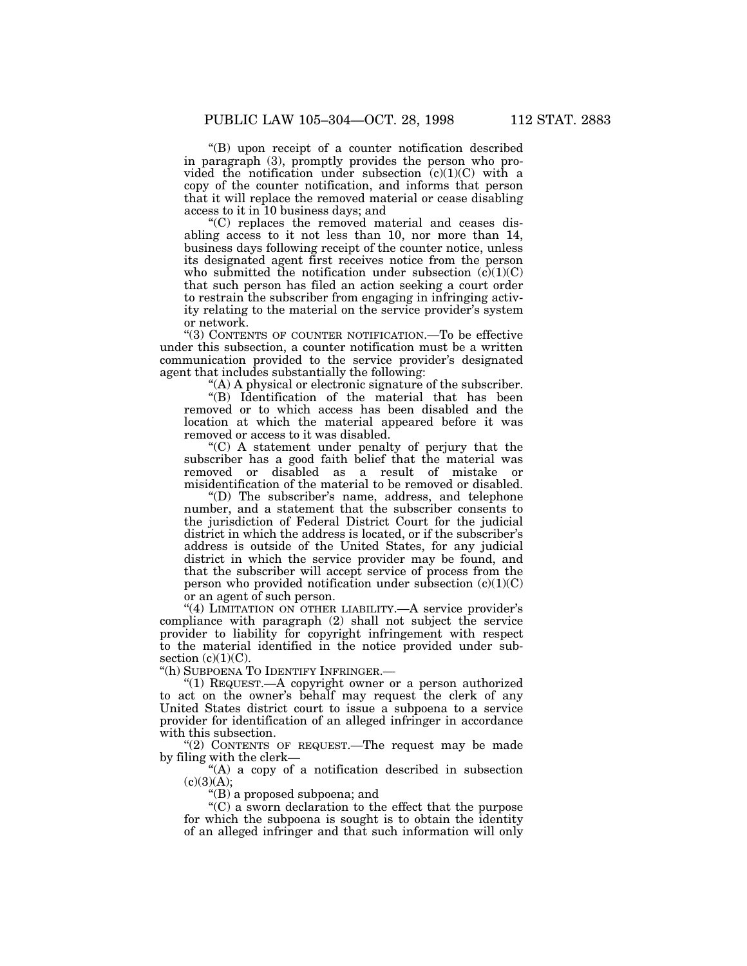''(B) upon receipt of a counter notification described in paragraph (3), promptly provides the person who provided the notification under subsection  $(c)(1)(C)$  with a copy of the counter notification, and informs that person that it will replace the removed material or cease disabling access to it in 10 business days; and

''(C) replaces the removed material and ceases disabling access to it not less than 10, nor more than 14, business days following receipt of the counter notice, unless its designated agent first receives notice from the person who submitted the notification under subsection  $(c)(1)(C)$ that such person has filed an action seeking a court order to restrain the subscriber from engaging in infringing activity relating to the material on the service provider's system or network.

''(3) CONTENTS OF COUNTER NOTIFICATION.—To be effective under this subsection, a counter notification must be a written communication provided to the service provider's designated agent that includes substantially the following:

''(A) A physical or electronic signature of the subscriber.

''(B) Identification of the material that has been removed or to which access has been disabled and the location at which the material appeared before it was removed or access to it was disabled.

''(C) A statement under penalty of perjury that the subscriber has a good faith belief that the material was removed or disabled as a result of mistake or misidentification of the material to be removed or disabled.

''(D) The subscriber's name, address, and telephone number, and a statement that the subscriber consents to the jurisdiction of Federal District Court for the judicial district in which the address is located, or if the subscriber's address is outside of the United States, for any judicial district in which the service provider may be found, and that the subscriber will accept service of process from the person who provided notification under subsection  $(c)(1)(C)$ or an agent of such person.

"(4) LIMITATION ON OTHER LIABILITY.—A service provider's compliance with paragraph (2) shall not subject the service provider to liability for copyright infringement with respect to the material identified in the notice provided under subsection  $(c)(1)(C)$ .

''(h) SUBPOENA TO IDENTIFY INFRINGER.—

''(1) REQUEST.—A copyright owner or a person authorized to act on the owner's behalf may request the clerk of any United States district court to issue a subpoena to a service provider for identification of an alleged infringer in accordance with this subsection.

''(2) CONTENTS OF REQUEST.—The request may be made by filing with the clerk—

''(A) a copy of a notification described in subsection  $(c)(3)(A);$ 

''(B) a proposed subpoena; and

''(C) a sworn declaration to the effect that the purpose for which the subpoena is sought is to obtain the identity of an alleged infringer and that such information will only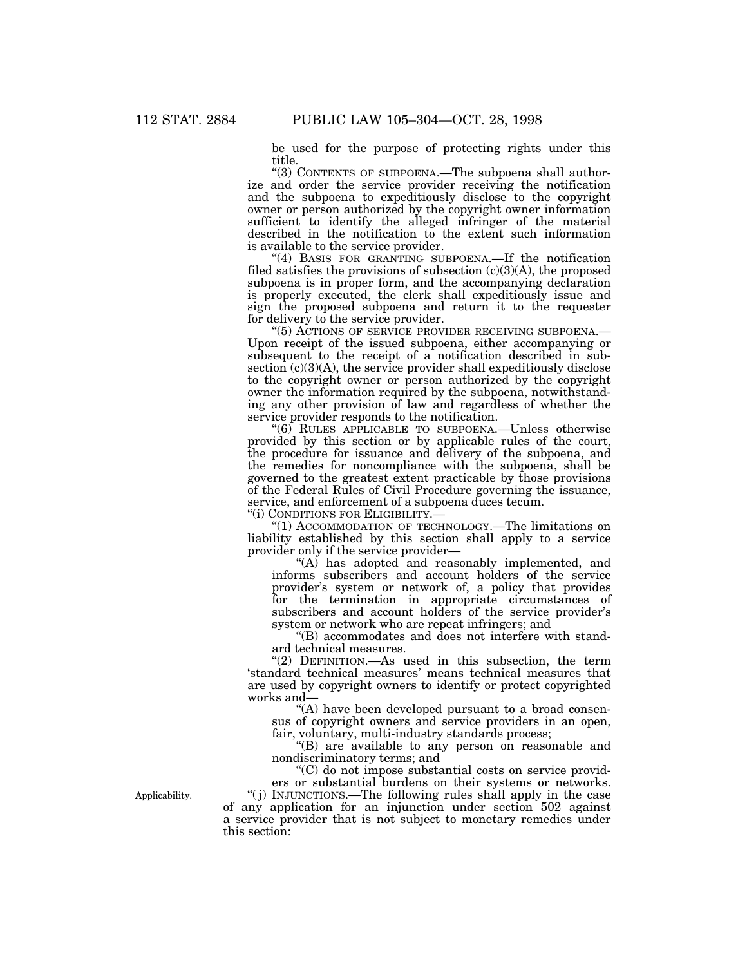be used for the purpose of protecting rights under this title.

''(3) CONTENTS OF SUBPOENA.—The subpoena shall authorize and order the service provider receiving the notification and the subpoena to expeditiously disclose to the copyright owner or person authorized by the copyright owner information sufficient to identify the alleged infringer of the material described in the notification to the extent such information is available to the service provider.

"(4) BASIS FOR GRANTING SUBPOENA.—If the notification filed satisfies the provisions of subsection  $(c)(3)(A)$ , the proposed subpoena is in proper form, and the accompanying declaration is properly executed, the clerk shall expeditiously issue and sign the proposed subpoena and return it to the requester for delivery to the service provider.

''(5) ACTIONS OF SERVICE PROVIDER RECEIVING SUBPOENA.— Upon receipt of the issued subpoena, either accompanying or subsequent to the receipt of a notification described in subsection  $(c)(3)(A)$ , the service provider shall expeditiously disclose to the copyright owner or person authorized by the copyright owner the information required by the subpoena, notwithstanding any other provision of law and regardless of whether the service provider responds to the notification.

''(6) RULES APPLICABLE TO SUBPOENA.—Unless otherwise provided by this section or by applicable rules of the court, the procedure for issuance and delivery of the subpoena, and the remedies for noncompliance with the subpoena, shall be governed to the greatest extent practicable by those provisions of the Federal Rules of Civil Procedure governing the issuance, service, and enforcement of a subpoena duces tecum.

''(i) CONDITIONS FOR ELIGIBILITY.—

''(1) ACCOMMODATION OF TECHNOLOGY.—The limitations on liability established by this section shall apply to a service provider only if the service provider—

"(A) has adopted and reasonably implemented, and informs subscribers and account holders of the service provider's system or network of, a policy that provides for the termination in appropriate circumstances of subscribers and account holders of the service provider's system or network who are repeat infringers; and

''(B) accommodates and does not interfere with standard technical measures.

''(2) DEFINITION.—As used in this subsection, the term 'standard technical measures' means technical measures that are used by copyright owners to identify or protect copyrighted works and—

"(A) have been developed pursuant to a broad consensus of copyright owners and service providers in an open, fair, voluntary, multi-industry standards process;

"(B) are available to any person on reasonable and nondiscriminatory terms; and

''(C) do not impose substantial costs on service providers or substantial burdens on their systems or networks.

''( j) INJUNCTIONS.—The following rules shall apply in the case of any application for an injunction under section 502 against a service provider that is not subject to monetary remedies under this section:

Applicability.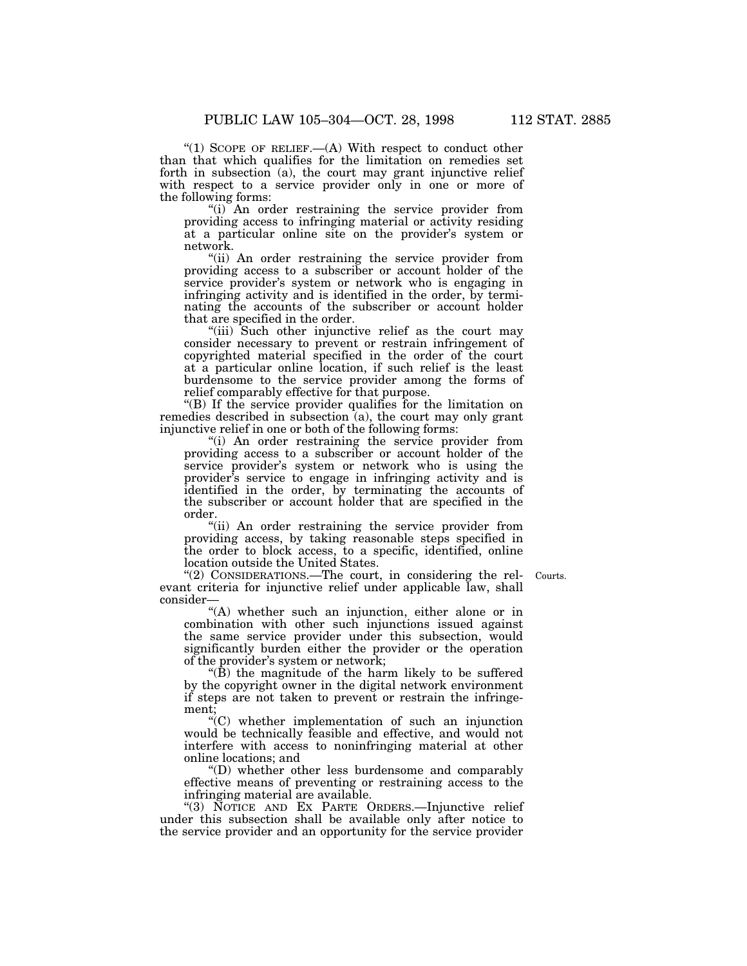"(1) SCOPE OF RELIEF.—(A) With respect to conduct other than that which qualifies for the limitation on remedies set forth in subsection (a), the court may grant injunctive relief with respect to a service provider only in one or more of the following forms:

''(i) An order restraining the service provider from providing access to infringing material or activity residing at a particular online site on the provider's system or network.

''(ii) An order restraining the service provider from providing access to a subscriber or account holder of the service provider's system or network who is engaging in infringing activity and is identified in the order, by terminating the accounts of the subscriber or account holder that are specified in the order.

''(iii) Such other injunctive relief as the court may consider necessary to prevent or restrain infringement of copyrighted material specified in the order of the court at a particular online location, if such relief is the least burdensome to the service provider among the forms of relief comparably effective for that purpose.

''(B) If the service provider qualifies for the limitation on remedies described in subsection  $(a)$ , the court may only grant injunctive relief in one or both of the following forms:

''(i) An order restraining the service provider from providing access to a subscriber or account holder of the service provider's system or network who is using the provider's service to engage in infringing activity and is identified in the order, by terminating the accounts of the subscriber or account holder that are specified in the order.

"(ii) An order restraining the service provider from providing access, by taking reasonable steps specified in the order to block access, to a specific, identified, online location outside the United States.

Courts.

"(2) CONSIDERATIONS.—The court, in considering the relevant criteria for injunctive relief under applicable law, shall consider—

''(A) whether such an injunction, either alone or in combination with other such injunctions issued against the same service provider under this subsection, would significantly burden either the provider or the operation of the provider's system or network;

 $\mathrm{H}(\bar{\mathbf{B}})$  the magnitude of the harm likely to be suffered by the copyright owner in the digital network environment if steps are not taken to prevent or restrain the infringement;

 $\mathcal{C}(C)$  whether implementation of such an injunction would be technically feasible and effective, and would not interfere with access to noninfringing material at other online locations; and

''(D) whether other less burdensome and comparably effective means of preventing or restraining access to the infringing material are available.

''(3) NOTICE AND EX PARTE ORDERS.—Injunctive relief under this subsection shall be available only after notice to the service provider and an opportunity for the service provider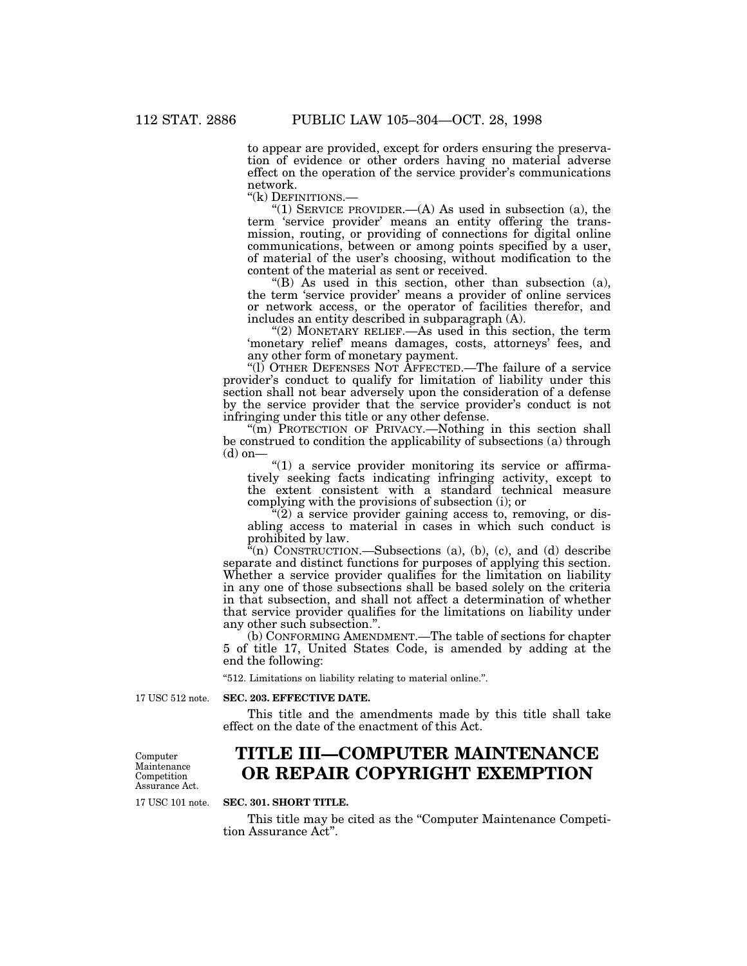to appear are provided, except for orders ensuring the preservation of evidence or other orders having no material adverse effect on the operation of the service provider's communications network.

''(k) DEFINITIONS.—

"(1) SERVICE PROVIDER.—(A) As used in subsection (a), the term 'service provider' means an entity offering the transmission, routing, or providing of connections for digital online communications, between or among points specified by a user, of material of the user's choosing, without modification to the content of the material as sent or received.

 $H(B)$  As used in this section, other than subsection (a), the term 'service provider' means a provider of online services or network access, or the operator of facilities therefor, and includes an entity described in subparagraph (A).

''(2) MONETARY RELIEF.—As used in this section, the term 'monetary relief' means damages, costs, attorneys' fees, and any other form of monetary payment.

''(l) OTHER DEFENSES NOT AFFECTED.—The failure of a service provider's conduct to qualify for limitation of liability under this section shall not bear adversely upon the consideration of a defense by the service provider that the service provider's conduct is not infringing under this title or any other defense.

"(m) PROTECTION OF PRIVACY.—Nothing in this section shall be construed to condition the applicability of subsections (a) through  $(d)$  on–

 $"(1)$  a service provider monitoring its service or affirmatively seeking facts indicating infringing activity, except to the extent consistent with a standard technical measure complying with the provisions of subsection (i); or

''(2) a service provider gaining access to, removing, or disabling access to material in cases in which such conduct is prohibited by law.

 $\alpha$ <sup>(n)</sup> CONSTRUCTION.—Subsections (a), (b), (c), and (d) describe separate and distinct functions for purposes of applying this section. Whether a service provider qualifies for the limitation on liability in any one of those subsections shall be based solely on the criteria in that subsection, and shall not affect a determination of whether that service provider qualifies for the limitations on liability under any other such subsection.''.

(b) CONFORMING AMENDMENT.—The table of sections for chapter 5 of title 17, United States Code, is amended by adding at the end the following:

''512. Limitations on liability relating to material online.''.

17 USC 512 note.

#### **SEC. 203. EFFECTIVE DATE.**

This title and the amendments made by this title shall take effect on the date of the enactment of this Act.

Computer Maintenance Competition Assurance Act.

17 USC 101 note.

# **TITLE III—COMPUTER MAINTENANCE OR REPAIR COPYRIGHT EXEMPTION**

**SEC. 301. SHORT TITLE.**

This title may be cited as the ''Computer Maintenance Competition Assurance Act''.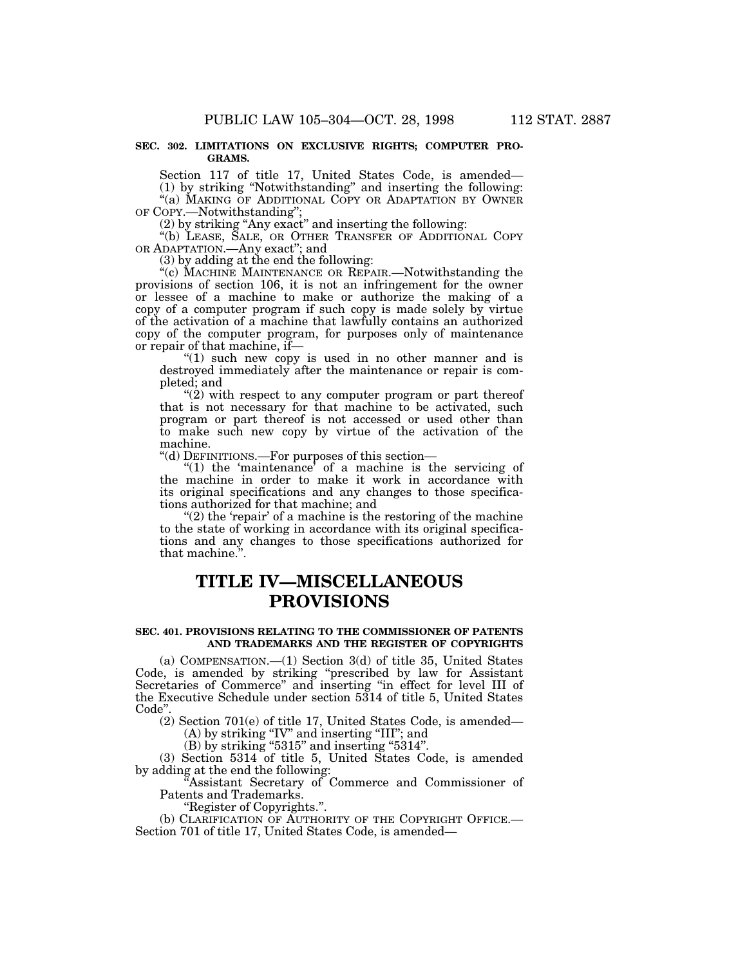#### **SEC. 302. LIMITATIONS ON EXCLUSIVE RIGHTS; COMPUTER PRO-GRAMS.**

Section 117 of title 17, United States Code, is amended— (1) by striking ''Notwithstanding'' and inserting the following: "(a) MAKING OF ADDITIONAL COPY OR ADAPTATION BY OWNER OF COPY.—Notwithstanding'';

(2) by striking ''Any exact'' and inserting the following:

''(b) LEASE, SALE, OR OTHER TRANSFER OF ADDITIONAL COPY OR ADAPTATION.—Any exact''; and

 $(3)$  by adding at the end the following:

"(c) MACHINE MAINTENANCE OR REPAIR.—Notwithstanding the provisions of section 106, it is not an infringement for the owner or lessee of a machine to make or authorize the making of a copy of a computer program if such copy is made solely by virtue of the activation of a machine that lawfully contains an authorized copy of the computer program, for purposes only of maintenance or repair of that machine, if—

"(1) such new copy is used in no other manner and is destroyed immediately after the maintenance or repair is completed; and

" $(2)$  with respect to any computer program or part thereof that is not necessary for that machine to be activated, such program or part thereof is not accessed or used other than to make such new copy by virtue of the activation of the machine.

''(d) DEFINITIONS.—For purposes of this section—

"(1) the 'maintenance' of a machine is the servicing of the machine in order to make it work in accordance with its original specifications and any changes to those specifications authorized for that machine; and

" $(2)$  the 'repair' of a machine is the restoring of the machine to the state of working in accordance with its original specifications and any changes to those specifications authorized for that machine.'

# **TITLE IV—MISCELLANEOUS PROVISIONS**

## **SEC. 401. PROVISIONS RELATING TO THE COMMISSIONER OF PATENTS AND TRADEMARKS AND THE REGISTER OF COPYRIGHTS**

(a) COMPENSATION.—(1) Section 3(d) of title 35, United States Code, is amended by striking ''prescribed by law for Assistant Secretaries of Commerce'' and inserting ''in effect for level III of the Executive Schedule under section 5314 of title 5, United States Code''.

(2) Section 701(e) of title 17, United States Code, is amended— (A) by striking "IV" and inserting "III"; and

 $(B)$  by striking "5315" and inserting "5314".

(3) Section 5314 of title 5, United States Code, is amended by adding at the end the following:

Assistant Secretary of Commerce and Commissioner of Patents and Trademarks.

''Register of Copyrights.''.

(b) CLARIFICATION OF AUTHORITY OF THE COPYRIGHT OFFICE.— Section 701 of title 17, United States Code, is amended—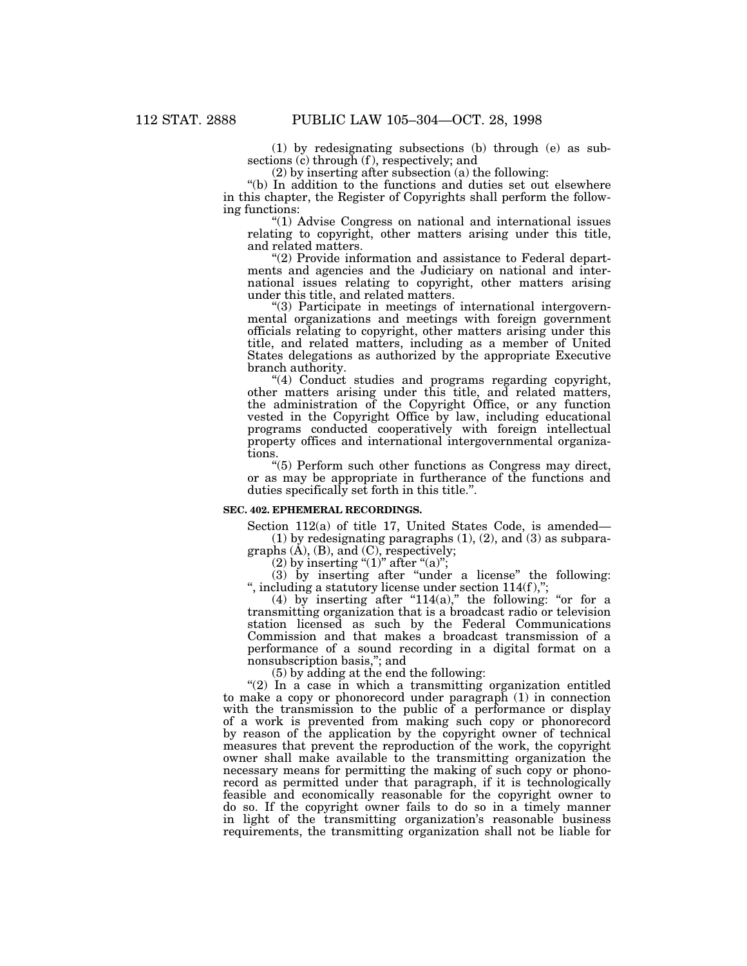(1) by redesignating subsections (b) through (e) as subsections (c) through (f), respectively; and

(2) by inserting after subsection (a) the following:

''(b) In addition to the functions and duties set out elsewhere in this chapter, the Register of Copyrights shall perform the following functions:

''(1) Advise Congress on national and international issues relating to copyright, other matters arising under this title, and related matters.

"(2) Provide information and assistance to Federal departments and agencies and the Judiciary on national and international issues relating to copyright, other matters arising under this title, and related matters.

''(3) Participate in meetings of international intergovernmental organizations and meetings with foreign government officials relating to copyright, other matters arising under this title, and related matters, including as a member of United States delegations as authorized by the appropriate Executive branch authority.

"(4) Conduct studies and programs regarding copyright, other matters arising under this title, and related matters, the administration of the Copyright Office, or any function vested in the Copyright Office by law, including educational programs conducted cooperatively with foreign intellectual property offices and international intergovernmental organizations.

''(5) Perform such other functions as Congress may direct, or as may be appropriate in furtherance of the functions and duties specifically set forth in this title.''.

#### **SEC. 402. EPHEMERAL RECORDINGS.**

Section 112(a) of title 17, United States Code, is amended— (1) by redesignating paragraphs  $(1)$ ,  $(2)$ , and  $(3)$  as subpara-

graphs (A), (B), and (C), respectively;

(2) by inserting " $(1)$ " after " $(a)$ ";

(3) by inserting after ''under a license'' the following: ", including a statutory license under section  $114(f)$ ,";

(4) by inserting after "114(a)," the following: "or for a transmitting organization that is a broadcast radio or television station licensed as such by the Federal Communications Commission and that makes a broadcast transmission of a performance of a sound recording in a digital format on a nonsubscription basis,''; and

(5) by adding at the end the following:

 $''(2)$  In a case in which a transmitting organization entitled to make a copy or phonorecord under paragraph (1) in connection with the transmission to the public of a performance or display of a work is prevented from making such copy or phonorecord by reason of the application by the copyright owner of technical measures that prevent the reproduction of the work, the copyright owner shall make available to the transmitting organization the necessary means for permitting the making of such copy or phonorecord as permitted under that paragraph, if it is technologically feasible and economically reasonable for the copyright owner to do so. If the copyright owner fails to do so in a timely manner in light of the transmitting organization's reasonable business requirements, the transmitting organization shall not be liable for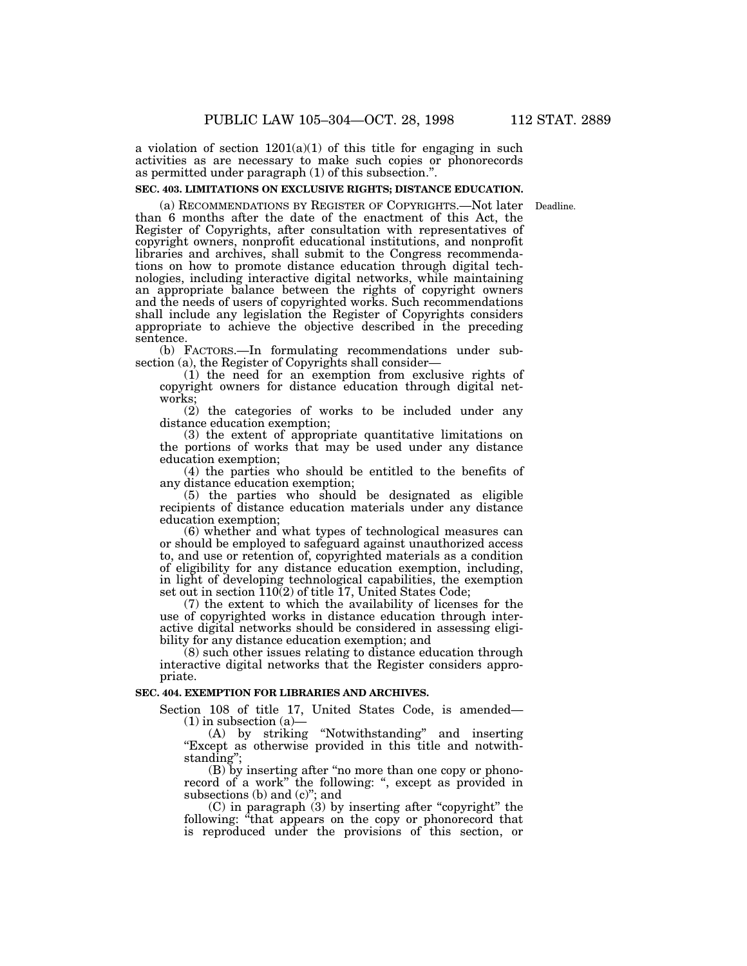#### **SEC. 403. LIMITATIONS ON EXCLUSIVE RIGHTS; DISTANCE EDUCATION.**

(a) RECOMMENDATIONS BY REGISTER OF COPYRIGHTS.—Not later Deadline.than 6 months after the date of the enactment of this Act, the Register of Copyrights, after consultation with representatives of copyright owners, nonprofit educational institutions, and nonprofit libraries and archives, shall submit to the Congress recommendations on how to promote distance education through digital technologies, including interactive digital networks, while maintaining an appropriate balance between the rights of copyright owners and the needs of users of copyrighted works. Such recommendations shall include any legislation the Register of Copyrights considers appropriate to achieve the objective described in the preceding sentence.

(b) FACTORS.—In formulating recommendations under subsection (a), the Register of Copyrights shall consider—

(1) the need for an exemption from exclusive rights of copyright owners for distance education through digital networks;

(2) the categories of works to be included under any distance education exemption;

(3) the extent of appropriate quantitative limitations on the portions of works that may be used under any distance education exemption;

(4) the parties who should be entitled to the benefits of any distance education exemption;

(5) the parties who should be designated as eligible recipients of distance education materials under any distance education exemption;

(6) whether and what types of technological measures can or should be employed to safeguard against unauthorized access to, and use or retention of, copyrighted materials as a condition of eligibility for any distance education exemption, including, in light of developing technological capabilities, the exemption set out in section 110(2) of title 17, United States Code;

(7) the extent to which the availability of licenses for the use of copyrighted works in distance education through interactive digital networks should be considered in assessing eligibility for any distance education exemption; and

(8) such other issues relating to distance education through interactive digital networks that the Register considers appropriate.

## **SEC. 404. EXEMPTION FOR LIBRARIES AND ARCHIVES.**

Section 108 of title 17, United States Code, is amended—  $(1)$  in subsection  $(a)$ —

(A) by striking ''Notwithstanding'' and inserting ''Except as otherwise provided in this title and notwithstanding'';

(B) by inserting after ''no more than one copy or phonorecord of a work" the following: ", except as provided in subsections (b) and  $(c)$ "; and

(C) in paragraph (3) by inserting after ''copyright'' the following: "that appears on the copy or phonorecord that is reproduced under the provisions of this section, or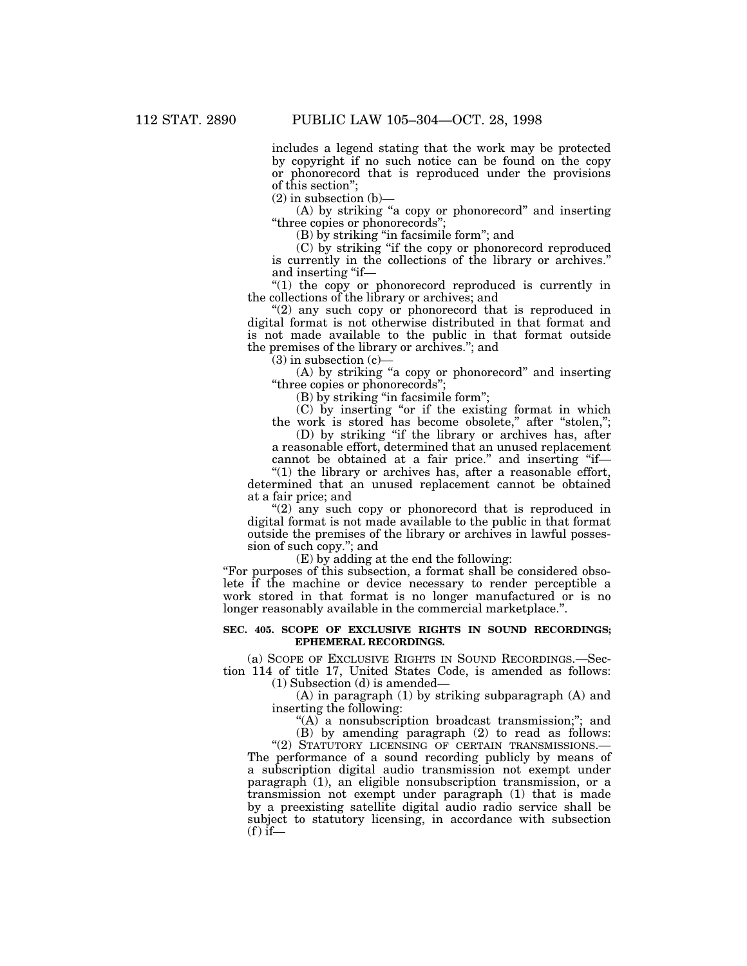includes a legend stating that the work may be protected by copyright if no such notice can be found on the copy or phonorecord that is reproduced under the provisions of this section'';

 $(2)$  in subsection  $(b)$ —

(A) by striking ''a copy or phonorecord'' and inserting "three copies or phonorecords"

(B) by striking ''in facsimile form''; and

(C) by striking ''if the copy or phonorecord reproduced is currently in the collections of the library or archives.'' and inserting "if—

''(1) the copy or phonorecord reproduced is currently in the collections of the library or archives; and

"(2) any such copy or phonorecord that is reproduced in digital format is not otherwise distributed in that format and is not made available to the public in that format outside the premises of the library or archives.''; and

 $(3)$  in subsection  $(c)$ 

(A) by striking ''a copy or phonorecord'' and inserting ''three copies or phonorecords'';

(B) by striking ''in facsimile form'';

(C) by inserting ''or if the existing format in which the work is stored has become obsolete," after "stolen,";

(D) by striking ''if the library or archives has, after a reasonable effort, determined that an unused replacement cannot be obtained at a fair price." and inserting "if-

" $(1)$  the library or archives has, after a reasonable effort, determined that an unused replacement cannot be obtained at a fair price; and

"(2) any such copy or phonorecord that is reproduced in digital format is not made available to the public in that format outside the premises of the library or archives in lawful possession of such copy.''; and

(E) by adding at the end the following:

''For purposes of this subsection, a format shall be considered obsolete if the machine or device necessary to render perceptible a work stored in that format is no longer manufactured or is no longer reasonably available in the commercial marketplace.''.

#### **SEC. 405. SCOPE OF EXCLUSIVE RIGHTS IN SOUND RECORDINGS; EPHEMERAL RECORDINGS.**

(a) SCOPE OF EXCLUSIVE RIGHTS IN SOUND RECORDINGS.—Section 114 of title 17, United States Code, is amended as follows:

(1) Subsection (d) is amended—

(A) in paragraph (1) by striking subparagraph (A) and inserting the following:

"(A) a nonsubscription broadcast transmission;"; and (B) by amending paragraph (2) to read as follows:

"(2) STATUTORY LICENSING OF CERTAIN TRANSMISSIONS.-

The performance of a sound recording publicly by means of a subscription digital audio transmission not exempt under paragraph (1), an eligible nonsubscription transmission, or a transmission not exempt under paragraph (1) that is made by a preexisting satellite digital audio radio service shall be subject to statutory licensing, in accordance with subsection  $(f)$  if—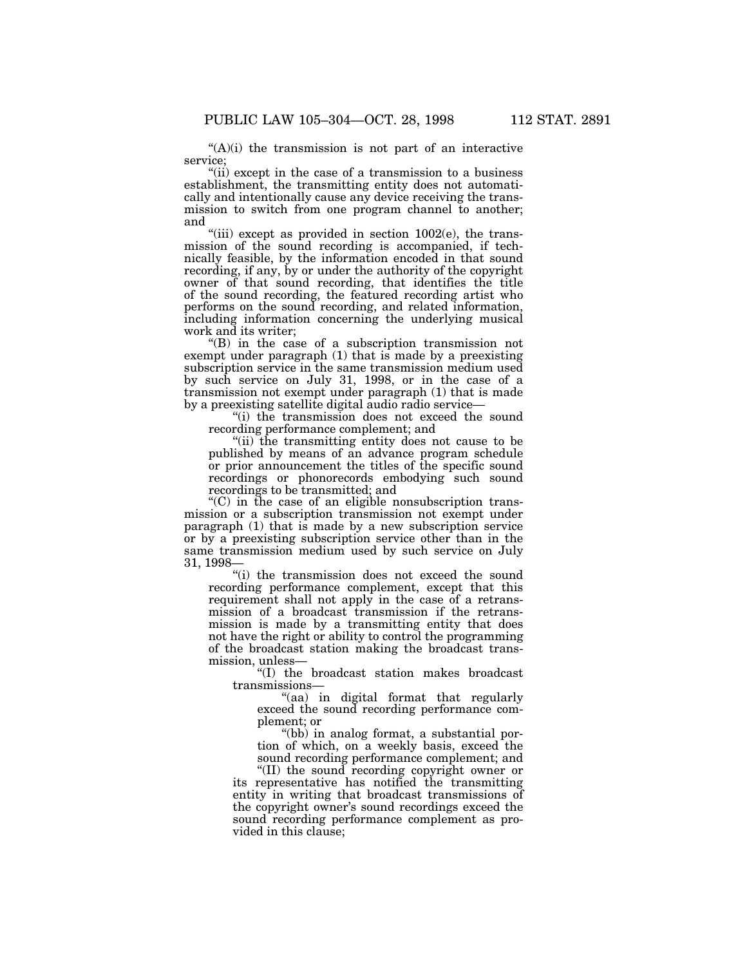$(A)(i)$  the transmission is not part of an interactive service;

"(ii) except in the case of a transmission to a business establishment, the transmitting entity does not automatically and intentionally cause any device receiving the transmission to switch from one program channel to another; and

"(iii) except as provided in section  $1002(e)$ , the transmission of the sound recording is accompanied, if technically feasible, by the information encoded in that sound recording, if any, by or under the authority of the copyright owner of that sound recording, that identifies the title of the sound recording, the featured recording artist who performs on the sound recording, and related information, including information concerning the underlying musical work and its writer;

''(B) in the case of a subscription transmission not exempt under paragraph  $(1)$  that is made by a preexisting subscription service in the same transmission medium used by such service on July 31, 1998, or in the case of a transmission not exempt under paragraph (1) that is made by a preexisting satellite digital audio radio service—

''(i) the transmission does not exceed the sound recording performance complement; and

"(ii) the transmitting entity does not cause to be published by means of an advance program schedule or prior announcement the titles of the specific sound recordings or phonorecords embodying such sound recordings to be transmitted; and

 $(C)$  in the case of an eligible nonsubscription transmission or a subscription transmission not exempt under paragraph (1) that is made by a new subscription service or by a preexisting subscription service other than in the same transmission medium used by such service on July 31, 1998—

''(i) the transmission does not exceed the sound recording performance complement, except that this requirement shall not apply in the case of a retransmission of a broadcast transmission if the retransmission is made by a transmitting entity that does not have the right or ability to control the programming of the broadcast station making the broadcast transmission, unless—

''(I) the broadcast station makes broadcast transmissions—

''(aa) in digital format that regularly exceed the sound recording performance complement; or

''(bb) in analog format, a substantial portion of which, on a weekly basis, exceed the sound recording performance complement; and

''(II) the sound recording copyright owner or its representative has notified the transmitting entity in writing that broadcast transmissions of the copyright owner's sound recordings exceed the sound recording performance complement as provided in this clause;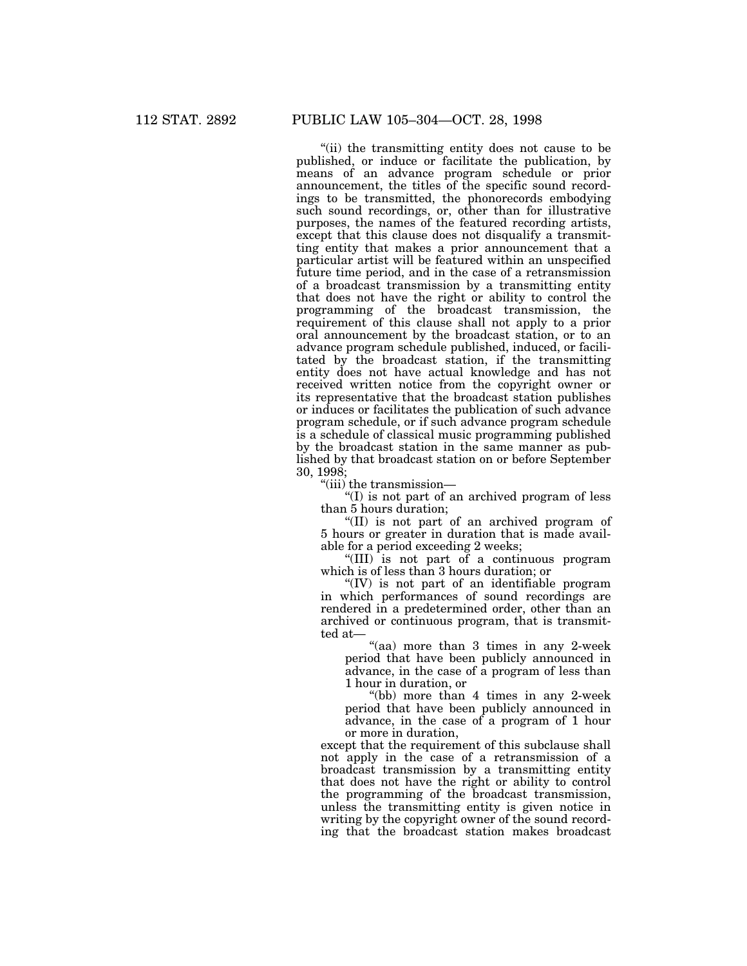"(ii) the transmitting entity does not cause to be published, or induce or facilitate the publication, by means of an advance program schedule or prior announcement, the titles of the specific sound recordings to be transmitted, the phonorecords embodying such sound recordings, or, other than for illustrative purposes, the names of the featured recording artists, except that this clause does not disqualify a transmitting entity that makes a prior announcement that a particular artist will be featured within an unspecified future time period, and in the case of a retransmission of a broadcast transmission by a transmitting entity that does not have the right or ability to control the programming of the broadcast transmission, the requirement of this clause shall not apply to a prior oral announcement by the broadcast station, or to an advance program schedule published, induced, or facilitated by the broadcast station, if the transmitting entity does not have actual knowledge and has not received written notice from the copyright owner or its representative that the broadcast station publishes or induces or facilitates the publication of such advance program schedule, or if such advance program schedule is a schedule of classical music programming published by the broadcast station in the same manner as published by that broadcast station on or before September 30, 1998;

''(iii) the transmission—

''(I) is not part of an archived program of less than 5 hours duration;

''(II) is not part of an archived program of 5 hours or greater in duration that is made available for a period exceeding 2 weeks;

''(III) is not part of a continuous program which is of less than 3 hours duration; or

''(IV) is not part of an identifiable program in which performances of sound recordings are rendered in a predetermined order, other than an archived or continuous program, that is transmitted at—

"(aa) more than 3 times in any 2-week" period that have been publicly announced in advance, in the case of a program of less than 1 hour in duration, or

''(bb) more than 4 times in any 2-week period that have been publicly announced in advance, in the case of a program of 1 hour or more in duration,

except that the requirement of this subclause shall not apply in the case of a retransmission of a broadcast transmission by a transmitting entity that does not have the right or ability to control the programming of the broadcast transmission, unless the transmitting entity is given notice in writing by the copyright owner of the sound recording that the broadcast station makes broadcast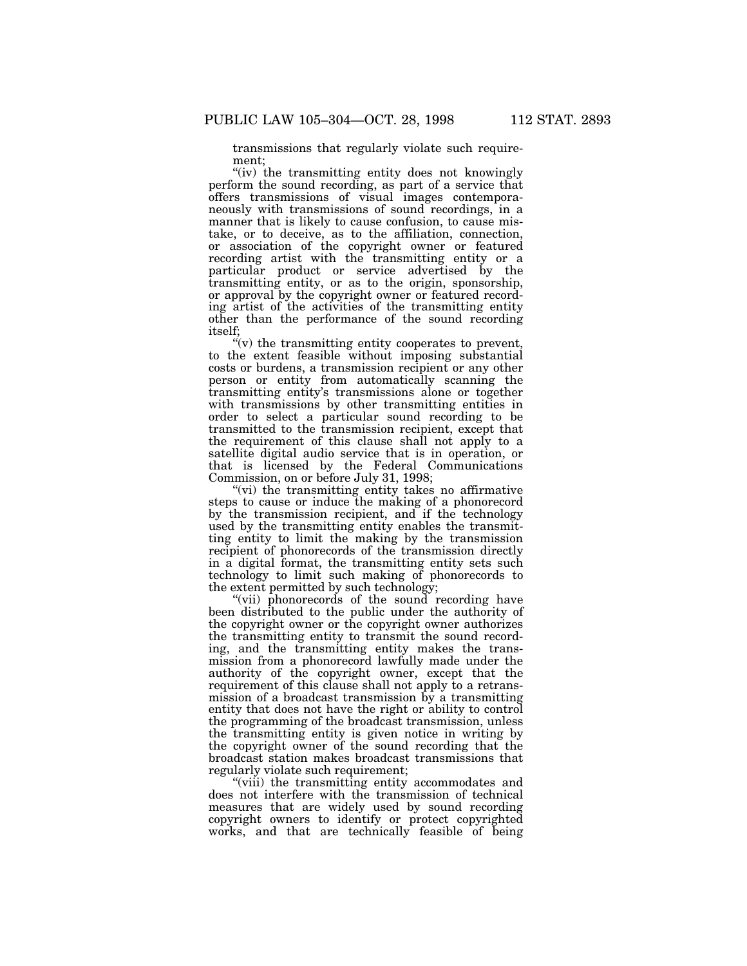transmissions that regularly violate such requirement;

"(iv) the transmitting entity does not knowingly perform the sound recording, as part of a service that offers transmissions of visual images contemporaneously with transmissions of sound recordings, in a manner that is likely to cause confusion, to cause mistake, or to deceive, as to the affiliation, connection, or association of the copyright owner or featured recording artist with the transmitting entity or a particular product or service advertised by the transmitting entity, or as to the origin, sponsorship, or approval by the copyright owner or featured recording artist of the activities of the transmitting entity other than the performance of the sound recording itself;

 $(v)$  the transmitting entity cooperates to prevent, to the extent feasible without imposing substantial costs or burdens, a transmission recipient or any other person or entity from automatically scanning the transmitting entity's transmissions alone or together with transmissions by other transmitting entities in order to select a particular sound recording to be transmitted to the transmission recipient, except that the requirement of this clause shall not apply to a satellite digital audio service that is in operation, or that is licensed by the Federal Communications Commission, on or before July 31, 1998;

"(vi) the transmitting entity takes no affirmative steps to cause or induce the making of a phonorecord by the transmission recipient, and if the technology used by the transmitting entity enables the transmitting entity to limit the making by the transmission recipient of phonorecords of the transmission directly in a digital format, the transmitting entity sets such technology to limit such making of phonorecords to the extent permitted by such technology;

"(vii) phonorecords of the sound recording have been distributed to the public under the authority of the copyright owner or the copyright owner authorizes the transmitting entity to transmit the sound recording, and the transmitting entity makes the transmission from a phonorecord lawfully made under the authority of the copyright owner, except that the requirement of this clause shall not apply to a retransmission of a broadcast transmission by a transmitting entity that does not have the right or ability to control the programming of the broadcast transmission, unless the transmitting entity is given notice in writing by the copyright owner of the sound recording that the broadcast station makes broadcast transmissions that regularly violate such requirement;

''(viii) the transmitting entity accommodates and does not interfere with the transmission of technical measures that are widely used by sound recording copyright owners to identify or protect copyrighted works, and that are technically feasible of being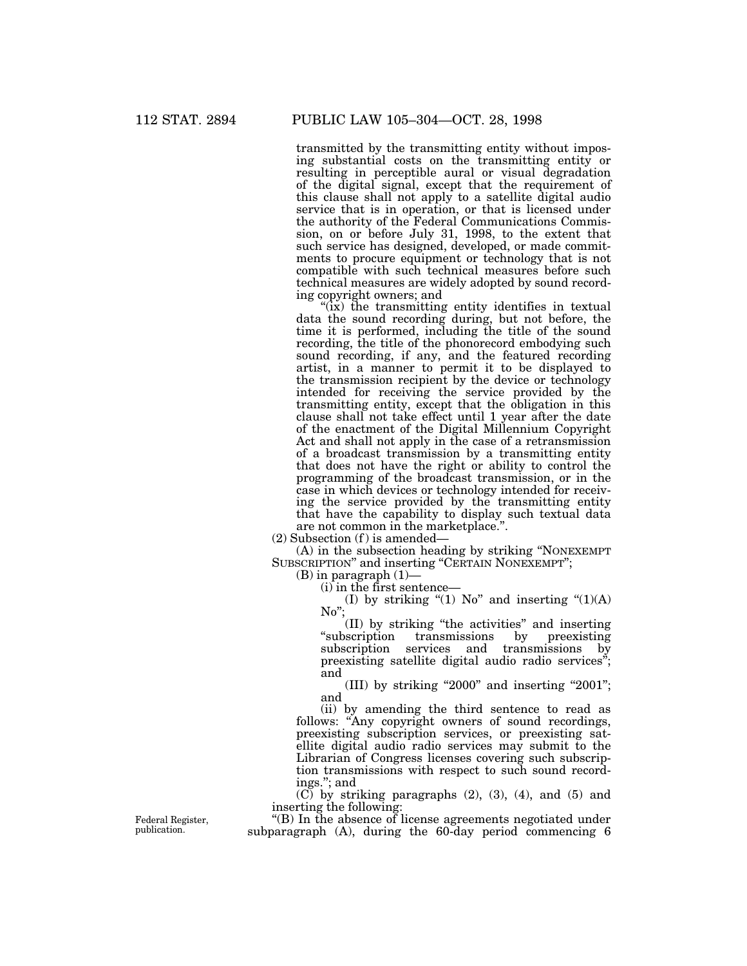transmitted by the transmitting entity without imposing substantial costs on the transmitting entity or resulting in perceptible aural or visual degradation of the digital signal, except that the requirement of this clause shall not apply to a satellite digital audio service that is in operation, or that is licensed under the authority of the Federal Communications Commission, on or before July 31, 1998, to the extent that such service has designed, developed, or made commitments to procure equipment or technology that is not compatible with such technical measures before such technical measures are widely adopted by sound recording copyright owners; and

 $'(\dot{x})$  the transmitting entity identifies in textual data the sound recording during, but not before, the time it is performed, including the title of the sound recording, the title of the phonorecord embodying such sound recording, if any, and the featured recording artist, in a manner to permit it to be displayed to the transmission recipient by the device or technology intended for receiving the service provided by the transmitting entity, except that the obligation in this clause shall not take effect until 1 year after the date of the enactment of the Digital Millennium Copyright Act and shall not apply in the case of a retransmission of a broadcast transmission by a transmitting entity that does not have the right or ability to control the programming of the broadcast transmission, or in the case in which devices or technology intended for receiving the service provided by the transmitting entity that have the capability to display such textual data are not common in the marketplace."

 $(2)$  Subsection  $(f)$  is amended–

(A) in the subsection heading by striking ''NONEXEMPT SUBSCRIPTION'' and inserting ''CERTAIN NONEXEMPT'';

 $(B)$  in paragraph  $(1)$ —

(i) in the first sentence—

(I) by striking "(1)  $No$ " and inserting "(1)(A) No'';

(II) by striking "the activities" and inserting<br>scription transmissions by preexisting "subscription transmissions by subscription services and transmissions by preexisting satellite digital audio radio services''; and

(III) by striking "2000" and inserting "2001"; and

(ii) by amending the third sentence to read as follows: "Any copyright owners of sound recordings, preexisting subscription services, or preexisting satellite digital audio radio services may submit to the Librarian of Congress licenses covering such subscription transmissions with respect to such sound recordings.''; and

 $(C)$  by striking paragraphs  $(2)$ ,  $(3)$ ,  $(4)$ , and  $(5)$  and inserting the following:

''(B) In the absence of license agreements negotiated under subparagraph (A), during the 60-day period commencing 6

Federal Register, publication.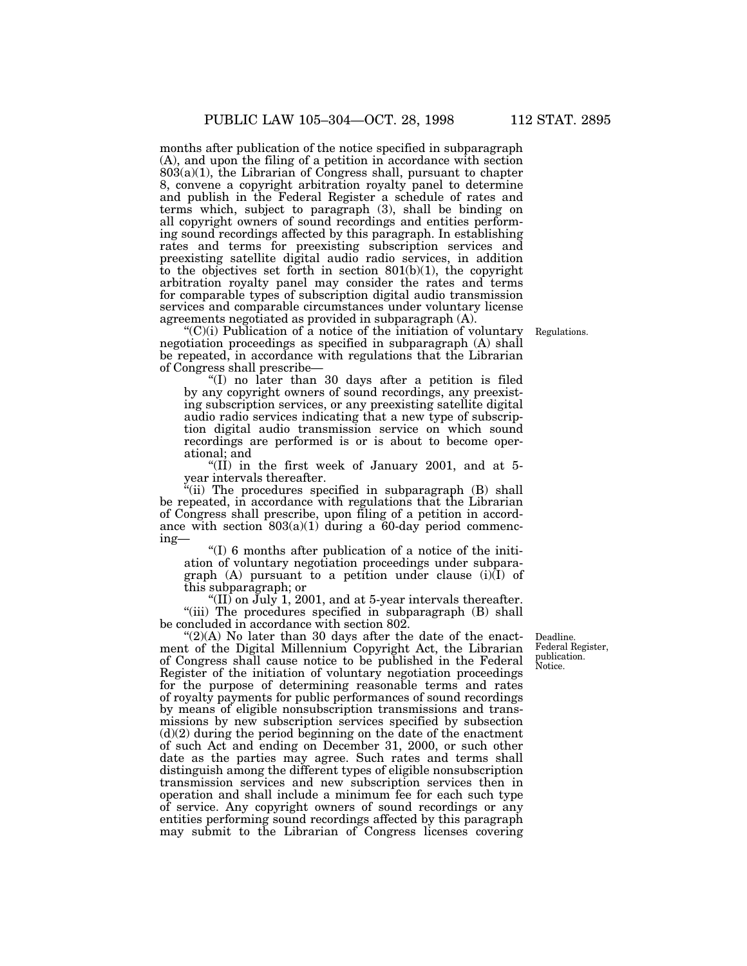months after publication of the notice specified in subparagraph (A), and upon the filing of a petition in accordance with section 803(a)(1), the Librarian of Congress shall, pursuant to chapter 8, convene a copyright arbitration royalty panel to determine and publish in the Federal Register a schedule of rates and terms which, subject to paragraph (3), shall be binding on all copyright owners of sound recordings and entities performing sound recordings affected by this paragraph. In establishing rates and terms for preexisting subscription services and preexisting satellite digital audio radio services, in addition to the objectives set forth in section  $801(b)(1)$ , the copyright arbitration royalty panel may consider the rates and terms for comparable types of subscription digital audio transmission services and comparable circumstances under voluntary license agreements negotiated as provided in subparagraph (A).

 $C'(C)(i)$  Publication of a notice of the initiation of voluntary negotiation proceedings as specified in subparagraph (A) shall be repeated, in accordance with regulations that the Librarian of Congress shall prescribe—

''(I) no later than 30 days after a petition is filed by any copyright owners of sound recordings, any preexisting subscription services, or any preexisting satellite digital audio radio services indicating that a new type of subscription digital audio transmission service on which sound recordings are performed is or is about to become operational; and

"(II) in the first week of January 2001, and at 5year intervals thereafter.

(ii) The procedures specified in subparagraph (B) shall be repeated, in accordance with regulations that the Librarian of Congress shall prescribe, upon filing of a petition in accordance with section 803(a)(1) during a 60-day period commencing—

''(I) 6 months after publication of a notice of the initiation of voluntary negotiation proceedings under subparagraph  $(A)$  pursuant to a petition under clause  $(i)(I)$  of this subparagraph; or

 $\langle (II)$  on July 1, 2001, and at 5-year intervals thereafter. "(iii) The procedures specified in subparagraph (B) shall be concluded in accordance with section 802.

" $(2)(A)$  No later than 30 days after the date of the enactment of the Digital Millennium Copyright Act, the Librarian of Congress shall cause notice to be published in the Federal Register of the initiation of voluntary negotiation proceedings for the purpose of determining reasonable terms and rates of royalty payments for public performances of sound recordings by means of eligible nonsubscription transmissions and transmissions by new subscription services specified by subsection  $(d)(2)$  during the period beginning on the date of the enactment of such Act and ending on December 31, 2000, or such other date as the parties may agree. Such rates and terms shall distinguish among the different types of eligible nonsubscription transmission services and new subscription services then in operation and shall include a minimum fee for each such type of service. Any copyright owners of sound recordings or any entities performing sound recordings affected by this paragraph may submit to the Librarian of Congress licenses covering

Deadline. Federal Register, publication. Notice.

Regulations.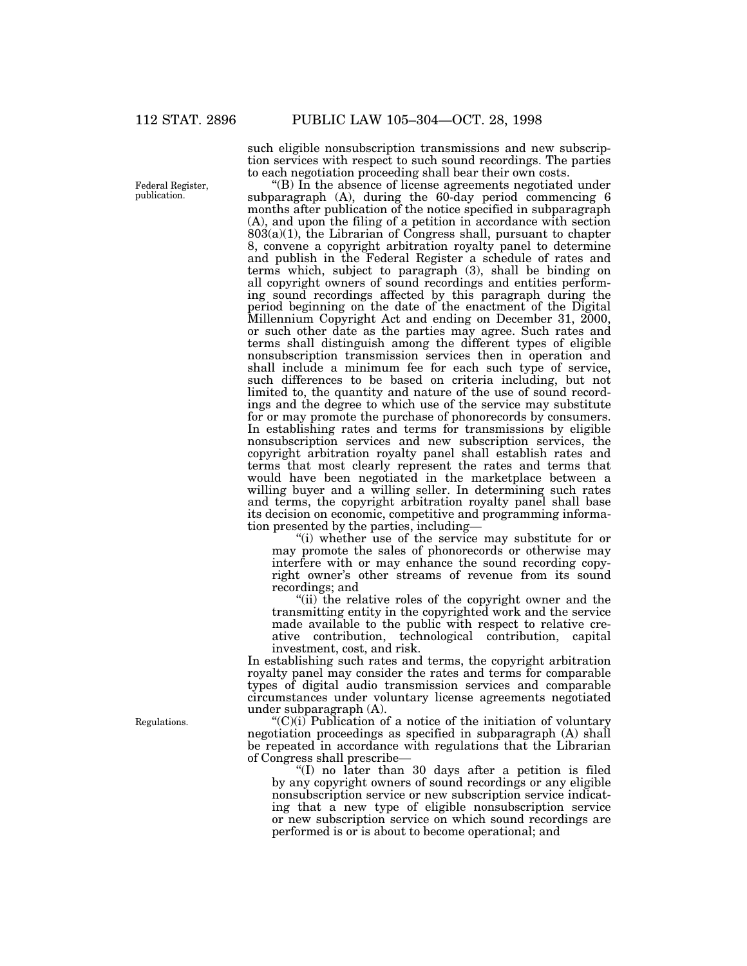such eligible nonsubscription transmissions and new subscription services with respect to such sound recordings. The parties to each negotiation proceeding shall bear their own costs.

''(B) In the absence of license agreements negotiated under subparagraph (A), during the 60-day period commencing 6 months after publication of the notice specified in subparagraph (A), and upon the filing of a petition in accordance with section  $803(a)(1)$ , the Librarian of Congress shall, pursuant to chapter 8, convene a copyright arbitration royalty panel to determine and publish in the Federal Register a schedule of rates and terms which, subject to paragraph (3), shall be binding on all copyright owners of sound recordings and entities performing sound recordings affected by this paragraph during the period beginning on the date of the enactment of the Digital Millennium Copyright Act and ending on December 31, 2000, or such other date as the parties may agree. Such rates and terms shall distinguish among the different types of eligible nonsubscription transmission services then in operation and shall include a minimum fee for each such type of service, such differences to be based on criteria including, but not limited to, the quantity and nature of the use of sound recordings and the degree to which use of the service may substitute for or may promote the purchase of phonorecords by consumers. In establishing rates and terms for transmissions by eligible nonsubscription services and new subscription services, the copyright arbitration royalty panel shall establish rates and terms that most clearly represent the rates and terms that would have been negotiated in the marketplace between a willing buyer and a willing seller. In determining such rates and terms, the copyright arbitration royalty panel shall base its decision on economic, competitive and programming information presented by the parties, including—

"(i) whether use of the service may substitute for or may promote the sales of phonorecords or otherwise may interfere with or may enhance the sound recording copyright owner's other streams of revenue from its sound recordings; and

"(ii) the relative roles of the copyright owner and the transmitting entity in the copyrighted work and the service made available to the public with respect to relative creative contribution, technological contribution, capital investment, cost, and risk.

In establishing such rates and terms, the copyright arbitration royalty panel may consider the rates and terms for comparable types of digital audio transmission services and comparable circumstances under voluntary license agreements negotiated under subparagraph (A).

 $C'(C)(i)$  Publication of a notice of the initiation of voluntary negotiation proceedings as specified in subparagraph (A) shall be repeated in accordance with regulations that the Librarian of Congress shall prescribe—

''(I) no later than 30 days after a petition is filed by any copyright owners of sound recordings or any eligible nonsubscription service or new subscription service indicating that a new type of eligible nonsubscription service or new subscription service on which sound recordings are performed is or is about to become operational; and

Federal Register, publication.

Regulations.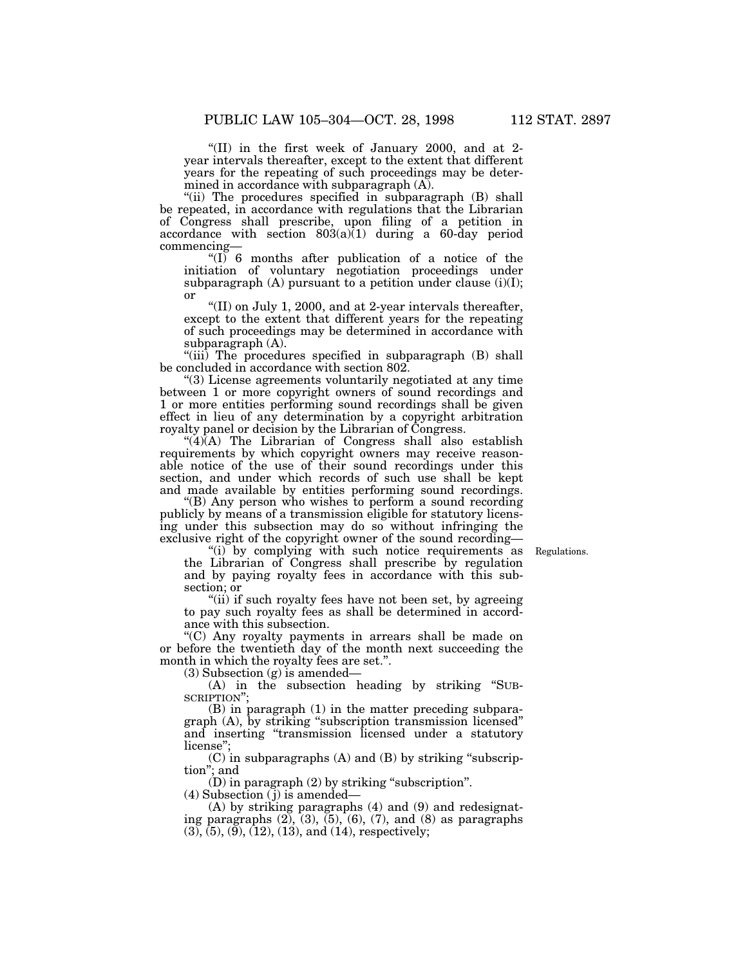''(II) in the first week of January 2000, and at 2 year intervals thereafter, except to the extent that different years for the repeating of such proceedings may be determined in accordance with subparagraph (A).

"(ii) The procedures specified in subparagraph (B) shall be repeated, in accordance with regulations that the Librarian of Congress shall prescribe, upon filing of a petition in accordance with section  $803(a)\overline{(1)}$  during a 60-day period commencing—

" $(I)$  6 months after publication of a notice of the initiation of voluntary negotiation proceedings under subparagraph  $(A)$  pursuant to a petition under clause  $(i)(I);$ or

''(II) on July 1, 2000, and at 2-year intervals thereafter, except to the extent that different years for the repeating of such proceedings may be determined in accordance with subparagraph (A).

"(iii) The procedures specified in subparagraph (B) shall be concluded in accordance with section 802.

''(3) License agreements voluntarily negotiated at any time between 1 or more copyright owners of sound recordings and 1 or more entities performing sound recordings shall be given effect in lieu of any determination by a copyright arbitration royalty panel or decision by the Librarian of Congress.

 $\mathcal{A}(\mathbf{A})$  The Librarian of Congress shall also establish requirements by which copyright owners may receive reasonable notice of the use of their sound recordings under this section, and under which records of such use shall be kept and made available by entities performing sound recordings.

(B) Any person who wishes to perform a sound recording publicly by means of a transmission eligible for statutory licensing under this subsection may do so without infringing the exclusive right of the copyright owner of the sound recording—

Regulations.

"(i) by complying with such notice requirements as the Librarian of Congress shall prescribe by regulation and by paying royalty fees in accordance with this subsection; or

"(ii) if such royalty fees have not been set, by agreeing to pay such royalty fees as shall be determined in accordance with this subsection.

''(C) Any royalty payments in arrears shall be made on or before the twentieth day of the month next succeeding the month in which the royalty fees are set.''.

(3) Subsection (g) is amended—

(A) in the subsection heading by striking ''SUB-SCRIPTION'';

(B) in paragraph (1) in the matter preceding subparagraph (A), by striking ''subscription transmission licensed'' and inserting ''transmission licensed under a statutory license'';

(C) in subparagraphs (A) and (B) by striking ''subscription''; and

(D) in paragraph (2) by striking ''subscription''.

(4) Subsection ( j) is amended—

(A) by striking paragraphs (4) and (9) and redesignating paragraphs  $(2)$ ,  $(3)$ ,  $(5)$ ,  $(6)$ ,  $(7)$ , and  $(8)$  as paragraphs  $(3)$ ,  $(5)$ ,  $(9)$ ,  $(12)$ ,  $(13)$ , and  $(14)$ , respectively;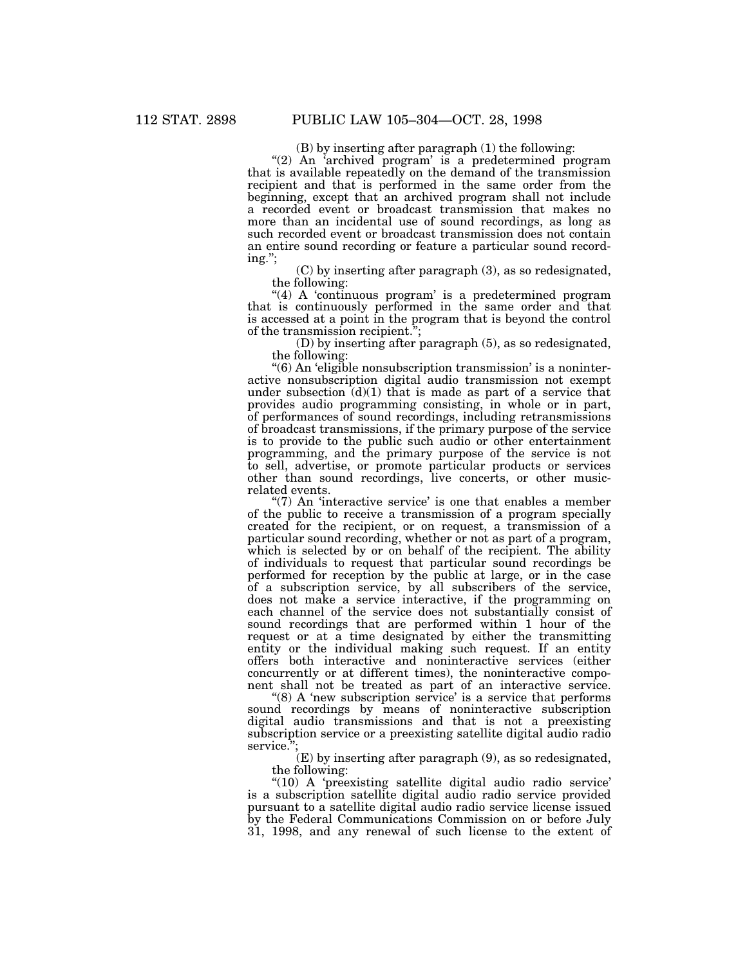(B) by inserting after paragraph (1) the following:

"(2) An 'archived program' is a predetermined program that is available repeatedly on the demand of the transmission recipient and that is performed in the same order from the beginning, except that an archived program shall not include a recorded event or broadcast transmission that makes no more than an incidental use of sound recordings, as long as such recorded event or broadcast transmission does not contain an entire sound recording or feature a particular sound recording.'';

(C) by inserting after paragraph (3), as so redesignated, the following:

"(4) A 'continuous program' is a predetermined program that is continuously performed in the same order and that is accessed at a point in the program that is beyond the control of the transmission recipient.'';

(D) by inserting after paragraph (5), as so redesignated, the following:

''(6) An 'eligible nonsubscription transmission' is a noninteractive nonsubscription digital audio transmission not exempt under subsection  $(d)(1)$  that is made as part of a service that provides audio programming consisting, in whole or in part, of performances of sound recordings, including retransmissions of broadcast transmissions, if the primary purpose of the service is to provide to the public such audio or other entertainment programming, and the primary purpose of the service is not to sell, advertise, or promote particular products or services other than sound recordings, live concerts, or other musicrelated events.

" $(7)$  An 'interactive service' is one that enables a member of the public to receive a transmission of a program specially created for the recipient, or on request, a transmission of a particular sound recording, whether or not as part of a program, which is selected by or on behalf of the recipient. The ability of individuals to request that particular sound recordings be performed for reception by the public at large, or in the case of a subscription service, by all subscribers of the service, does not make a service interactive, if the programming on each channel of the service does not substantially consist of sound recordings that are performed within 1 hour of the request or at a time designated by either the transmitting entity or the individual making such request. If an entity offers both interactive and noninteractive services (either concurrently or at different times), the noninteractive component shall not be treated as part of an interactive service.

" $(8)$  A 'new subscription service' is a service that performs sound recordings by means of noninteractive subscription digital audio transmissions and that is not a preexisting subscription service or a preexisting satellite digital audio radio service.";

 $(E)$  by inserting after paragraph  $(9)$ , as so redesignated, the following:

"(10) A 'preexisting satellite digital audio radio service' is a subscription satellite digital audio radio service provided pursuant to a satellite digital audio radio service license issued by the Federal Communications Commission on or before July 31, 1998, and any renewal of such license to the extent of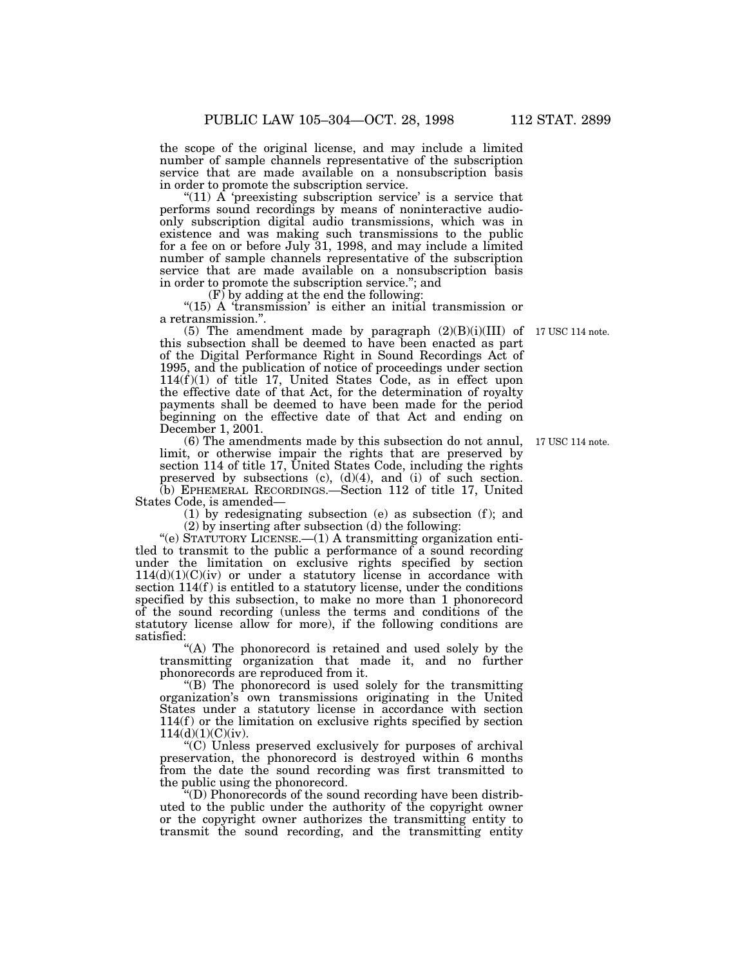the scope of the original license, and may include a limited number of sample channels representative of the subscription service that are made available on a nonsubscription basis in order to promote the subscription service.

"(11)  $\overline{A}$  'preexisting subscription service' is a service that performs sound recordings by means of noninteractive audioonly subscription digital audio transmissions, which was in existence and was making such transmissions to the public for a fee on or before July 31, 1998, and may include a limited number of sample channels representative of the subscription service that are made available on a nonsubscription basis in order to promote the subscription service.''; and

 $(F)$  by adding at the end the following:

"(15) A 'transmission' is either an initial transmission or a retransmission.''.

(5) The amendment made by paragraph  $(2)(B)(i)(III)$  of this subsection shall be deemed to have been enacted as part of the Digital Performance Right in Sound Recordings Act of 1995, and the publication of notice of proceedings under section  $114(f)(1)$  of title 17, United States Code, as in effect upon the effective date of that Act, for the determination of royalty payments shall be deemed to have been made for the period beginning on the effective date of that Act and ending on December 1, 2001.

(6) The amendments made by this subsection do not annul, limit, or otherwise impair the rights that are preserved by section 114 of title 17, United States Code, including the rights preserved by subsections  $(c)$ ,  $(d)(4)$ , and  $(i)$  of such section. (b) EPHEMERAL RECORDINGS.—Section 112 of title 17, United

States Code, is amended—

 $(1)$  by redesignating subsection  $(e)$  as subsection  $(f)$ ; and (2) by inserting after subsection (d) the following:

''(e) STATUTORY LICENSE.—(1) A transmitting organization entitled to transmit to the public a performance of a sound recording under the limitation on exclusive rights specified by section  $114(d)(1)(C)(iv)$  or under a statutory license in accordance with section  $114(f)$  is entitled to a statutory license, under the conditions specified by this subsection, to make no more than 1 phonorecord of the sound recording (unless the terms and conditions of the statutory license allow for more), if the following conditions are satisfied:

"(A) The phonorecord is retained and used solely by the transmitting organization that made it, and no further phonorecords are reproduced from it.

''(B) The phonorecord is used solely for the transmitting organization's own transmissions originating in the United States under a statutory license in accordance with section  $114(f)$  or the limitation on exclusive rights specified by section  $114(d)(1)(C)(iv)$ .

''(C) Unless preserved exclusively for purposes of archival preservation, the phonorecord is destroyed within 6 months from the date the sound recording was first transmitted to the public using the phonorecord.

''(D) Phonorecords of the sound recording have been distributed to the public under the authority of the copyright owner or the copyright owner authorizes the transmitting entity to transmit the sound recording, and the transmitting entity

17 USC 114 note.

17 USC 114 note.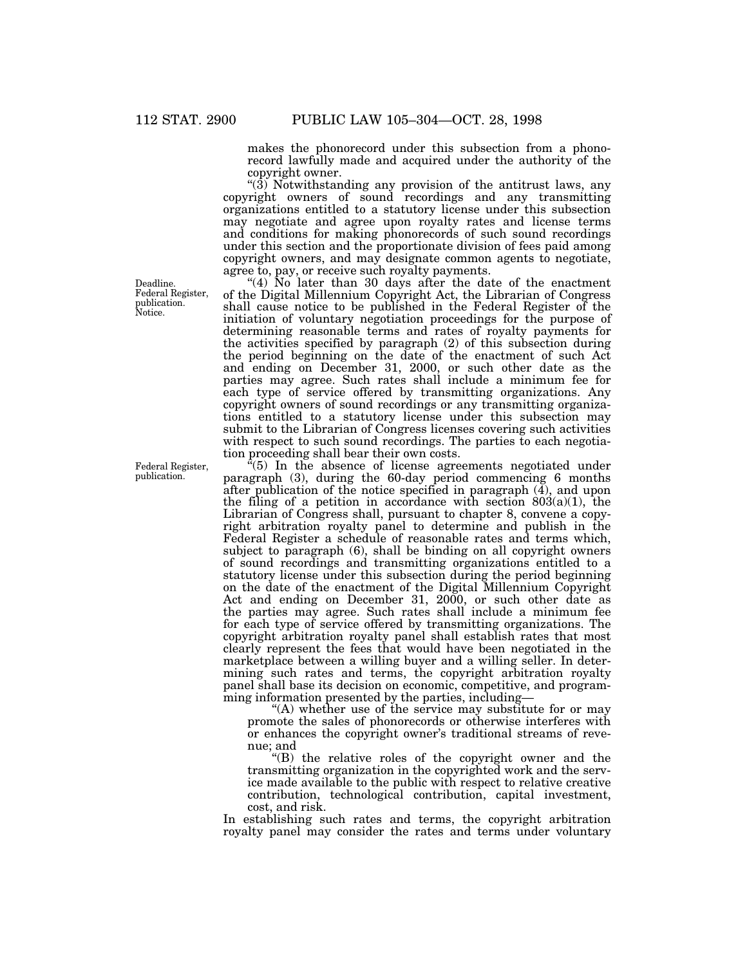makes the phonorecord under this subsection from a phonorecord lawfully made and acquired under the authority of the copyright owner.

"(3) Notwithstanding any provision of the antitrust laws, any copyright owners of sound recordings and any transmitting organizations entitled to a statutory license under this subsection may negotiate and agree upon royalty rates and license terms and conditions for making phonorecords of such sound recordings under this section and the proportionate division of fees paid among copyright owners, and may designate common agents to negotiate, agree to, pay, or receive such royalty payments.

"(4)  $\overline{N}$  later than 30 days after the date of the enactment of the Digital Millennium Copyright Act, the Librarian of Congress shall cause notice to be published in the Federal Register of the initiation of voluntary negotiation proceedings for the purpose of determining reasonable terms and rates of royalty payments for the activities specified by paragraph (2) of this subsection during the period beginning on the date of the enactment of such Act and ending on December 31, 2000, or such other date as the parties may agree. Such rates shall include a minimum fee for each type of service offered by transmitting organizations. Any copyright owners of sound recordings or any transmitting organizations entitled to a statutory license under this subsection may submit to the Librarian of Congress licenses covering such activities with respect to such sound recordings. The parties to each negotiation proceeding shall bear their own costs.

''(5) In the absence of license agreements negotiated under paragraph (3), during the 60-day period commencing 6 months after publication of the notice specified in paragraph (4), and upon the filing of a petition in accordance with section  $803(a)(1)$ , the Librarian of Congress shall, pursuant to chapter 8, convene a copyright arbitration royalty panel to determine and publish in the Federal Register a schedule of reasonable rates and terms which, subject to paragraph (6), shall be binding on all copyright owners of sound recordings and transmitting organizations entitled to a statutory license under this subsection during the period beginning on the date of the enactment of the Digital Millennium Copyright Act and ending on December 31, 2000, or such other date as the parties may agree. Such rates shall include a minimum fee for each type of service offered by transmitting organizations. The copyright arbitration royalty panel shall establish rates that most clearly represent the fees that would have been negotiated in the marketplace between a willing buyer and a willing seller. In determining such rates and terms, the copyright arbitration royalty panel shall base its decision on economic, competitive, and programming information presented by the parties, including—

"(A) whether use of the service may substitute for or may promote the sales of phonorecords or otherwise interferes with or enhances the copyright owner's traditional streams of revenue; and

''(B) the relative roles of the copyright owner and the transmitting organization in the copyrighted work and the service made available to the public with respect to relative creative contribution, technological contribution, capital investment, cost, and risk.

In establishing such rates and terms, the copyright arbitration royalty panel may consider the rates and terms under voluntary

Deadline. Federal Register, publication. Notice.

Federal Register, publication.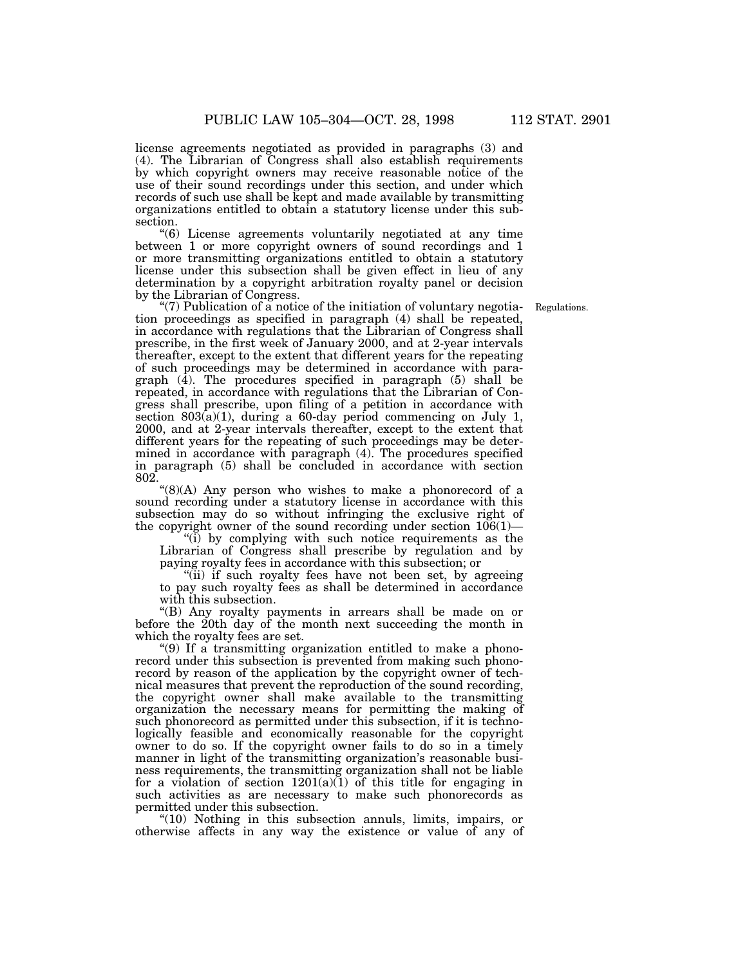license agreements negotiated as provided in paragraphs (3) and (4). The Librarian of Congress shall also establish requirements by which copyright owners may receive reasonable notice of the use of their sound recordings under this section, and under which records of such use shall be kept and made available by transmitting organizations entitled to obtain a statutory license under this subsection.

''(6) License agreements voluntarily negotiated at any time between 1 or more copyright owners of sound recordings and 1 or more transmitting organizations entitled to obtain a statutory license under this subsection shall be given effect in lieu of any determination by a copyright arbitration royalty panel or decision by the Librarian of Congress.

Regulations.

''(7) Publication of a notice of the initiation of voluntary negotiation proceedings as specified in paragraph (4) shall be repeated, in accordance with regulations that the Librarian of Congress shall prescribe, in the first week of January 2000, and at 2-year intervals thereafter, except to the extent that different years for the repeating of such proceedings may be determined in accordance with paragraph (4). The procedures specified in paragraph (5) shall be repeated, in accordance with regulations that the Librarian of Congress shall prescribe, upon filing of a petition in accordance with section  $803(a)(1)$ , during a 60-day period commencing on July 1, 2000, and at 2-year intervals thereafter, except to the extent that different years for the repeating of such proceedings may be determined in accordance with paragraph (4). The procedures specified in paragraph (5) shall be concluded in accordance with section 802.

" $(8)(A)$  Any person who wishes to make a phonorecord of a sound recording under a statutory license in accordance with this subsection may do so without infringing the exclusive right of the copyright owner of the sound recording under section 106(1)—

''(i) by complying with such notice requirements as the Librarian of Congress shall prescribe by regulation and by paying royalty fees in accordance with this subsection; or

"(ii) if such royalty fees have not been set, by agreeing to pay such royalty fees as shall be determined in accordance with this subsection.

''(B) Any royalty payments in arrears shall be made on or before the 20th day of the month next succeeding the month in which the royalty fees are set.

''(9) If a transmitting organization entitled to make a phonorecord under this subsection is prevented from making such phonorecord by reason of the application by the copyright owner of technical measures that prevent the reproduction of the sound recording, the copyright owner shall make available to the transmitting organization the necessary means for permitting the making of such phonorecord as permitted under this subsection, if it is technologically feasible and economically reasonable for the copyright owner to do so. If the copyright owner fails to do so in a timely manner in light of the transmitting organization's reasonable business requirements, the transmitting organization shall not be liable for a violation of section  $1201(a)(1)$  of this title for engaging in such activities as are necessary to make such phonorecords as permitted under this subsection.

"(10) Nothing in this subsection annuls, limits, impairs, or otherwise affects in any way the existence or value of any of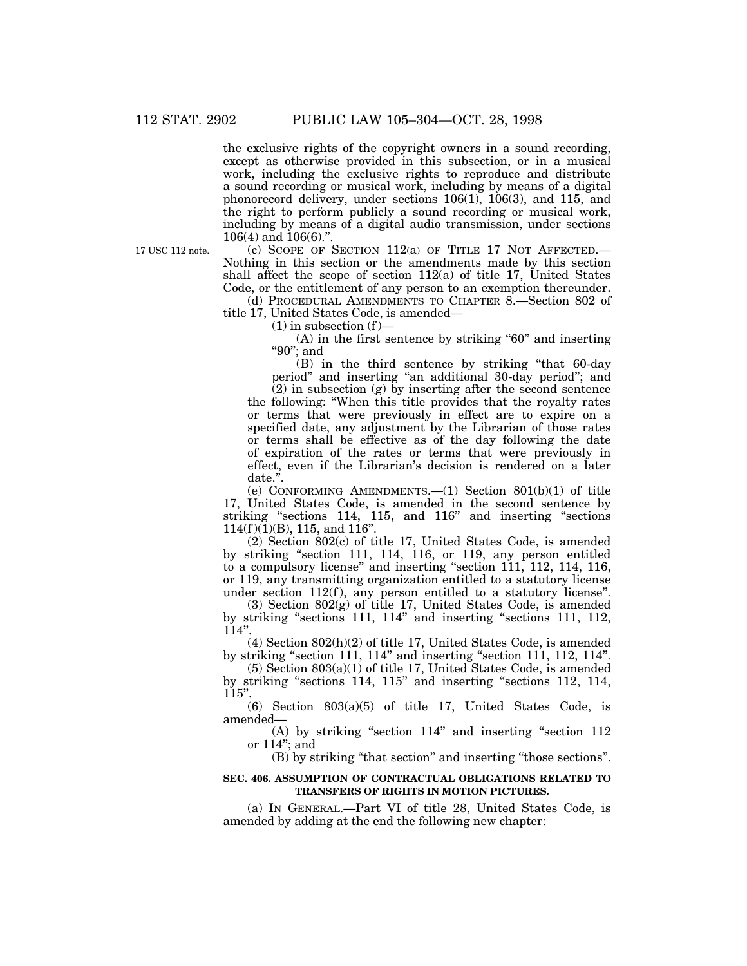the exclusive rights of the copyright owners in a sound recording, except as otherwise provided in this subsection, or in a musical work, including the exclusive rights to reproduce and distribute a sound recording or musical work, including by means of a digital phonorecord delivery, under sections 106(1), 106(3), and 115, and the right to perform publicly a sound recording or musical work, including by means of a digital audio transmission, under sections 106(4) and 106(6)."

17 USC 112 note.

(c) SCOPE OF SECTION 112(a) OF TITLE 17 NOT AFFECTED.— Nothing in this section or the amendments made by this section shall affect the scope of section  $112(a)$  of title 17, United States Code, or the entitlement of any person to an exemption thereunder.

(d) PROCEDURAL AMENDMENTS TO CHAPTER 8.—Section 802 of title 17, United States Code, is amended—

 $(1)$  in subsection  $(f)$ —

 $(A)$  in the first sentence by striking "60" and inserting ''90''; and

(B) in the third sentence by striking ''that 60-day period'' and inserting ''an additional 30-day period''; and

 $(2)$  in subsection  $(g)$  by inserting after the second sentence the following: ''When this title provides that the royalty rates or terms that were previously in effect are to expire on a specified date, any adjustment by the Librarian of those rates or terms shall be effective as of the day following the date of expiration of the rates or terms that were previously in effect, even if the Librarian's decision is rendered on a later date.''.

(e) CONFORMING AMENDMENTS.—(1) Section 801(b)(1) of title 17, United States Code, is amended in the second sentence by striking "sections 114, 115, and 116" and inserting "sections  $114(f)(1)(B)$ , 115, and 116".

(2) Section 802(c) of title 17, United States Code, is amended by striking ''section 111, 114, 116, or 119, any person entitled to a compulsory license'' and inserting ''section 111, 112, 114, 116, or 119, any transmitting organization entitled to a statutory license under section 112(f), any person entitled to a statutory license".

(3) Section 802(g) of title 17, United States Code, is amended by striking "sections 111, 114" and inserting "sections 111, 112, 114''.

(4) Section 802(h)(2) of title 17, United States Code, is amended by striking "section 111, 114" and inserting "section 111, 112, 114".

(5) Section 803(a)(1) of title 17, United States Code, is amended by striking ''sections 114, 115'' and inserting ''sections 112, 114, 115''.

(6) Section 803(a)(5) of title 17, United States Code, is amended—

(A) by striking "section 114" and inserting "section 112" or 114''; and

(B) by striking ''that section'' and inserting ''those sections''.

#### **SEC. 406. ASSUMPTION OF CONTRACTUAL OBLIGATIONS RELATED TO TRANSFERS OF RIGHTS IN MOTION PICTURES.**

(a) IN GENERAL.—Part VI of title 28, United States Code, is amended by adding at the end the following new chapter: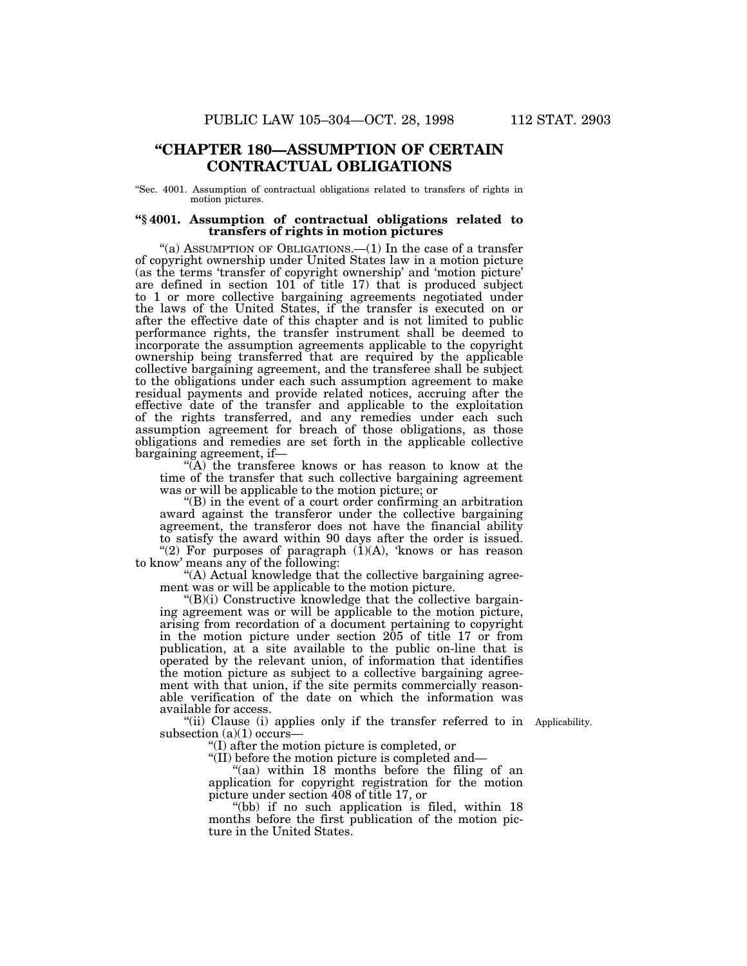# **''CHAPTER 180—ASSUMPTION OF CERTAIN CONTRACTUAL OBLIGATIONS**

''Sec. 4001. Assumption of contractual obligations related to transfers of rights in motion pictures.

#### **''§ 4001. Assumption of contractual obligations related to transfers of rights in motion pictures**

"(a) ASSUMPTION OF OBLIGATIONS.—(1) In the case of a transfer of copyright ownership under United States law in a motion picture (as the terms 'transfer of copyright ownership' and 'motion picture' are defined in section 101 of title 17) that is produced subject to 1 or more collective bargaining agreements negotiated under the laws of the United States, if the transfer is executed on or after the effective date of this chapter and is not limited to public performance rights, the transfer instrument shall be deemed to incorporate the assumption agreements applicable to the copyright ownership being transferred that are required by the applicable collective bargaining agreement, and the transferee shall be subject to the obligations under each such assumption agreement to make residual payments and provide related notices, accruing after the effective date of the transfer and applicable to the exploitation of the rights transferred, and any remedies under each such assumption agreement for breach of those obligations, as those obligations and remedies are set forth in the applicable collective bargaining agreement, if—

''(A) the transferee knows or has reason to know at the time of the transfer that such collective bargaining agreement was or will be applicable to the motion picture; or

''(B) in the event of a court order confirming an arbitration award against the transferor under the collective bargaining agreement, the transferor does not have the financial ability to satisfy the award within 90 days after the order is issued. "(2) For purposes of paragraph  $(1)(A)$ , knows or has reason

to know' means any of the following: ''(A) Actual knowledge that the collective bargaining agree-

ment was or will be applicable to the motion picture.

''(B)(i) Constructive knowledge that the collective bargaining agreement was or will be applicable to the motion picture, arising from recordation of a document pertaining to copyright in the motion picture under section 205 of title 17 or from publication, at a site available to the public on-line that is operated by the relevant union, of information that identifies the motion picture as subject to a collective bargaining agreement with that union, if the site permits commercially reasonable verification of the date on which the information was available for access.

"(ii) Clause (i) applies only if the transfer referred to in Applicability. subsection  $(a)(1)$  occurs-

''(I) after the motion picture is completed, or

''(II) before the motion picture is completed and—

"(aa) within 18 months before the filing of an application for copyright registration for the motion picture under section 408 of title 17, or

"(bb) if no such application is filed, within 18" months before the first publication of the motion picture in the United States.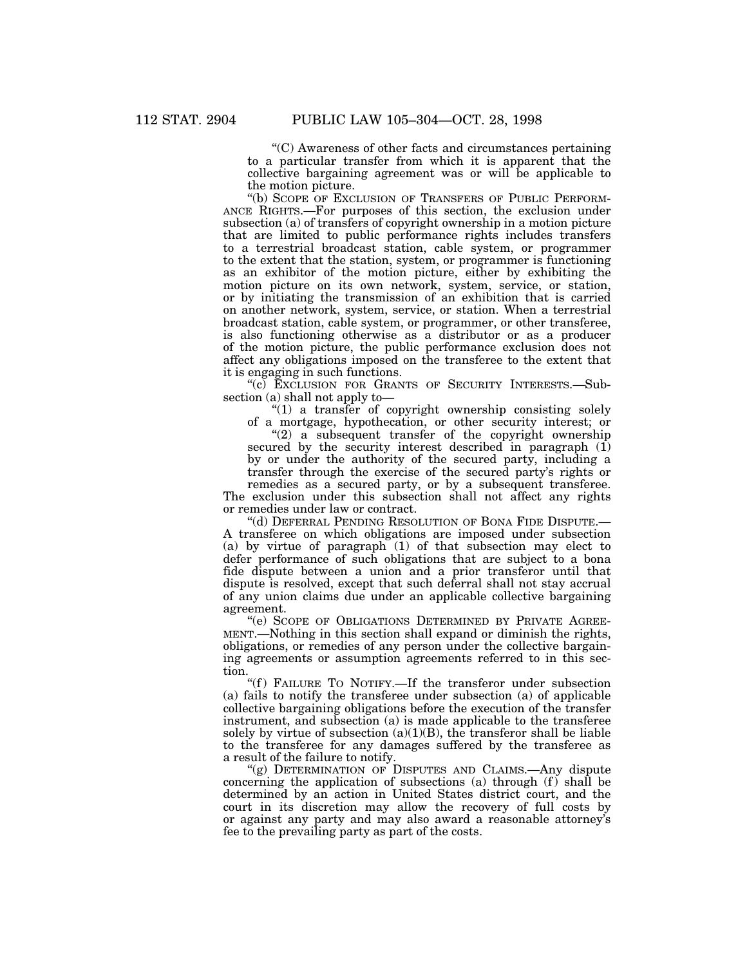''(C) Awareness of other facts and circumstances pertaining to a particular transfer from which it is apparent that the collective bargaining agreement was or will be applicable to the motion picture.

"(b) SCOPE OF EXCLUSION OF TRANSFERS OF PUBLIC PERFORM-ANCE RIGHTS.—For purposes of this section, the exclusion under subsection (a) of transfers of copyright ownership in a motion picture that are limited to public performance rights includes transfers to a terrestrial broadcast station, cable system, or programmer to the extent that the station, system, or programmer is functioning as an exhibitor of the motion picture, either by exhibiting the motion picture on its own network, system, service, or station, or by initiating the transmission of an exhibition that is carried on another network, system, service, or station. When a terrestrial broadcast station, cable system, or programmer, or other transferee, is also functioning otherwise as a distributor or as a producer of the motion picture, the public performance exclusion does not affect any obligations imposed on the transferee to the extent that it is engaging in such functions.

"(c) EXCLUSION FOR GRANTS OF SECURITY INTERESTS.-Subsection (a) shall not apply to—

"(1) a transfer of copyright ownership consisting solely of a mortgage, hypothecation, or other security interest; or

 $(2)$  a subsequent transfer of the copyright ownership secured by the security interest described in paragraph  $(I)$ by or under the authority of the secured party, including a transfer through the exercise of the secured party's rights or

remedies as a secured party, or by a subsequent transferee. The exclusion under this subsection shall not affect any rights or remedies under law or contract.

''(d) DEFERRAL PENDING RESOLUTION OF BONA FIDE DISPUTE.— A transferee on which obligations are imposed under subsection (a) by virtue of paragraph  $(1)$  of that subsection may elect to defer performance of such obligations that are subject to a bona fide dispute between a union and a prior transferor until that dispute is resolved, except that such deferral shall not stay accrual of any union claims due under an applicable collective bargaining agreement.

''(e) SCOPE OF OBLIGATIONS DETERMINED BY PRIVATE AGREE-MENT.—Nothing in this section shall expand or diminish the rights, obligations, or remedies of any person under the collective bargaining agreements or assumption agreements referred to in this section.

"(f) FAILURE TO NOTIFY.—If the transferor under subsection (a) fails to notify the transferee under subsection (a) of applicable collective bargaining obligations before the execution of the transfer instrument, and subsection (a) is made applicable to the transferee solely by virtue of subsection  $(a)(1)(B)$ , the transferor shall be liable to the transferee for any damages suffered by the transferee as a result of the failure to notify.

"(g) DETERMINATION OF DISPUTES AND CLAIMS.—Any dispute concerning the application of subsections (a) through  $(f)$  shall be determined by an action in United States district court, and the court in its discretion may allow the recovery of full costs by or against any party and may also award a reasonable attorney's fee to the prevailing party as part of the costs.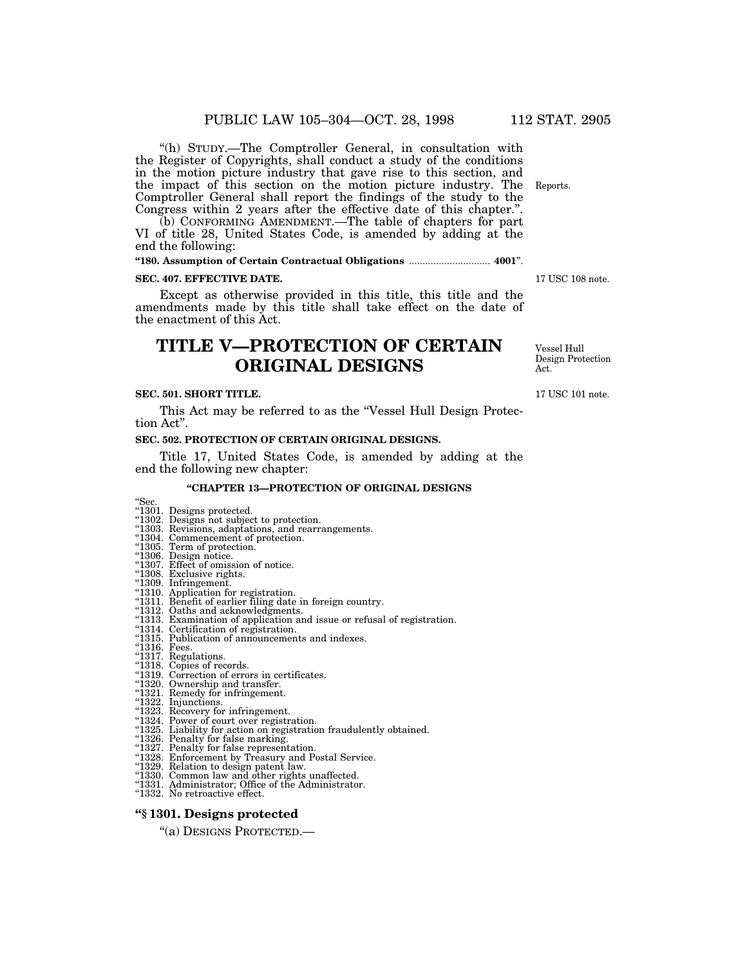''(h) STUDY.—The Comptroller General, in consultation with the Register of Copyrights, shall conduct a study of the conditions in the motion picture industry that gave rise to this section, and the impact of this section on the motion picture industry. The Comptroller General shall report the findings of the study to the Congress within 2 years after the effective date of this chapter.''.

(b) CONFORMING AMENDMENT.—The table of chapters for part VI of title 28, United States Code, is amended by adding at the end the following:

# **''180. Assumption of Certain Contractual Obligations** .............................. **4001**''.

#### **SEC. 407. EFFECTIVE DATE.**

Except as otherwise provided in this title, this title and the amendments made by this title shall take effect on the date of the enactment of this Act.

# **TITLE V—PROTECTION OF CERTAIN ORIGINAL DESIGNS**

#### **SEC. 501. SHORT TITLE.**

This Act may be referred to as the "Vessel Hull Design Protection Act''.

#### **SEC. 502. PROTECTION OF CERTAIN ORIGINAL DESIGNS.**

Title 17, United States Code, is amended by adding at the end the following new chapter:

#### **''CHAPTER 13—PROTECTION OF ORIGINAL DESIGNS**

- "Sec.<br>"1301. Designs protected.<br>"1302. Designs not subject to protection.
- ''1303. Revisions, adaptations, and rearrangements. ''1304. Commencement of protection. ''1305. Term of protection. ''1306. Design notice. ''1307. Effect of omission of notice. ''1308. Exclusive rights. ''1309. Infringement.
- 
- 
- 
- 
- 
- 
- ''1310. Application for registration.
- 
- "1311. Benefit of earlier filing date in foreign country.<br>"1312. Oaths and acknowledgments.<br>"1313. Examination of application and issue or refusal of registration.<br>"1314. Certification of registration.
- 
- "1315. Publication of announcements and indexes.<br>"1316. Fees.<br>"1317. Regulations.
- 
- 
- 
- ''1318. Copies of records. ''1319. Correction of errors in certificates. ''1320. Ownership and transfer. ''1321. Remedy for infringement. ''1322. Injunctions. ''1323. Recovery for infringement.
- 
- 
- 
- ''1324. Power of court over registration.
- "1325. Liability for action on registration fraudulently obtained.<br>"1326. Penalty for false marking.<br>"1327. Penalty for false representation.<br>"1328. Enforcement by Treasury and Postal Service.
- 
- 
- 
- ''1329. Relation to design patent law.
- ''1330. Common law and other rights unaffected.
- ''1331. Administrator; Office of the Administrator. ''1332. No retroactive effect.
- 

## **''§ 1301. Designs protected**

''(a) DESIGNS PROTECTED.—

17 USC 108 note.

Vessel Hull Design Protection Act.

17 USC 101 note.

Reports.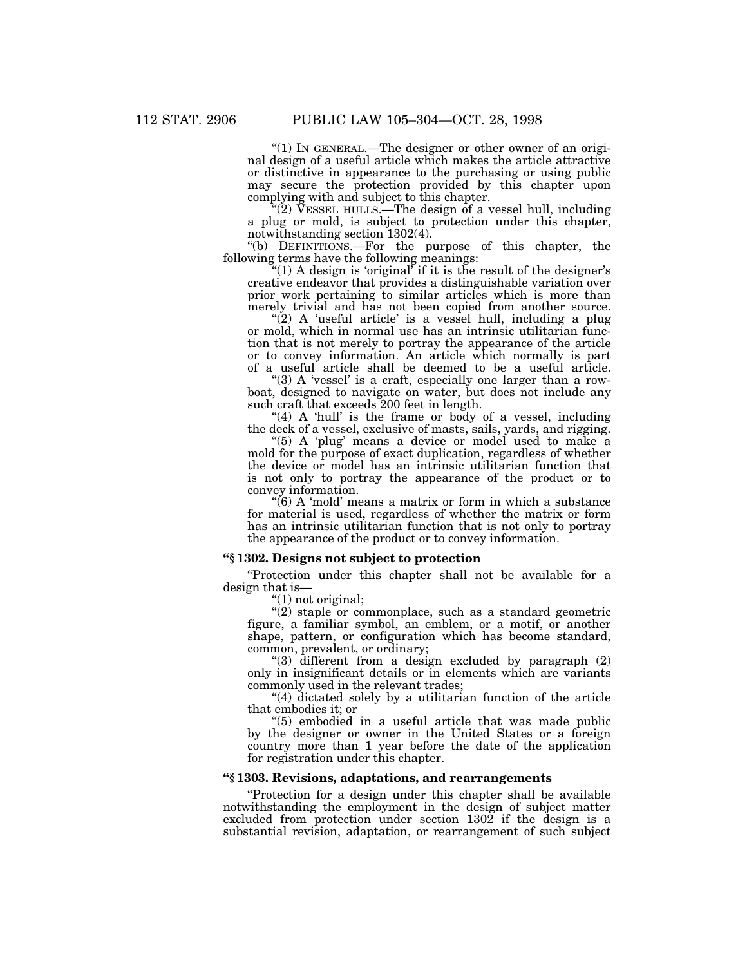"(1) In GENERAL.—The designer or other owner of an original design of a useful article which makes the article attractive or distinctive in appearance to the purchasing or using public may secure the protection provided by this chapter upon complying with and subject to this chapter.

 $\sqrt{\hat{Z}}$ ) VESSEL HULLS.—The design of a vessel hull, including a plug or mold, is subject to protection under this chapter, notwithstanding section 1302(4).

''(b) DEFINITIONS.—For the purpose of this chapter, the following terms have the following meanings:

"(1) A design is 'original' if it is the result of the designer's creative endeavor that provides a distinguishable variation over prior work pertaining to similar articles which is more than merely trivial and has not been copied from another source.

" $(2)$  A 'useful article' is a vessel hull, including a plug or mold, which in normal use has an intrinsic utilitarian function that is not merely to portray the appearance of the article or to convey information. An article which normally is part of a useful article shall be deemed to be a useful article.

" $(3)$  A 'vessel' is a craft, especially one larger than a rowboat, designed to navigate on water, but does not include any such craft that exceeds 200 feet in length.

" $(4)$  A 'hull' is the frame or body of a vessel, including the deck of a vessel, exclusive of masts, sails, yards, and rigging.

"(5) A 'plug' means a device or model used to make a mold for the purpose of exact duplication, regardless of whether the device or model has an intrinsic utilitarian function that is not only to portray the appearance of the product or to convey information.

 $\degree$ (6) A 'mold' means a matrix or form in which a substance for material is used, regardless of whether the matrix or form has an intrinsic utilitarian function that is not only to portray the appearance of the product or to convey information.

## **''§ 1302. Designs not subject to protection**

''Protection under this chapter shall not be available for a design that is—

 $''(1)$  not original;

 $'(2)$  staple or commonplace, such as a standard geometric figure, a familiar symbol, an emblem, or a motif, or another shape, pattern, or configuration which has become standard, common, prevalent, or ordinary;

"(3) different from a design excluded by paragraph (2) only in insignificant details or in elements which are variants commonly used in the relevant trades;

''(4) dictated solely by a utilitarian function of the article that embodies it; or

''(5) embodied in a useful article that was made public by the designer or owner in the United States or a foreign country more than 1 year before the date of the application for registration under this chapter.

#### **''§ 1303. Revisions, adaptations, and rearrangements**

''Protection for a design under this chapter shall be available notwithstanding the employment in the design of subject matter excluded from protection under section 1302 if the design is a substantial revision, adaptation, or rearrangement of such subject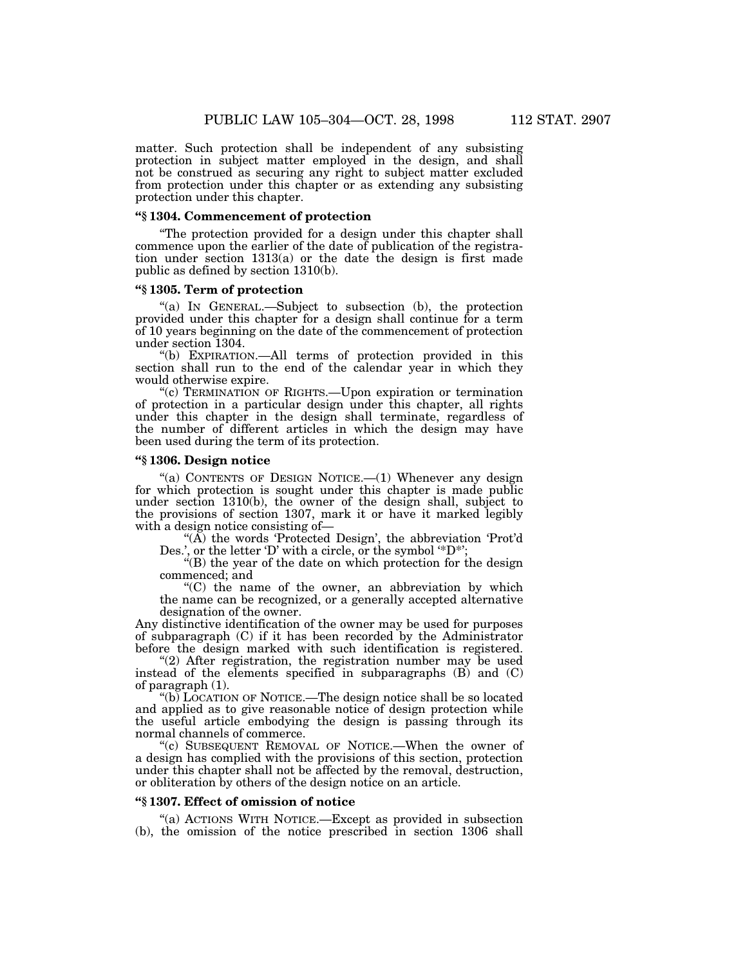matter. Such protection shall be independent of any subsisting protection in subject matter employed in the design, and shall not be construed as securing any right to subject matter excluded from protection under this chapter or as extending any subsisting protection under this chapter.

#### **''§ 1304. Commencement of protection**

''The protection provided for a design under this chapter shall commence upon the earlier of the date of publication of the registration under section 1313(a) or the date the design is first made public as defined by section 1310(b).

#### **''§ 1305. Term of protection**

''(a) IN GENERAL.—Subject to subsection (b), the protection provided under this chapter for a design shall continue for a term of 10 years beginning on the date of the commencement of protection under section 1304.

''(b) EXPIRATION.—All terms of protection provided in this section shall run to the end of the calendar year in which they would otherwise expire.

''(c) TERMINATION OF RIGHTS.—Upon expiration or termination of protection in a particular design under this chapter, all rights under this chapter in the design shall terminate, regardless of the number of different articles in which the design may have been used during the term of its protection.

#### **''§ 1306. Design notice**

"(a) CONTENTS OF DESIGN NOTICE.-(1) Whenever any design for which protection is sought under this chapter is made public under section 1310(b), the owner of the design shall, subject to the provisions of section 1307, mark it or have it marked legibly with a design notice consisting of—

" $(\overrightarrow{A})$  the words 'Protected Design', the abbreviation 'Prot'd Des.', or the letter 'D' with a circle, or the symbol '\*D\*';

"(B) the year of the date on which protection for the design commenced; and

''(C) the name of the owner, an abbreviation by which the name can be recognized, or a generally accepted alternative designation of the owner.

Any distinctive identification of the owner may be used for purposes of subparagraph (C) if it has been recorded by the Administrator before the design marked with such identification is registered.

"(2) After registration, the registration number may be used instead of the elements specified in subparagraphs (B) and (C) of paragraph (1).

''(b) LOCATION OF NOTICE.—The design notice shall be so located and applied as to give reasonable notice of design protection while the useful article embodying the design is passing through its normal channels of commerce.

''(c) SUBSEQUENT REMOVAL OF NOTICE.—When the owner of a design has complied with the provisions of this section, protection under this chapter shall not be affected by the removal, destruction, or obliteration by others of the design notice on an article.

#### **''§ 1307. Effect of omission of notice**

''(a) ACTIONS WITH NOTICE.—Except as provided in subsection (b), the omission of the notice prescribed in section 1306 shall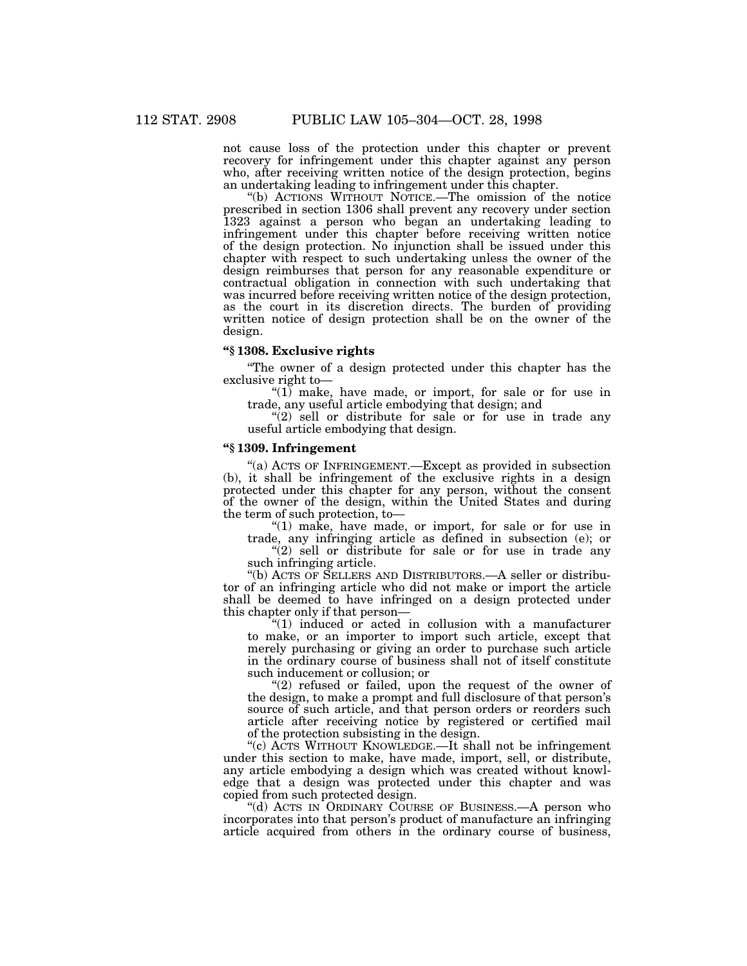not cause loss of the protection under this chapter or prevent recovery for infringement under this chapter against any person who, after receiving written notice of the design protection, begins an undertaking leading to infringement under this chapter.

''(b) ACTIONS WITHOUT NOTICE.—The omission of the notice prescribed in section 1306 shall prevent any recovery under section 1323 against a person who began an undertaking leading to infringement under this chapter before receiving written notice of the design protection. No injunction shall be issued under this chapter with respect to such undertaking unless the owner of the design reimburses that person for any reasonable expenditure or contractual obligation in connection with such undertaking that was incurred before receiving written notice of the design protection, as the court in its discretion directs. The burden of providing written notice of design protection shall be on the owner of the design.

#### **''§ 1308. Exclusive rights**

''The owner of a design protected under this chapter has the exclusive right to—

" $(1)$  make, have made, or import, for sale or for use in trade, any useful article embodying that design; and

 $''(2)$  sell or distribute for sale or for use in trade any useful article embodying that design.

#### **''§ 1309. Infringement**

''(a) ACTS OF INFRINGEMENT.—Except as provided in subsection (b), it shall be infringement of the exclusive rights in a design protected under this chapter for any person, without the consent of the owner of the design, within the United States and during the term of such protection, to—

''(1) make, have made, or import, for sale or for use in trade, any infringing article as defined in subsection (e); or

 $''(2)$  sell or distribute for sale or for use in trade any such infringing article.

''(b) ACTS OF SELLERS AND DISTRIBUTORS.—A seller or distributor of an infringing article who did not make or import the article shall be deemed to have infringed on a design protected under this chapter only if that person—

" $(1)$  induced or acted in collusion with a manufacturer to make, or an importer to import such article, except that merely purchasing or giving an order to purchase such article in the ordinary course of business shall not of itself constitute such inducement or collusion; or

" $(2)$  refused or failed, upon the request of the owner of the design, to make a prompt and full disclosure of that person's source of such article, and that person orders or reorders such article after receiving notice by registered or certified mail of the protection subsisting in the design.

''(c) ACTS WITHOUT KNOWLEDGE.—It shall not be infringement under this section to make, have made, import, sell, or distribute, any article embodying a design which was created without knowledge that a design was protected under this chapter and was copied from such protected design.

"(d) ACTS IN ORDINARY COURSE OF BUSINESS.—A person who incorporates into that person's product of manufacture an infringing article acquired from others in the ordinary course of business,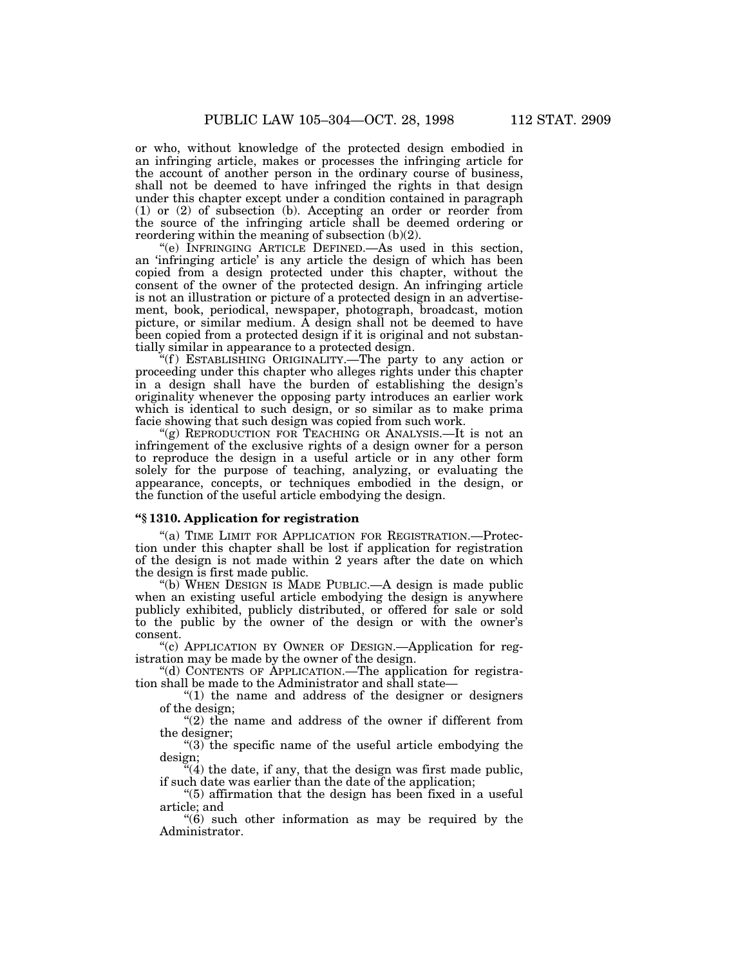or who, without knowledge of the protected design embodied in an infringing article, makes or processes the infringing article for the account of another person in the ordinary course of business, shall not be deemed to have infringed the rights in that design under this chapter except under a condition contained in paragraph (1) or (2) of subsection (b). Accepting an order or reorder from the source of the infringing article shall be deemed ordering or reordering within the meaning of subsection (b)(2).

''(e) INFRINGING ARTICLE DEFINED.—As used in this section, an 'infringing article' is any article the design of which has been copied from a design protected under this chapter, without the consent of the owner of the protected design. An infringing article is not an illustration or picture of a protected design in an advertisement, book, periodical, newspaper, photograph, broadcast, motion picture, or similar medium. A design shall not be deemed to have been copied from a protected design if it is original and not substantially similar in appearance to a protected design.

"(f) ESTABLISHING ORIGINALITY.—The party to any action or proceeding under this chapter who alleges rights under this chapter in a design shall have the burden of establishing the design's originality whenever the opposing party introduces an earlier work which is identical to such design, or so similar as to make prima facie showing that such design was copied from such work.

"(g) REPRODUCTION FOR TEACHING OR ANALYSIS.—It is not an infringement of the exclusive rights of a design owner for a person to reproduce the design in a useful article or in any other form solely for the purpose of teaching, analyzing, or evaluating the appearance, concepts, or techniques embodied in the design, or the function of the useful article embodying the design.

#### **''§ 1310. Application for registration**

''(a) TIME LIMIT FOR APPLICATION FOR REGISTRATION.—Protection under this chapter shall be lost if application for registration of the design is not made within 2 years after the date on which the design is first made public.

''(b) WHEN DESIGN IS MADE PUBLIC.—A design is made public when an existing useful article embodying the design is anywhere publicly exhibited, publicly distributed, or offered for sale or sold to the public by the owner of the design or with the owner's consent.

''(c) APPLICATION BY OWNER OF DESIGN.—Application for registration may be made by the owner of the design.

''(d) CONTENTS OF APPLICATION.—The application for registration shall be made to the Administrator and shall state—

" $(1)$  the name and address of the designer or designers of the design;

"(2) the name and address of the owner if different from the designer;

''(3) the specific name of the useful article embodying the design;

 $\mathbf{f}^{(4)}$  the date, if any, that the design was first made public, if such date was earlier than the date of the application;

''(5) affirmation that the design has been fixed in a useful article; and

''(6) such other information as may be required by the Administrator.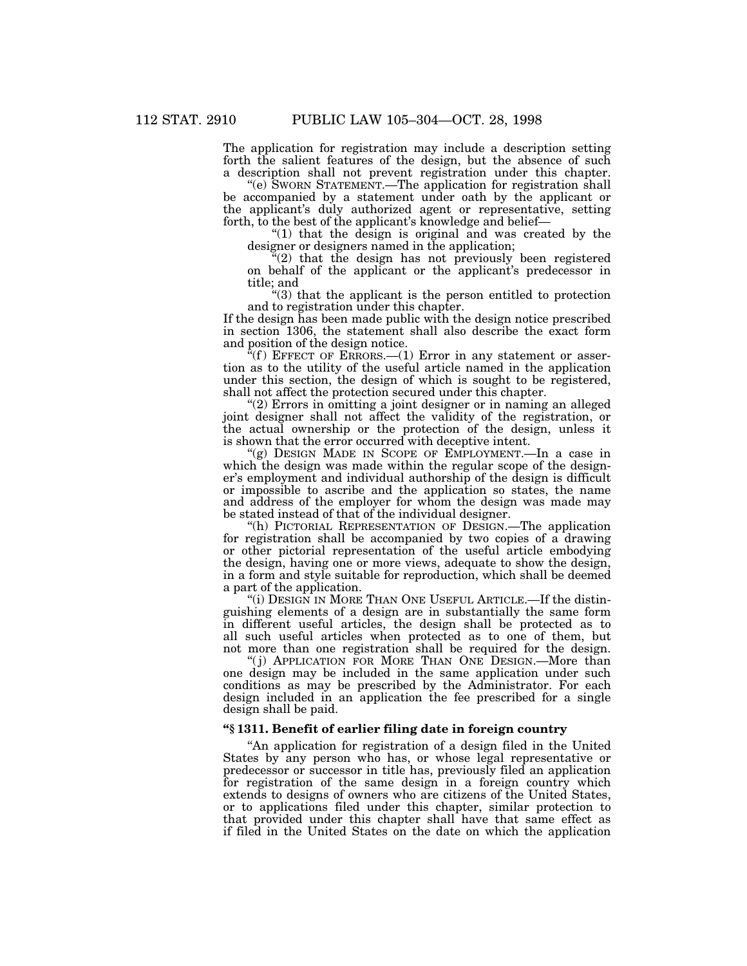The application for registration may include a description setting forth the salient features of the design, but the absence of such a description shall not prevent registration under this chapter.

"(e) SWORN STATEMENT.—The application for registration shall be accompanied by a statement under oath by the applicant or the applicant's duly authorized agent or representative, setting forth, to the best of the applicant's knowledge and belief-

''(1) that the design is original and was created by the designer or designers named in the application;

''(2) that the design has not previously been registered on behalf of the applicant or the applicant's predecessor in title; and

''(3) that the applicant is the person entitled to protection and to registration under this chapter.

If the design has been made public with the design notice prescribed in section 1306, the statement shall also describe the exact form and position of the design notice.

 $\tilde{f}(f)$  EFFECT OF ERRORS.—(1) Error in any statement or assertion as to the utility of the useful article named in the application under this section, the design of which is sought to be registered, shall not affect the protection secured under this chapter.

''(2) Errors in omitting a joint designer or in naming an alleged joint designer shall not affect the validity of the registration, or the actual ownership or the protection of the design, unless it is shown that the error occurred with deceptive intent.

''(g) DESIGN MADE IN SCOPE OF EMPLOYMENT.—In a case in which the design was made within the regular scope of the designer's employment and individual authorship of the design is difficult or impossible to ascribe and the application so states, the name and address of the employer for whom the design was made may be stated instead of that of the individual designer.

''(h) PICTORIAL REPRESENTATION OF DESIGN.—The application for registration shall be accompanied by two copies of a drawing or other pictorial representation of the useful article embodying the design, having one or more views, adequate to show the design, in a form and style suitable for reproduction, which shall be deemed a part of the application.

"(i) DESIGN IN MORE THAN ONE USEFUL ARTICLE.—If the distinguishing elements of a design are in substantially the same form in different useful articles, the design shall be protected as to all such useful articles when protected as to one of them, but not more than one registration shall be required for the design.

"(j) APPLICATION FOR MORE THAN ONE DESIGN.—More than one design may be included in the same application under such conditions as may be prescribed by the Administrator. For each design included in an application the fee prescribed for a single design shall be paid.

#### **''§ 1311. Benefit of earlier filing date in foreign country**

''An application for registration of a design filed in the United States by any person who has, or whose legal representative or predecessor or successor in title has, previously filed an application for registration of the same design in a foreign country which extends to designs of owners who are citizens of the United States, or to applications filed under this chapter, similar protection to that provided under this chapter shall have that same effect as if filed in the United States on the date on which the application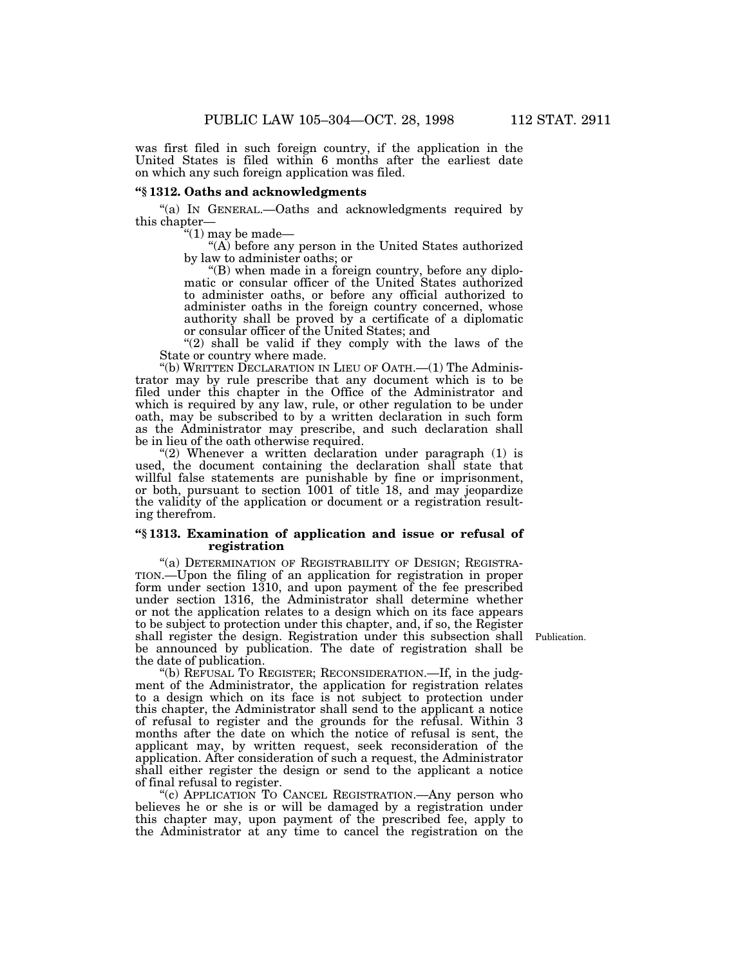was first filed in such foreign country, if the application in the United States is filed within 6 months after the earliest date on which any such foreign application was filed.

#### **''§ 1312. Oaths and acknowledgments**

''(a) IN GENERAL.—Oaths and acknowledgments required by this chapter—

''(1) may be made—

''(A) before any person in the United States authorized by law to administer oaths; or

''(B) when made in a foreign country, before any diplomatic or consular officer of the United States authorized to administer oaths, or before any official authorized to administer oaths in the foreign country concerned, whose authority shall be proved by a certificate of a diplomatic or consular officer of the United States; and

"(2) shall be valid if they comply with the laws of the State or country where made.

''(b) WRITTEN DECLARATION IN LIEU OF OATH.—(1) The Administrator may by rule prescribe that any document which is to be filed under this chapter in the Office of the Administrator and which is required by any law, rule, or other regulation to be under oath, may be subscribed to by a written declaration in such form as the Administrator may prescribe, and such declaration shall be in lieu of the oath otherwise required.

"(2) Whenever a written declaration under paragraph (1) is used, the document containing the declaration shall state that willful false statements are punishable by fine or imprisonment, or both, pursuant to section 1001 of title 18, and may jeopardize the validity of the application or document or a registration resulting therefrom.

#### **''§ 1313. Examination of application and issue or refusal of registration**

"(a) DETERMINATION OF REGISTRABILITY OF DESIGN; REGISTRA-TION.—Upon the filing of an application for registration in proper form under section 1310, and upon payment of the fee prescribed under section 1316, the Administrator shall determine whether or not the application relates to a design which on its face appears to be subject to protection under this chapter, and, if so, the Register shall register the design. Registration under this subsection shall be announced by publication. The date of registration shall be the date of publication.

Publication.

''(b) REFUSAL TO REGISTER; RECONSIDERATION.—If, in the judgment of the Administrator, the application for registration relates to a design which on its face is not subject to protection under this chapter, the Administrator shall send to the applicant a notice of refusal to register and the grounds for the refusal. Within 3 months after the date on which the notice of refusal is sent, the applicant may, by written request, seek reconsideration of the application. After consideration of such a request, the Administrator shall either register the design or send to the applicant a notice of final refusal to register.

"(c) APPLICATION TO CANCEL REGISTRATION.—Any person who believes he or she is or will be damaged by a registration under this chapter may, upon payment of the prescribed fee, apply to the Administrator at any time to cancel the registration on the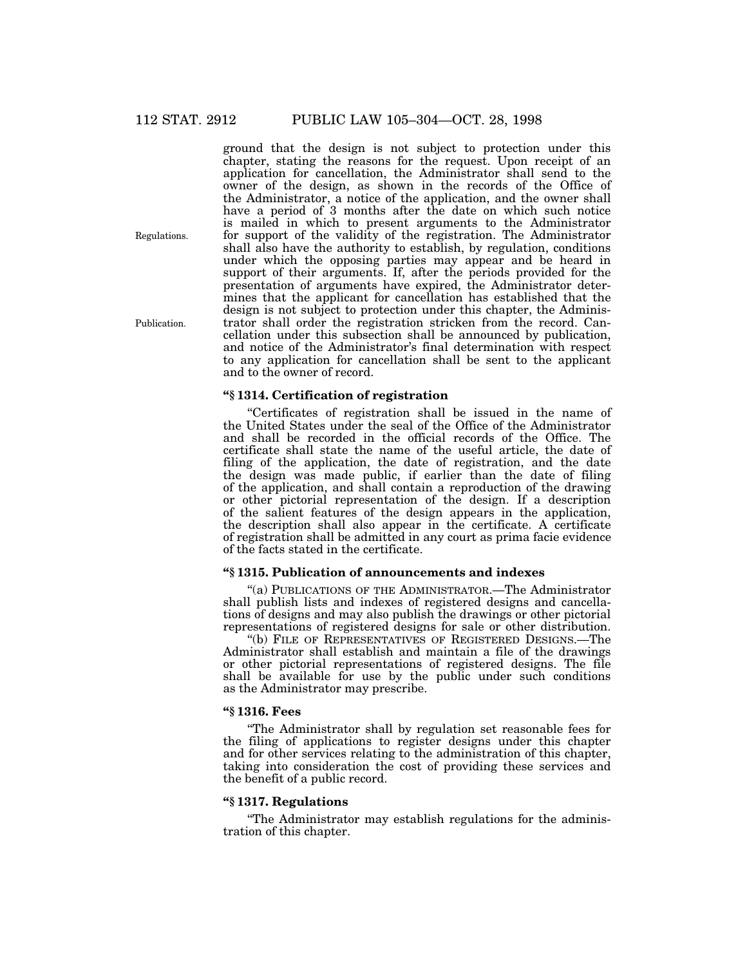ground that the design is not subject to protection under this chapter, stating the reasons for the request. Upon receipt of an application for cancellation, the Administrator shall send to the owner of the design, as shown in the records of the Office of the Administrator, a notice of the application, and the owner shall have a period of 3 months after the date on which such notice is mailed in which to present arguments to the Administrator for support of the validity of the registration. The Administrator shall also have the authority to establish, by regulation, conditions under which the opposing parties may appear and be heard in support of their arguments. If, after the periods provided for the presentation of arguments have expired, the Administrator determines that the applicant for cancellation has established that the design is not subject to protection under this chapter, the Administrator shall order the registration stricken from the record. Cancellation under this subsection shall be announced by publication, and notice of the Administrator's final determination with respect to any application for cancellation shall be sent to the applicant and to the owner of record.

#### **''§ 1314. Certification of registration**

''Certificates of registration shall be issued in the name of the United States under the seal of the Office of the Administrator and shall be recorded in the official records of the Office. The certificate shall state the name of the useful article, the date of filing of the application, the date of registration, and the date the design was made public, if earlier than the date of filing of the application, and shall contain a reproduction of the drawing or other pictorial representation of the design. If a description of the salient features of the design appears in the application, the description shall also appear in the certificate. A certificate of registration shall be admitted in any court as prima facie evidence of the facts stated in the certificate.

## **''§ 1315. Publication of announcements and indexes**

''(a) PUBLICATIONS OF THE ADMINISTRATOR.—The Administrator shall publish lists and indexes of registered designs and cancellations of designs and may also publish the drawings or other pictorial representations of registered designs for sale or other distribution.

''(b) FILE OF REPRESENTATIVES OF REGISTERED DESIGNS.—The Administrator shall establish and maintain a file of the drawings or other pictorial representations of registered designs. The file shall be available for use by the public under such conditions as the Administrator may prescribe.

#### **''§ 1316. Fees**

''The Administrator shall by regulation set reasonable fees for the filing of applications to register designs under this chapter and for other services relating to the administration of this chapter, taking into consideration the cost of providing these services and the benefit of a public record.

#### **''§ 1317. Regulations**

''The Administrator may establish regulations for the administration of this chapter.

Regulations.

Publication.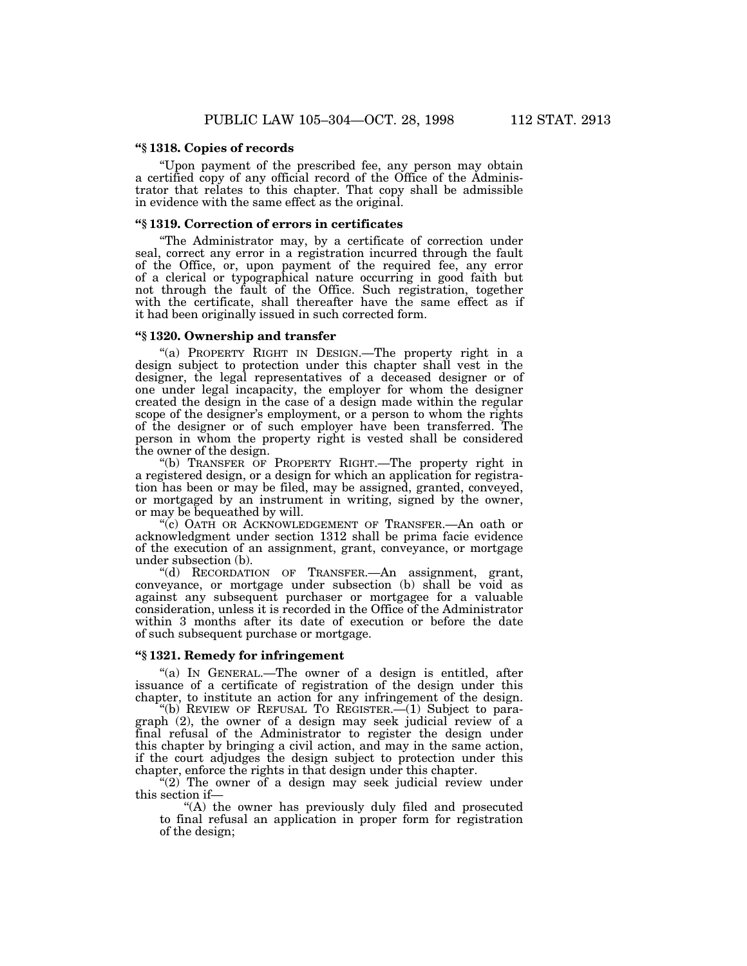#### **''§ 1318. Copies of records**

''Upon payment of the prescribed fee, any person may obtain a certified copy of any official record of the Office of the Administrator that relates to this chapter. That copy shall be admissible in evidence with the same effect as the original.

#### **''§ 1319. Correction of errors in certificates**

''The Administrator may, by a certificate of correction under seal, correct any error in a registration incurred through the fault of the Office, or, upon payment of the required fee, any error of a clerical or typographical nature occurring in good faith but not through the fault of the Office. Such registration, together with the certificate, shall thereafter have the same effect as if it had been originally issued in such corrected form.

## **''§ 1320. Ownership and transfer**

"(a) PROPERTY RIGHT IN DESIGN.—The property right in a design subject to protection under this chapter shall vest in the designer, the legal representatives of a deceased designer or of one under legal incapacity, the employer for whom the designer created the design in the case of a design made within the regular scope of the designer's employment, or a person to whom the rights of the designer or of such employer have been transferred. The person in whom the property right is vested shall be considered the owner of the design.

''(b) TRANSFER OF PROPERTY RIGHT.—The property right in a registered design, or a design for which an application for registration has been or may be filed, may be assigned, granted, conveyed, or mortgaged by an instrument in writing, signed by the owner, or may be bequeathed by will.

''(c) OATH OR ACKNOWLEDGEMENT OF TRANSFER.—An oath or acknowledgment under section 1312 shall be prima facie evidence of the execution of an assignment, grant, conveyance, or mortgage under subsection (b).

''(d) RECORDATION OF TRANSFER.—An assignment, grant, conveyance, or mortgage under subsection (b) shall be void as against any subsequent purchaser or mortgagee for a valuable consideration, unless it is recorded in the Office of the Administrator within 3 months after its date of execution or before the date of such subsequent purchase or mortgage.

# **''§ 1321. Remedy for infringement**

''(a) IN GENERAL.—The owner of a design is entitled, after issuance of a certificate of registration of the design under this chapter, to institute an action for any infringement of the design.

''(b) REVIEW OF REFUSAL TO REGISTER.—(1) Subject to paragraph (2), the owner of a design may seek judicial review of a final refusal of the Administrator to register the design under this chapter by bringing a civil action, and may in the same action, if the court adjudges the design subject to protection under this chapter, enforce the rights in that design under this chapter.

"(2) The owner of a design may seek judicial review under this section if—

''(A) the owner has previously duly filed and prosecuted to final refusal an application in proper form for registration of the design;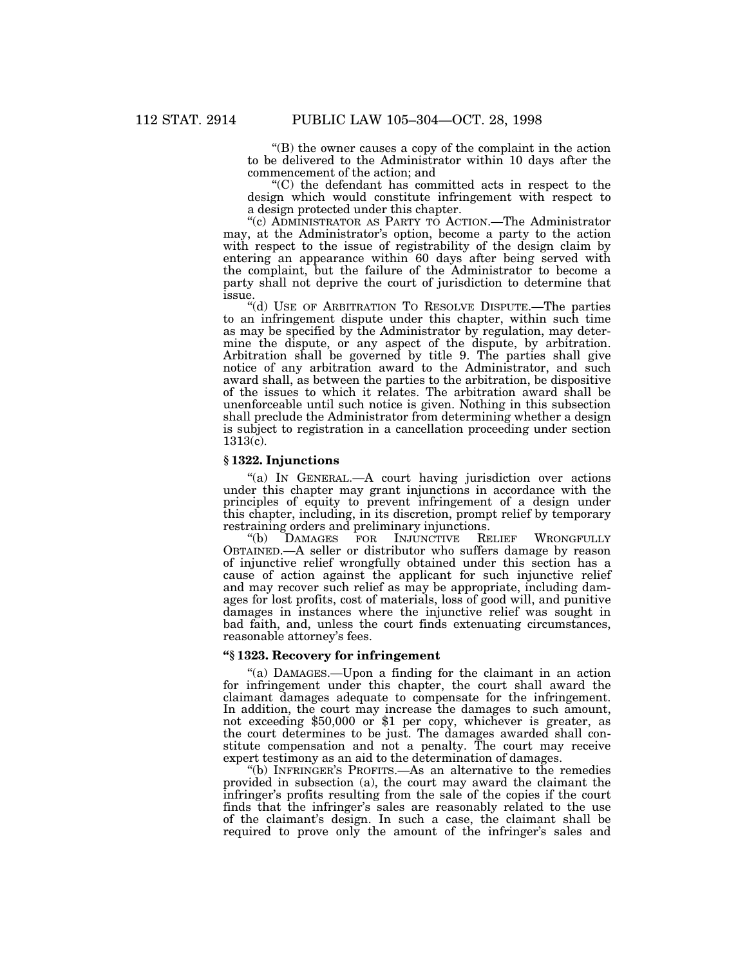''(B) the owner causes a copy of the complaint in the action to be delivered to the Administrator within 10 days after the commencement of the action; and

''(C) the defendant has committed acts in respect to the design which would constitute infringement with respect to a design protected under this chapter.

''(c) ADMINISTRATOR AS PARTY TO ACTION.—The Administrator may, at the Administrator's option, become a party to the action with respect to the issue of registrability of the design claim by entering an appearance within 60 days after being served with the complaint, but the failure of the Administrator to become a party shall not deprive the court of jurisdiction to determine that issue.

''(d) USE OF ARBITRATION TO RESOLVE DISPUTE.—The parties to an infringement dispute under this chapter, within such time as may be specified by the Administrator by regulation, may determine the dispute, or any aspect of the dispute, by arbitration. Arbitration shall be governed by title 9. The parties shall give notice of any arbitration award to the Administrator, and such award shall, as between the parties to the arbitration, be dispositive of the issues to which it relates. The arbitration award shall be unenforceable until such notice is given. Nothing in this subsection shall preclude the Administrator from determining whether a design is subject to registration in a cancellation proceeding under section  $1313(c)$ .

#### **§ 1322. Injunctions**

"(a) IN GENERAL.—A court having jurisdiction over actions under this chapter may grant injunctions in accordance with the principles of equity to prevent infringement of a design under this chapter, including, in its discretion, prompt relief by temporary restraining orders and preliminary injunctions.<br>
"(b) DAMAGES FOR INJUNCTIVE RELIEF

DAMAGES FOR INJUNCTIVE RELIEF WRONGFULLY OBTAINED.—A seller or distributor who suffers damage by reason of injunctive relief wrongfully obtained under this section has a cause of action against the applicant for such injunctive relief and may recover such relief as may be appropriate, including damages for lost profits, cost of materials, loss of good will, and punitive damages in instances where the injunctive relief was sought in bad faith, and, unless the court finds extenuating circumstances, reasonable attorney's fees.

# **''§ 1323. Recovery for infringement**

''(a) DAMAGES.—Upon a finding for the claimant in an action for infringement under this chapter, the court shall award the claimant damages adequate to compensate for the infringement. In addition, the court may increase the damages to such amount, not exceeding \$50,000 or \$1 per copy, whichever is greater, as the court determines to be just. The damages awarded shall constitute compensation and not a penalty. The court may receive expert testimony as an aid to the determination of damages.

''(b) INFRINGER'S PROFITS.—As an alternative to the remedies provided in subsection (a), the court may award the claimant the infringer's profits resulting from the sale of the copies if the court finds that the infringer's sales are reasonably related to the use of the claimant's design. In such a case, the claimant shall be required to prove only the amount of the infringer's sales and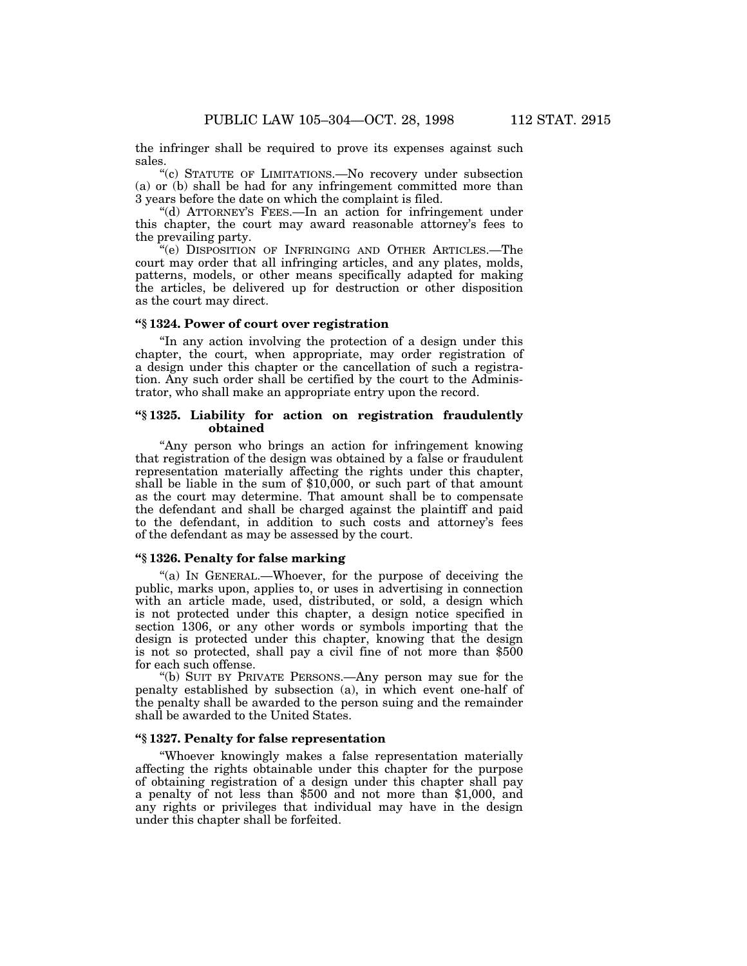the infringer shall be required to prove its expenses against such sales.

''(c) STATUTE OF LIMITATIONS.—No recovery under subsection (a) or (b) shall be had for any infringement committed more than 3 years before the date on which the complaint is filed.

''(d) ATTORNEY'S FEES.—In an action for infringement under this chapter, the court may award reasonable attorney's fees to the prevailing party.

''(e) DISPOSITION OF INFRINGING AND OTHER ARTICLES.—The court may order that all infringing articles, and any plates, molds, patterns, models, or other means specifically adapted for making the articles, be delivered up for destruction or other disposition as the court may direct.

#### **''§ 1324. Power of court over registration**

''In any action involving the protection of a design under this chapter, the court, when appropriate, may order registration of a design under this chapter or the cancellation of such a registration. Any such order shall be certified by the court to the Administrator, who shall make an appropriate entry upon the record.

#### **''§ 1325. Liability for action on registration fraudulently obtained**

''Any person who brings an action for infringement knowing that registration of the design was obtained by a false or fraudulent representation materially affecting the rights under this chapter, shall be liable in the sum of \$10,000, or such part of that amount as the court may determine. That amount shall be to compensate the defendant and shall be charged against the plaintiff and paid to the defendant, in addition to such costs and attorney's fees of the defendant as may be assessed by the court.

## **''§ 1326. Penalty for false marking**

''(a) IN GENERAL.—Whoever, for the purpose of deceiving the public, marks upon, applies to, or uses in advertising in connection with an article made, used, distributed, or sold, a design which is not protected under this chapter, a design notice specified in section 1306, or any other words or symbols importing that the design is protected under this chapter, knowing that the design is not so protected, shall pay a civil fine of not more than \$500 for each such offense.

''(b) SUIT BY PRIVATE PERSONS.—Any person may sue for the penalty established by subsection (a), in which event one-half of the penalty shall be awarded to the person suing and the remainder shall be awarded to the United States.

## **''§ 1327. Penalty for false representation**

''Whoever knowingly makes a false representation materially affecting the rights obtainable under this chapter for the purpose of obtaining registration of a design under this chapter shall pay a penalty of not less than \$500 and not more than \$1,000, and any rights or privileges that individual may have in the design under this chapter shall be forfeited.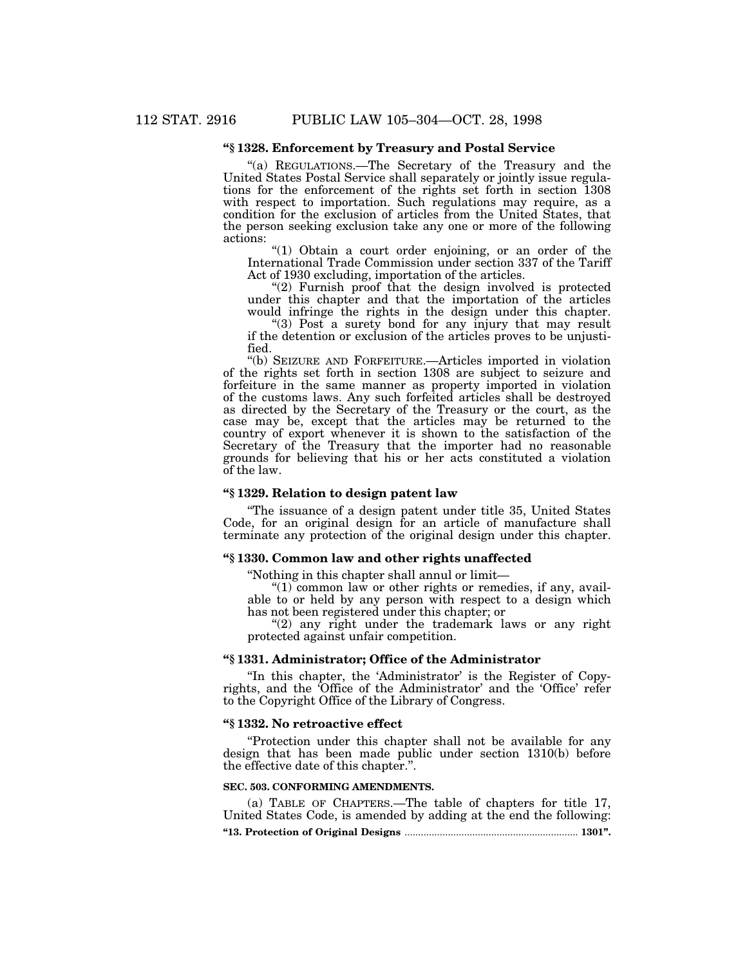# **''§ 1328. Enforcement by Treasury and Postal Service**

"(a) REGULATIONS.—The Secretary of the Treasury and the United States Postal Service shall separately or jointly issue regulations for the enforcement of the rights set forth in section 1308 with respect to importation. Such regulations may require, as a condition for the exclusion of articles from the United States, that the person seeking exclusion take any one or more of the following actions:

"(1) Obtain a court order enjoining, or an order of the International Trade Commission under section 337 of the Tariff Act of 1930 excluding, importation of the articles.

"(2) Furnish proof that the design involved is protected under this chapter and that the importation of the articles would infringe the rights in the design under this chapter.

''(3) Post a surety bond for any injury that may result if the detention or exclusion of the articles proves to be unjustified.

''(b) SEIZURE AND FORFEITURE.—Articles imported in violation of the rights set forth in section 1308 are subject to seizure and forfeiture in the same manner as property imported in violation of the customs laws. Any such forfeited articles shall be destroyed as directed by the Secretary of the Treasury or the court, as the case may be, except that the articles may be returned to the country of export whenever it is shown to the satisfaction of the Secretary of the Treasury that the importer had no reasonable grounds for believing that his or her acts constituted a violation of the law.

#### **''§ 1329. Relation to design patent law**

''The issuance of a design patent under title 35, United States Code, for an original design for an article of manufacture shall terminate any protection of the original design under this chapter.

# **''§ 1330. Common law and other rights unaffected**

''Nothing in this chapter shall annul or limit—

" $(1)$  common law or other rights or remedies, if any, available to or held by any person with respect to a design which has not been registered under this chapter; or

"(2) any right under the trademark laws or any right protected against unfair competition.

#### **''§ 1331. Administrator; Office of the Administrator**

"In this chapter, the 'Administrator' is the Register of Copyrights, and the 'Office of the Administrator' and the 'Office' refer to the Copyright Office of the Library of Congress.

#### **''§ 1332. No retroactive effect**

''Protection under this chapter shall not be available for any design that has been made public under section 1310(b) before the effective date of this chapter.''.

#### **SEC. 503. CONFORMING AMENDMENTS.**

(a) TABLE OF CHAPTERS.—The table of chapters for title 17, United States Code, is amended by adding at the end the following: **''13. Protection of Original Designs** ................................................................ **1301''.**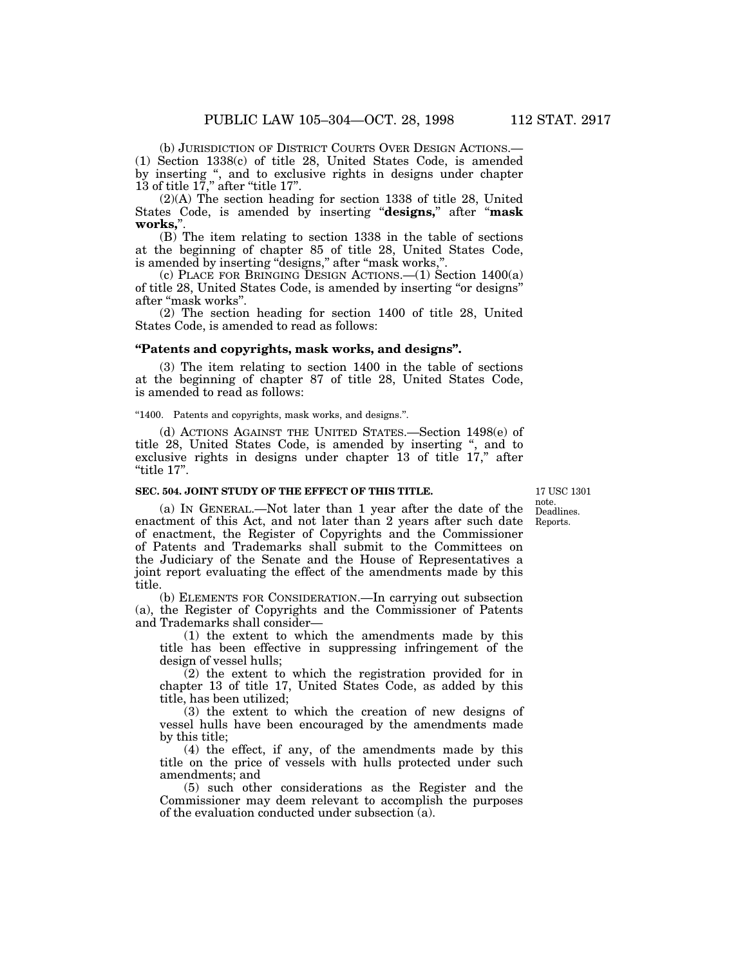(b) JURISDICTION OF DISTRICT COURTS OVER DESIGN ACTIONS.— (1) Section 1338(c) of title 28, United States Code, is amended by inserting ", and to exclusive rights in designs under chapter 13 of title 17," after "title 17".

(2)(A) The section heading for section 1338 of title 28, United States Code, is amended by inserting ''**designs,**'' after ''**mask** works.'

(B) The item relating to section 1338 in the table of sections at the beginning of chapter 85 of title 28, United States Code, is amended by inserting ''designs,'' after ''mask works,''.

(c) PLACE FOR BRINGING DESIGN ACTIONS.—(1) Section 1400(a) of title 28, United States Code, is amended by inserting ''or designs'' after ''mask works''.

(2) The section heading for section 1400 of title 28, United States Code, is amended to read as follows:

#### **''Patents and copyrights, mask works, and designs''.**

(3) The item relating to section 1400 in the table of sections at the beginning of chapter 87 of title 28, United States Code, is amended to read as follows:

''1400. Patents and copyrights, mask works, and designs.''.

(d) ACTIONS AGAINST THE UNITED STATES.—Section 1498(e) of title 28, United States Code, is amended by inserting '', and to exclusive rights in designs under chapter 13 of title 17," after " $t$ itle 17".

#### **SEC. 504. JOINT STUDY OF THE EFFECT OF THIS TITLE.**

Deadlines. 17 USC 1301 note.

Reports.

(a) IN GENERAL.—Not later than 1 year after the date of the enactment of this Act, and not later than 2 years after such date of enactment, the Register of Copyrights and the Commissioner of Patents and Trademarks shall submit to the Committees on the Judiciary of the Senate and the House of Representatives a joint report evaluating the effect of the amendments made by this title.

(b) ELEMENTS FOR CONSIDERATION.—In carrying out subsection (a), the Register of Copyrights and the Commissioner of Patents and Trademarks shall consider—

(1) the extent to which the amendments made by this title has been effective in suppressing infringement of the design of vessel hulls;

(2) the extent to which the registration provided for in chapter 13 of title 17, United States Code, as added by this title, has been utilized;

(3) the extent to which the creation of new designs of vessel hulls have been encouraged by the amendments made by this title;

(4) the effect, if any, of the amendments made by this title on the price of vessels with hulls protected under such amendments; and

(5) such other considerations as the Register and the Commissioner may deem relevant to accomplish the purposes of the evaluation conducted under subsection  $(a)$ .